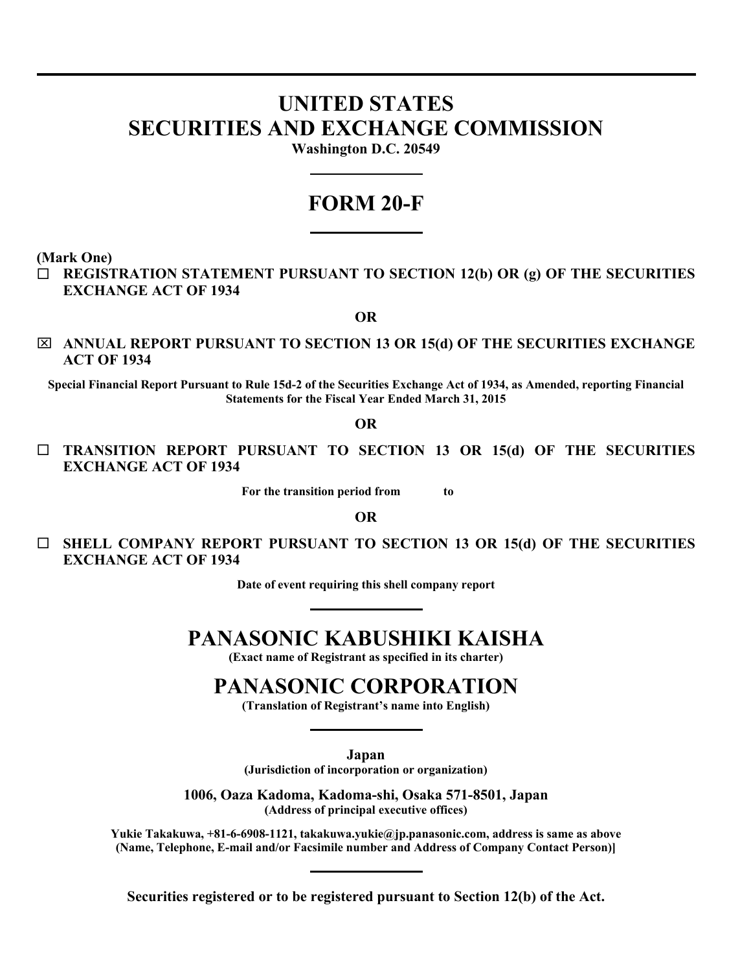# **UNITED STATES SECURITIES AND EXCHANGE COMMISSION**

**Washington D.C. 20549** 

# **FORM 20-F**

**(Mark One)** 

 **REGISTRATION STATEMENT PURSUANT TO SECTION 12(b) OR (g) OF THE SECURITIES EXCHANGE ACT OF 1934** 

**OR** 

⌧ **ANNUAL REPORT PURSUANT TO SECTION 13 OR 15(d) OF THE SECURITIES EXCHANGE ACT OF 1934** 

**Special Financial Report Pursuant to Rule 15d-2 of the Securities Exchange Act of 1934, as Amended, reporting Financial Statements for the Fiscal Year Ended March 31, 2015** 

**OR** 

 **TRANSITION REPORT PURSUANT TO SECTION 13 OR 15(d) OF THE SECURITIES EXCHANGE ACT OF 1934** 

**For the transition period from to** 

**OR** 

 **SHELL COMPANY REPORT PURSUANT TO SECTION 13 OR 15(d) OF THE SECURITIES EXCHANGE ACT OF 1934** 

**Date of event requiring this shell company report** 

# **PANASONIC KABUSHIKI KAISHA**

**(Exact name of Registrant as specified in its charter)** 

# **PANASONIC CORPORATION**

**(Translation of Registrant's name into English)** 

**Japan** 

**(Jurisdiction of incorporation or organization)** 

**1006, Oaza Kadoma, Kadoma-shi, Osaka 571-8501, Japan (Address of principal executive offices)** 

**Yukie Takakuwa, +81-6-6908-1121, takakuwa.yukie@jp.panasonic.com, address is same as above (Name, Telephone, E-mail and/or Facsimile number and Address of Company Contact Person)]** 

**Securities registered or to be registered pursuant to Section 12(b) of the Act.**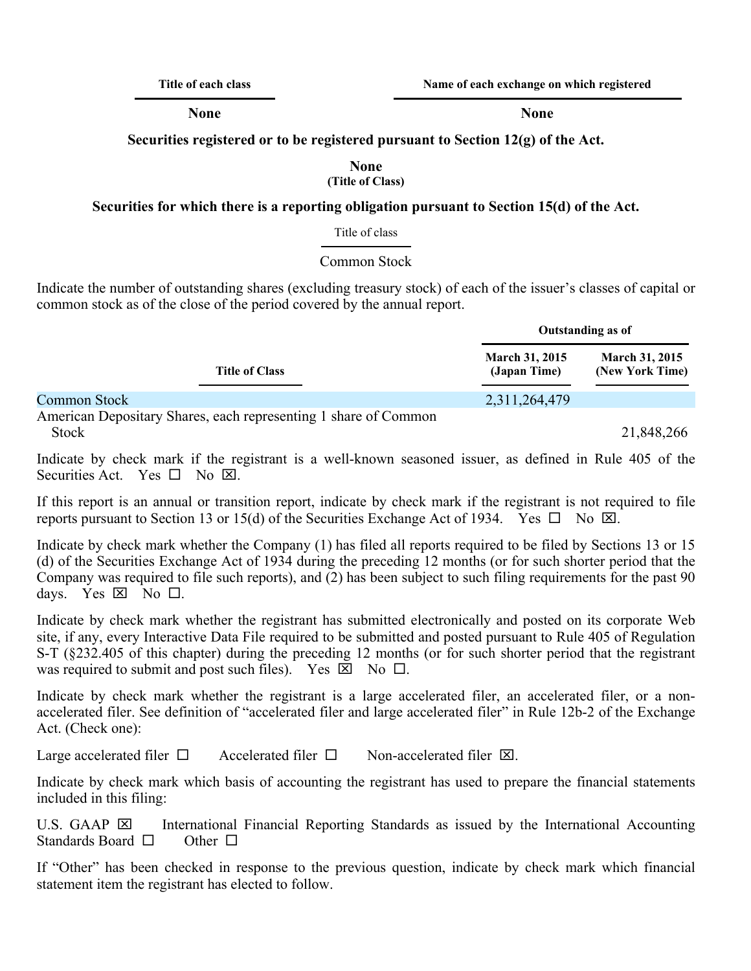**Title of each class Name of each exchange on which registered** 

**None None**

**Securities registered or to be registered pursuant to Section 12(g) of the Act.** 

#### **None (Title of Class)**

## **Securities for which there is a reporting obligation pursuant to Section 15(d) of the Act.**

#### Title of class

### Common Stock

Indicate the number of outstanding shares (excluding treasury stock) of each of the issuer's classes of capital or common stock as of the close of the period covered by the annual report.

|                                                                 | Outstanding as of                     |                                          |  |
|-----------------------------------------------------------------|---------------------------------------|------------------------------------------|--|
| <b>Title of Class</b>                                           | <b>March 31, 2015</b><br>(Japan Time) | <b>March 31, 2015</b><br>(New York Time) |  |
| <b>Common Stock</b>                                             | 2,311,264,479                         |                                          |  |
| American Depositary Shares, each representing 1 share of Common |                                       |                                          |  |

Stock 21,848,266

Indicate by check mark if the registrant is a well-known seasoned issuer, as defined in Rule 405 of the Securities Act. Yes  $\square$  No  $\boxtimes$ .

If this report is an annual or transition report, indicate by check mark if the registrant is not required to file reports pursuant to Section 13 or 15(d) of the Securities Exchange Act of 1934. Yes  $\square$  No  $\boxtimes$ .

Indicate by check mark whether the Company (1) has filed all reports required to be filed by Sections 13 or 15 (d) of the Securities Exchange Act of 1934 during the preceding 12 months (or for such shorter period that the Company was required to file such reports), and (2) has been subject to such filing requirements for the past 90 days. Yes  $\boxtimes$  No  $\Box$ .

Indicate by check mark whether the registrant has submitted electronically and posted on its corporate Web site, if any, every Interactive Data File required to be submitted and posted pursuant to Rule 405 of Regulation S-T (§232.405 of this chapter) during the preceding 12 months (or for such shorter period that the registrant was required to submit and post such files). Yes  $\boxtimes$  No  $\Box$ .

Indicate by check mark whether the registrant is a large accelerated filer, an accelerated filer, or a nonaccelerated filer. See definition of "accelerated filer and large accelerated filer" in Rule 12b-2 of the Exchange Act. (Check one):

Large accelerated filer  $\square$  Accelerated filer  $\square$  Non-accelerated filer  $\square$ .

Indicate by check mark which basis of accounting the registrant has used to prepare the financial statements included in this filing:

U.S. GAAP  $\boxtimes$  International Financial Reporting Standards as issued by the International Accounting Standards Board  $\square$  Other  $\square$ 

If "Other" has been checked in response to the previous question, indicate by check mark which financial statement item the registrant has elected to follow.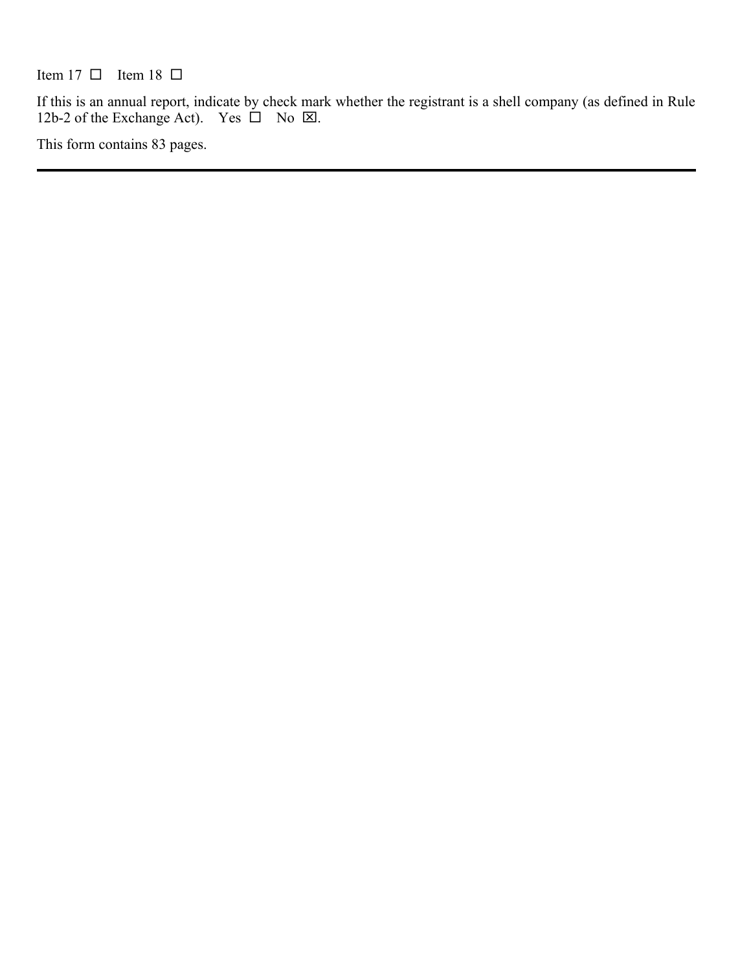Item 17  $\Box$  Item 18  $\Box$ 

If this is an annual report, indicate by check mark whether the registrant is a shell company (as defined in Rule 12b-2 of the Exchange Act). Yes  $\square$  No  $\square$ .

This form contains 83 pages.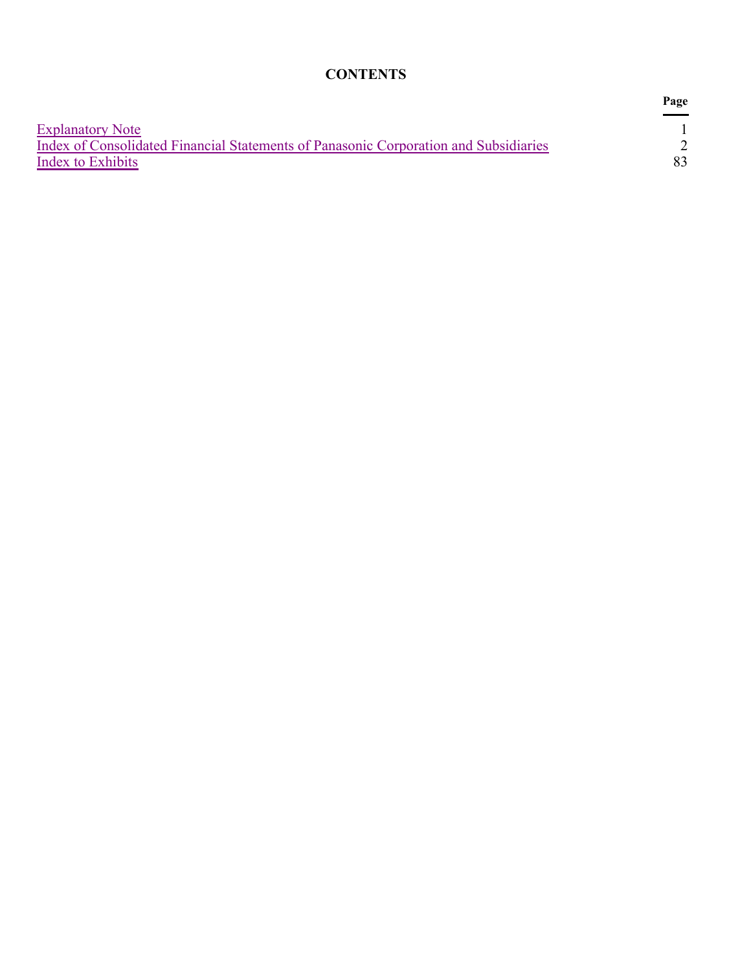# **CONTENTS**

|                                                                                      | Page |
|--------------------------------------------------------------------------------------|------|
| <b>Explanatory Note</b>                                                              |      |
| Index of Consolidated Financial Statements of Panasonic Corporation and Subsidiaries |      |
| Index to Exhibits                                                                    | 83.  |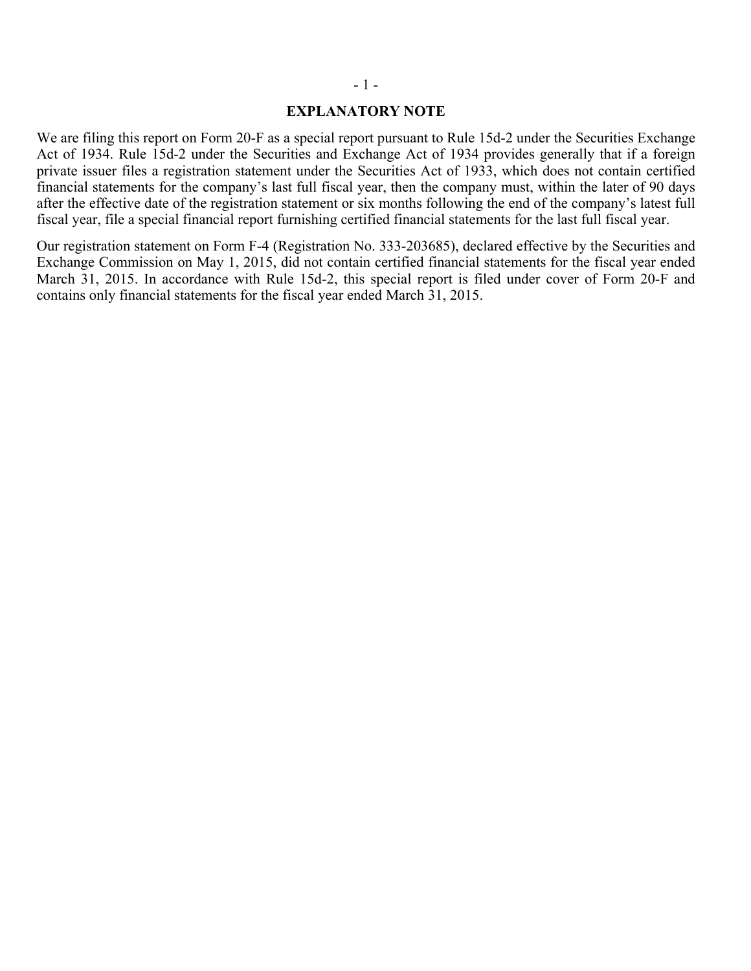#### - 1 -

#### **EXPLANATORY NOTE**

We are filing this report on Form 20-F as a special report pursuant to Rule 15d-2 under the Securities Exchange Act of 1934. Rule 15d-2 under the Securities and Exchange Act of 1934 provides generally that if a foreign private issuer files a registration statement under the Securities Act of 1933, which does not contain certified financial statements for the company's last full fiscal year, then the company must, within the later of 90 days after the effective date of the registration statement or six months following the end of the company's latest full fiscal year, file a special financial report furnishing certified financial statements for the last full fiscal year.

Our registration statement on Form F-4 (Registration No. 333-203685), declared effective by the Securities and Exchange Commission on May 1, 2015, did not contain certified financial statements for the fiscal year ended March 31, 2015. In accordance with Rule 15d-2, this special report is filed under cover of Form 20-F and contains only financial statements for the fiscal year ended March 31, 2015.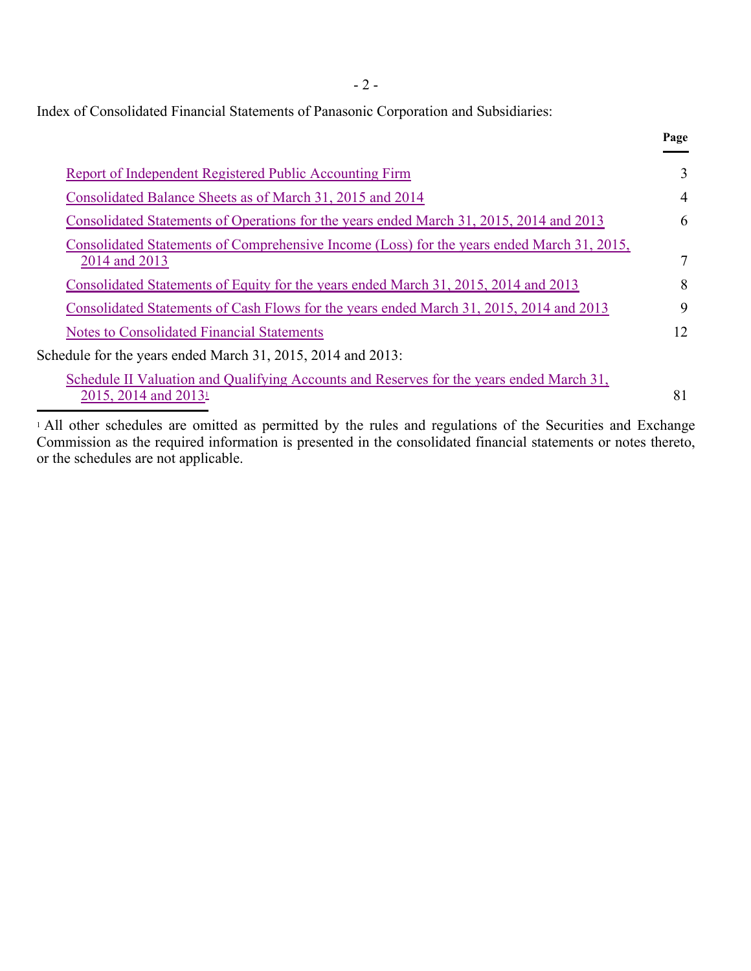- 2 -

**Page**

Index of Consolidated Financial Statements of Panasonic Corporation and Subsidiaries:

| Report of Independent Registered Public Accounting Firm                                                                      | 3              |
|------------------------------------------------------------------------------------------------------------------------------|----------------|
| Consolidated Balance Sheets as of March 31, 2015 and 2014                                                                    | $\overline{4}$ |
| Consolidated Statements of Operations for the years ended March 31, 2015, 2014 and 2013                                      | 6              |
| Consolidated Statements of Comprehensive Income (Loss) for the years ended March 31, 2015,<br>2014 and 2013                  |                |
| Consolidated Statements of Equity for the years ended March 31, 2015, 2014 and 2013                                          | 8              |
| Consolidated Statements of Cash Flows for the years ended March 31, 2015, 2014 and 2013                                      | 9              |
| <b>Notes to Consolidated Financial Statements</b>                                                                            | 12             |
| Schedule for the years ended March 31, 2015, 2014 and 2013:                                                                  |                |
| Schedule II Valuation and Qualifying Accounts and Reserves for the years ended March 31,<br>2015, 2014 and 2013 <sup>1</sup> | 81             |

 All other schedules are omitted as permitted by the rules and regulations of the Securities and Exchange Commission as the required information is presented in the consolidated financial statements or notes thereto, or the schedules are not applicable. 1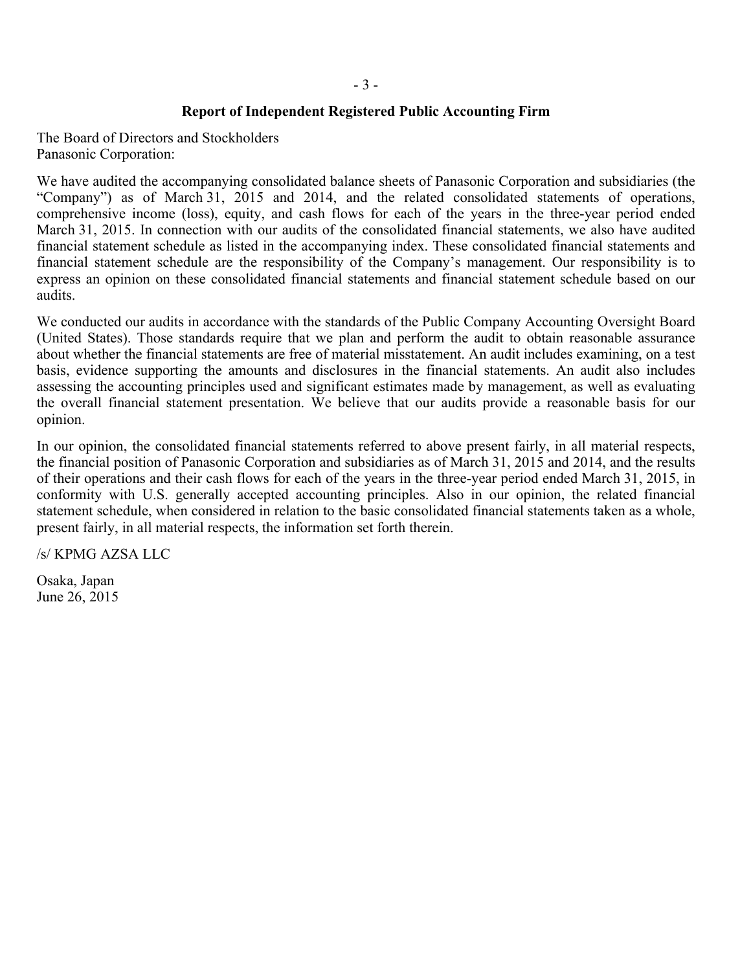## **Report of Independent Registered Public Accounting Firm**

The Board of Directors and Stockholders Panasonic Corporation:

We have audited the accompanying consolidated balance sheets of Panasonic Corporation and subsidiaries (the "Company") as of March 31, 2015 and 2014, and the related consolidated statements of operations, comprehensive income (loss), equity, and cash flows for each of the years in the three-year period ended March 31, 2015. In connection with our audits of the consolidated financial statements, we also have audited financial statement schedule as listed in the accompanying index. These consolidated financial statements and financial statement schedule are the responsibility of the Company's management. Our responsibility is to express an opinion on these consolidated financial statements and financial statement schedule based on our audits.

We conducted our audits in accordance with the standards of the Public Company Accounting Oversight Board (United States). Those standards require that we plan and perform the audit to obtain reasonable assurance about whether the financial statements are free of material misstatement. An audit includes examining, on a test basis, evidence supporting the amounts and disclosures in the financial statements. An audit also includes assessing the accounting principles used and significant estimates made by management, as well as evaluating the overall financial statement presentation. We believe that our audits provide a reasonable basis for our opinion.

In our opinion, the consolidated financial statements referred to above present fairly, in all material respects, the financial position of Panasonic Corporation and subsidiaries as of March 31, 2015 and 2014, and the results of their operations and their cash flows for each of the years in the three-year period ended March 31, 2015, in conformity with U.S. generally accepted accounting principles. Also in our opinion, the related financial statement schedule, when considered in relation to the basic consolidated financial statements taken as a whole, present fairly, in all material respects, the information set forth therein.

/s/ KPMG AZSA LLC

Osaka, Japan June 26, 2015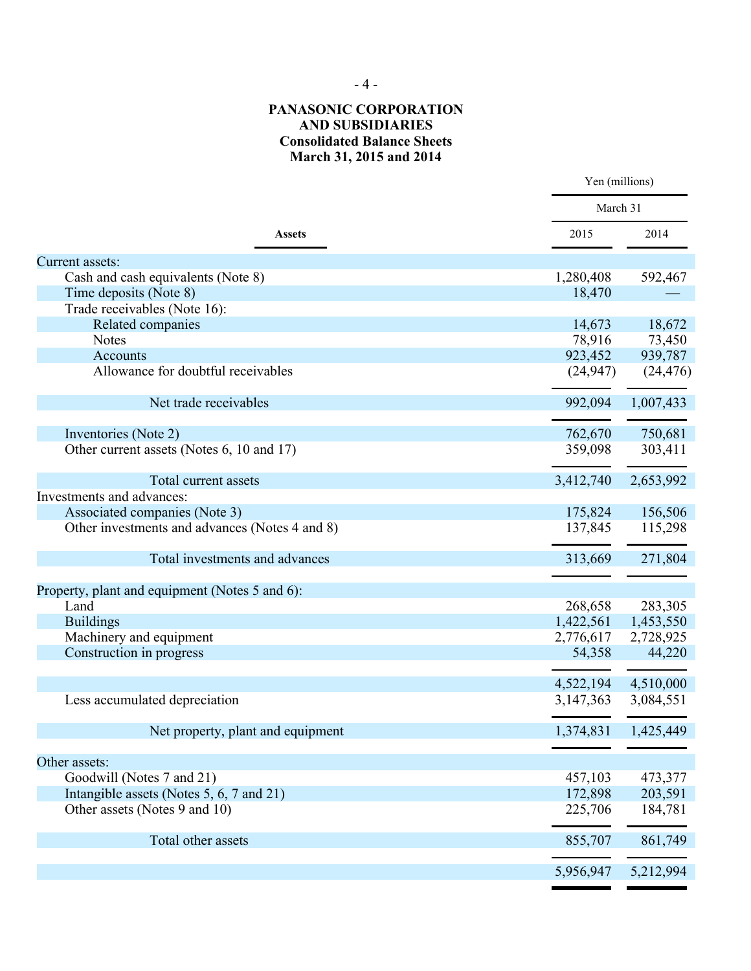- 4 -

### **PANASONIC CORPORATION AND SUBSIDIARIES Consolidated Balance Sheets March 31, 2015 and 2014**

|                                                |           | Yen (millions) |  |  |
|------------------------------------------------|-----------|----------------|--|--|
|                                                | March 31  |                |  |  |
| <b>Assets</b>                                  | 2015      | 2014           |  |  |
| Current assets:                                |           |                |  |  |
| Cash and cash equivalents (Note 8)             | 1,280,408 | 592,467        |  |  |
| Time deposits (Note 8)                         | 18,470    |                |  |  |
| Trade receivables (Note 16):                   |           |                |  |  |
| Related companies                              | 14,673    | 18,672         |  |  |
| <b>Notes</b>                                   | 78,916    | 73,450         |  |  |
| Accounts                                       | 923,452   | 939,787        |  |  |
| Allowance for doubtful receivables             | (24, 947) | (24, 476)      |  |  |
| Net trade receivables                          | 992,094   | 1,007,433      |  |  |
|                                                |           |                |  |  |
| Inventories (Note 2)                           | 762,670   | 750,681        |  |  |
| Other current assets (Notes 6, 10 and 17)      | 359,098   | 303,411        |  |  |
| Total current assets                           | 3,412,740 | 2,653,992      |  |  |
| Investments and advances:                      |           |                |  |  |
| Associated companies (Note 3)                  | 175,824   | 156,506        |  |  |
| Other investments and advances (Notes 4 and 8) | 137,845   | 115,298        |  |  |
| Total investments and advances                 | 313,669   | 271,804        |  |  |
| Property, plant and equipment (Notes 5 and 6): |           |                |  |  |
| Land                                           | 268,658   | 283,305        |  |  |
| <b>Buildings</b>                               | 1,422,561 | 1,453,550      |  |  |
| Machinery and equipment                        | 2,776,617 | 2,728,925      |  |  |
| Construction in progress                       | 54,358    | 44,220         |  |  |
|                                                | 4,522,194 | 4,510,000      |  |  |
| Less accumulated depreciation                  | 3,147,363 | 3,084,551      |  |  |
|                                                |           |                |  |  |
| Net property, plant and equipment              | 1,374,831 | 1,425,449      |  |  |
|                                                |           |                |  |  |
| Other assets:                                  |           |                |  |  |
| Goodwill (Notes 7 and 21)                      | 457,103   | 473,377        |  |  |
| Intangible assets (Notes 5, 6, 7 and 21)       | 172,898   | 203,591        |  |  |
| Other assets (Notes 9 and 10)                  | 225,706   | 184,781        |  |  |
| Total other assets                             | 855,707   | 861,749        |  |  |
|                                                | 5,956,947 | 5,212,994      |  |  |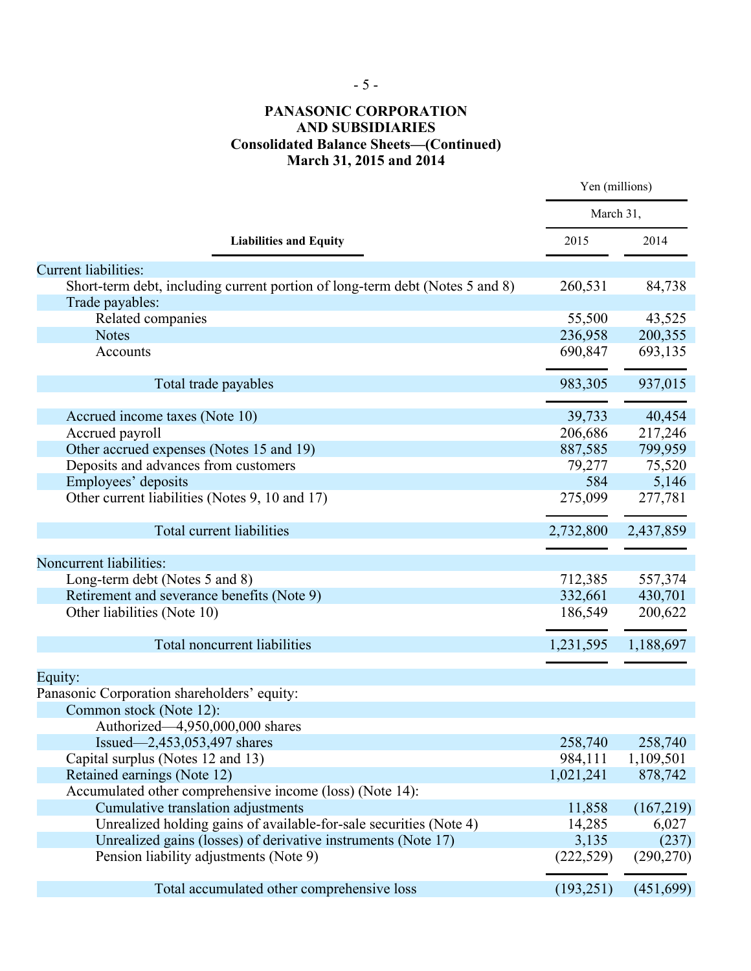# - 5 -

## **PANASONIC CORPORATION AND SUBSIDIARIES Consolidated Balance Sheets—(Continued) March 31, 2015 and 2014**

|                                                                              | Yen (millions) |            |
|------------------------------------------------------------------------------|----------------|------------|
|                                                                              | March 31,      |            |
| <b>Liabilities and Equity</b>                                                | 2015           | 2014       |
| Current liabilities:                                                         |                |            |
| Short-term debt, including current portion of long-term debt (Notes 5 and 8) | 260,531        | 84,738     |
| Trade payables:                                                              |                |            |
| Related companies                                                            | 55,500         | 43,525     |
| <b>Notes</b>                                                                 | 236,958        | 200,355    |
| Accounts                                                                     | 690,847        | 693,135    |
| Total trade payables                                                         | 983,305        | 937,015    |
|                                                                              |                |            |
| Accrued income taxes (Note 10)                                               | 39,733         | 40,454     |
| Accrued payroll                                                              | 206,686        | 217,246    |
| Other accrued expenses (Notes 15 and 19)                                     | 887,585        | 799,959    |
| Deposits and advances from customers                                         | 79,277         | 75,520     |
| Employees' deposits                                                          | 584            | 5,146      |
| Other current liabilities (Notes 9, 10 and 17)                               | 275,099        | 277,781    |
| Total current liabilities                                                    | 2,732,800      | 2,437,859  |
|                                                                              |                |            |
| Noncurrent liabilities:                                                      |                |            |
| Long-term debt (Notes 5 and 8)                                               | 712,385        | 557,374    |
| Retirement and severance benefits (Note 9)                                   | 332,661        | 430,701    |
| Other liabilities (Note 10)                                                  | 186,549        | 200,622    |
| Total noncurrent liabilities                                                 | 1,231,595      | 1,188,697  |
| Equity:                                                                      |                |            |
| Panasonic Corporation shareholders' equity:                                  |                |            |
| Common stock (Note 12):                                                      |                |            |
| Authorized-4,950,000,000 shares                                              |                |            |
| Issued—2,453,053,497 shares                                                  | 258,740        | 258,740    |
| Capital surplus (Notes 12 and 13)                                            | 984,111        | 1,109,501  |
| Retained earnings (Note 12)                                                  | 1,021,241      | 878,742    |
| Accumulated other comprehensive income (loss) (Note 14):                     |                |            |
| Cumulative translation adjustments                                           | 11,858         | (167,219)  |
| Unrealized holding gains of available-for-sale securities (Note 4)           | 14,285         | 6,027      |
| Unrealized gains (losses) of derivative instruments (Note 17)                | 3,135          | (237)      |
| Pension liability adjustments (Note 9)                                       | (222, 529)     | (290, 270) |
| Total accumulated other comprehensive loss                                   | (193, 251)     | (451,699)  |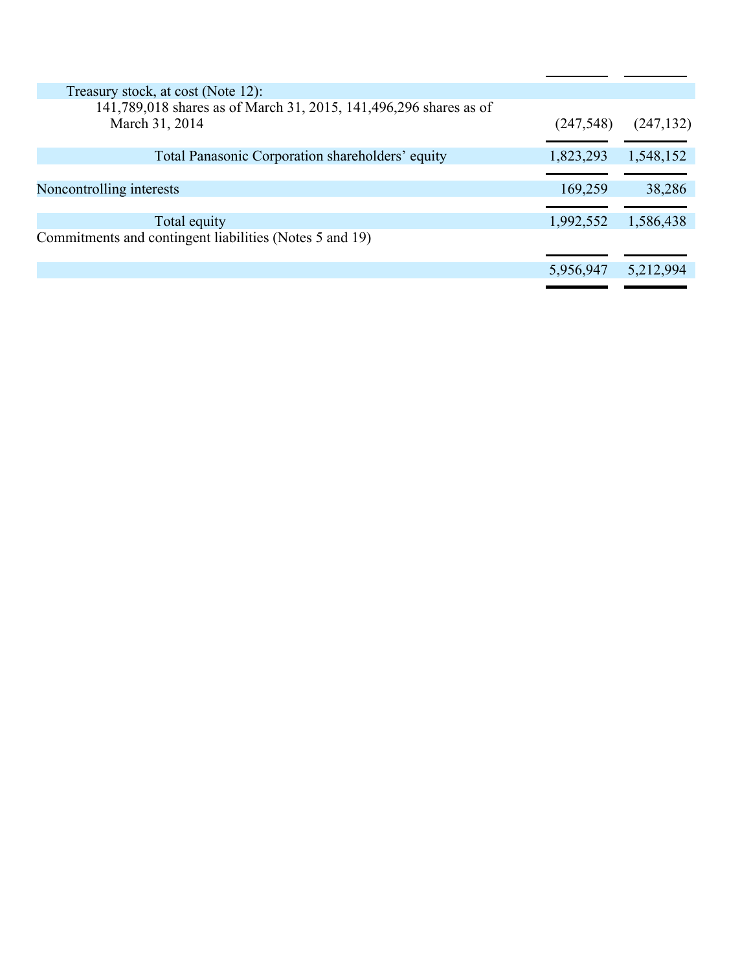| Treasury stock, at cost (Note 12):                                                  |            |            |
|-------------------------------------------------------------------------------------|------------|------------|
| 141,789,018 shares as of March 31, 2015, 141,496,296 shares as of<br>March 31, 2014 | (247, 548) | (247, 132) |
| Total Panasonic Corporation shareholders' equity                                    | 1,823,293  | 1,548,152  |
|                                                                                     |            |            |
| Noncontrolling interests                                                            | 169,259    | 38,286     |
|                                                                                     |            |            |
| Total equity                                                                        | 1,992,552  | 1,586,438  |
| Commitments and contingent liabilities (Notes 5 and 19)                             |            |            |
|                                                                                     |            |            |
|                                                                                     | 5,956,947  | 5,212,994  |
|                                                                                     |            |            |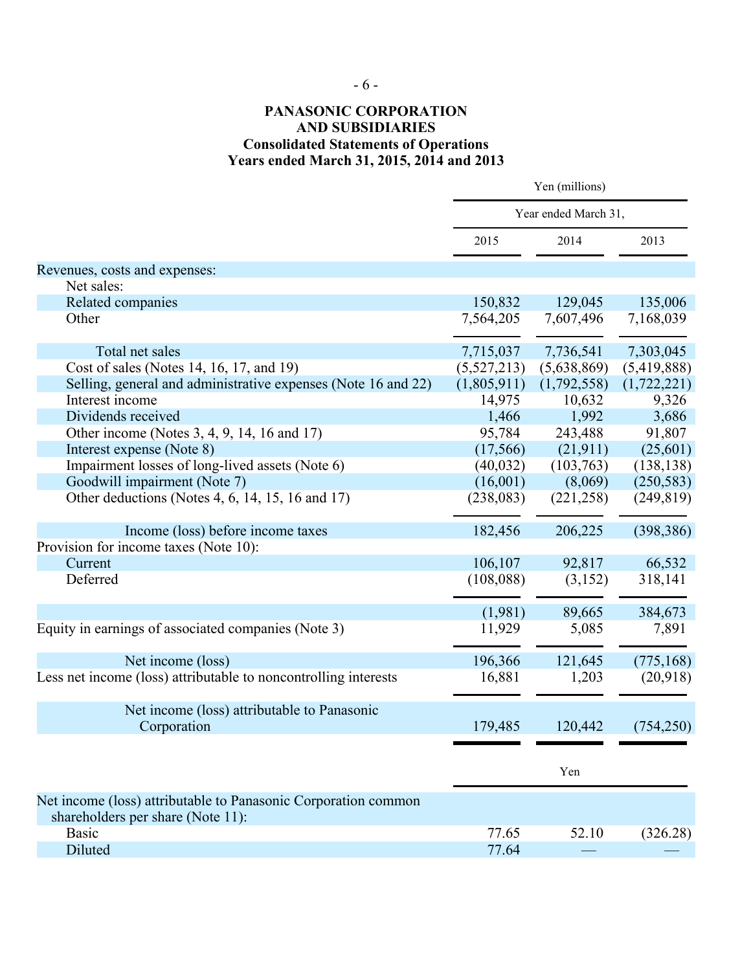## **PANASONIC CORPORATION AND SUBSIDIARIES Consolidated Statements of Operations Years ended March 31, 2015, 2014 and 2013**

|                                                                 | Yen (millions) |                      |             |  |
|-----------------------------------------------------------------|----------------|----------------------|-------------|--|
|                                                                 |                | Year ended March 31, |             |  |
|                                                                 | 2015           | 2014                 | 2013        |  |
| Revenues, costs and expenses:                                   |                |                      |             |  |
| Net sales:                                                      |                |                      |             |  |
| Related companies                                               | 150,832        | 129,045              | 135,006     |  |
| Other                                                           | 7,564,205      | 7,607,496            | 7,168,039   |  |
| Total net sales                                                 | 7,715,037      | 7,736,541            | 7,303,045   |  |
| Cost of sales (Notes 14, 16, 17, and 19)                        | (5, 527, 213)  | (5,638,869)          | (5,419,888) |  |
| Selling, general and administrative expenses (Note 16 and 22)   | (1,805,911)    | (1,792,558)          | (1,722,221) |  |
| Interest income                                                 | 14,975         | 10,632               | 9,326       |  |
| Dividends received                                              | 1,466          | 1,992                | 3,686       |  |
| Other income (Notes 3, 4, 9, 14, 16 and 17)                     | 95,784         | 243,488              | 91,807      |  |
| Interest expense (Note 8)                                       | (17, 566)      | (21, 911)            | (25,601)    |  |
| Impairment losses of long-lived assets (Note 6)                 | (40, 032)      | (103,763)            | (138, 138)  |  |
| Goodwill impairment (Note 7)                                    | (16,001)       | (8,069)              | (250, 583)  |  |
| Other deductions (Notes 4, 6, 14, 15, 16 and 17)                | (238, 083)     | (221, 258)           | (249, 819)  |  |
| Income (loss) before income taxes                               | 182,456        | 206,225              | (398, 386)  |  |
| Provision for income taxes (Note 10):                           |                |                      |             |  |
| Current                                                         | 106,107        | 92,817               | 66,532      |  |
| Deferred                                                        | (108, 088)     | (3,152)              | 318,141     |  |
|                                                                 | (1,981)        | 89,665               | 384,673     |  |
| Equity in earnings of associated companies (Note 3)             | 11,929         | 5,085                | 7,891       |  |
| Net income (loss)                                               | 196,366        | 121,645              | (775, 168)  |  |
| Less net income (loss) attributable to noncontrolling interests | 16,881         | 1,203                | (20,918)    |  |
| Net income (loss) attributable to Panasonic                     |                |                      |             |  |
| Corporation                                                     | 179,485        | 120,442              | (754, 250)  |  |
|                                                                 |                |                      |             |  |
|                                                                 |                | Yen                  |             |  |
| Net income (loss) attributable to Panasonic Corporation common  |                |                      |             |  |
| shareholders per share (Note 11):                               |                |                      |             |  |
| <b>Basic</b>                                                    | 77.65          | 52.10                | (326.28)    |  |
| Diluted                                                         | 77.64          |                      |             |  |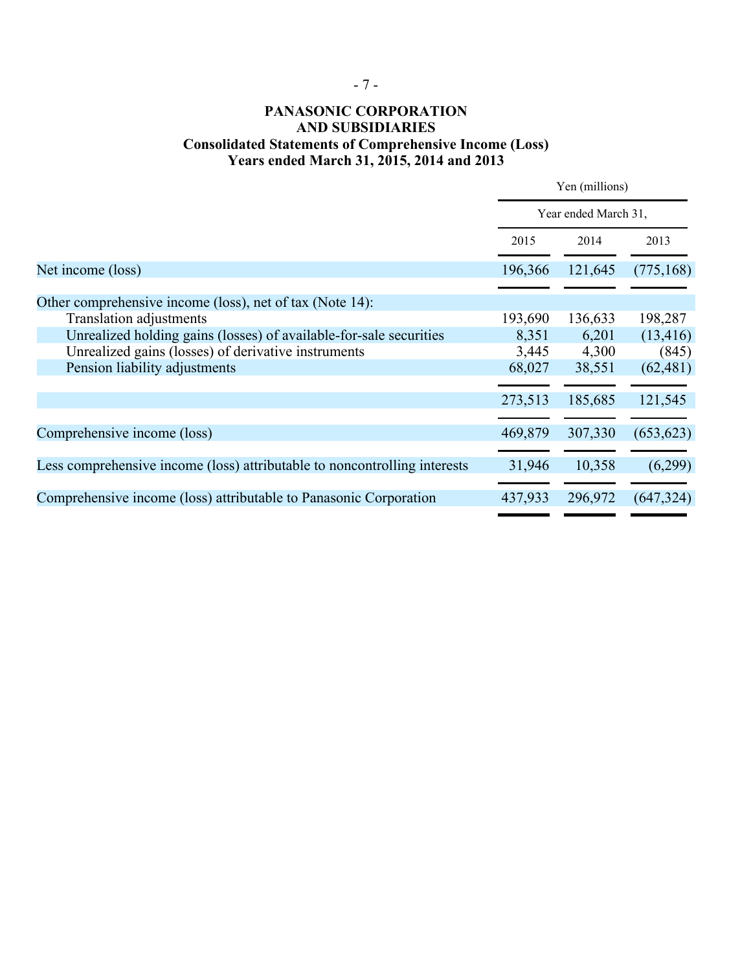## **PANASONIC CORPORATION AND SUBSIDIARIES Consolidated Statements of Comprehensive Income (Loss) Years ended March 31, 2015, 2014 and 2013**

|                                                                           | Yen (millions)<br>Year ended March 31, |         |            |
|---------------------------------------------------------------------------|----------------------------------------|---------|------------|
|                                                                           |                                        |         |            |
|                                                                           | 2015                                   | 2014    | 2013       |
| Net income (loss)                                                         | 196,366                                | 121,645 | (775, 168) |
| Other comprehensive income (loss), net of tax (Note 14):                  |                                        |         |            |
| <b>Translation adjustments</b>                                            | 193,690                                | 136,633 | 198,287    |
| Unrealized holding gains (losses) of available-for-sale securities        | 8,351                                  | 6,201   | (13, 416)  |
| Unrealized gains (losses) of derivative instruments                       | 3,445                                  | 4,300   | (845)      |
| Pension liability adjustments                                             | 68,027                                 | 38,551  | (62, 481)  |
|                                                                           |                                        |         |            |
|                                                                           | 273,513                                | 185,685 | 121,545    |
|                                                                           |                                        |         |            |
| Comprehensive income (loss)                                               | 469,879                                | 307,330 | (653, 623) |
|                                                                           |                                        |         |            |
| Less comprehensive income (loss) attributable to noncontrolling interests | 31,946                                 | 10,358  | (6,299)    |
|                                                                           |                                        |         |            |
| Comprehensive income (loss) attributable to Panasonic Corporation         | 437,933                                | 296,972 | (647, 324) |
|                                                                           |                                        |         |            |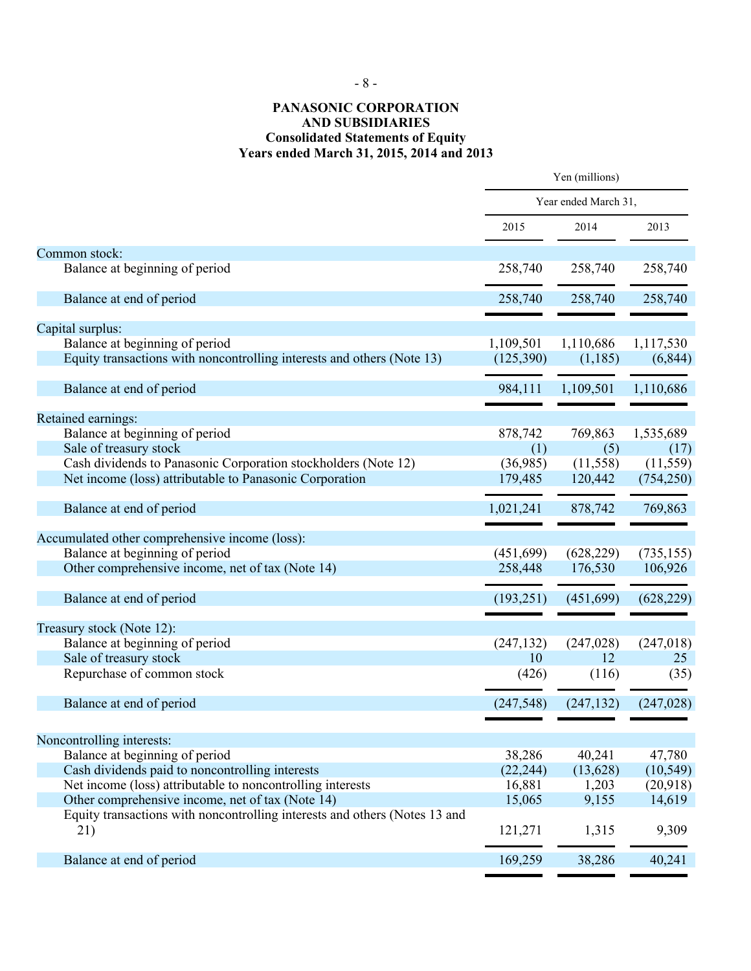#### **PANASONIC CORPORATION AND SUBSIDIARIES Consolidated Statements of Equity Years ended March 31, 2015, 2014 and 2013**

|                                                                                   | Yen (millions)<br>Year ended March 31, |            |            |
|-----------------------------------------------------------------------------------|----------------------------------------|------------|------------|
|                                                                                   |                                        |            |            |
|                                                                                   | 2015                                   | 2014       | 2013       |
| Common stock:                                                                     |                                        |            |            |
| Balance at beginning of period                                                    | 258,740                                | 258,740    | 258,740    |
| Balance at end of period                                                          | 258,740                                | 258,740    | 258,740    |
| Capital surplus:                                                                  |                                        |            |            |
| Balance at beginning of period                                                    | 1,109,501                              | 1,110,686  | 1,117,530  |
| Equity transactions with noncontrolling interests and others (Note 13)            | (125,390)                              | (1, 185)   | (6, 844)   |
| Balance at end of period                                                          | 984,111                                | 1,109,501  | 1,110,686  |
| Retained earnings:                                                                |                                        |            |            |
| Balance at beginning of period                                                    | 878,742                                | 769,863    | 1,535,689  |
| Sale of treasury stock                                                            | (1)                                    | (5)        | (17)       |
| Cash dividends to Panasonic Corporation stockholders (Note 12)                    | (36,985)                               | (11,558)   | (11, 559)  |
| Net income (loss) attributable to Panasonic Corporation                           | 179,485                                | 120,442    | (754, 250) |
| Balance at end of period                                                          | 1,021,241                              | 878,742    | 769,863    |
| Accumulated other comprehensive income (loss):                                    |                                        |            |            |
| Balance at beginning of period                                                    | (451, 699)                             | (628, 229) | (735, 155) |
| Other comprehensive income, net of tax (Note 14)                                  | 258,448                                | 176,530    | 106,926    |
| Balance at end of period                                                          | (193, 251)                             | (451,699)  | (628, 229) |
| Treasury stock (Note 12):                                                         |                                        |            |            |
| Balance at beginning of period                                                    | (247, 132)                             | (247, 028) | (247, 018) |
| Sale of treasury stock                                                            | 10                                     | 12         | 25         |
| Repurchase of common stock                                                        | (426)                                  | (116)      | (35)       |
| Balance at end of period                                                          | (247, 548)                             | (247, 132) | (247, 028) |
|                                                                                   |                                        |            |            |
| Noncontrolling interests:                                                         |                                        |            |            |
| Balance at beginning of period                                                    | 38,286                                 | 40,241     | 47,780     |
| Cash dividends paid to noncontrolling interests                                   | (22, 244)                              | (13,628)   | (10, 549)  |
| Net income (loss) attributable to noncontrolling interests                        | 16,881                                 | 1,203      | (20,918)   |
| Other comprehensive income, net of tax (Note 14)                                  | 15,065                                 | 9,155      | 14,619     |
| Equity transactions with noncontrolling interests and others (Notes 13 and<br>21) | 121,271                                | 1,315      | 9,309      |
| Balance at end of period                                                          | 169,259                                | 38,286     | 40,241     |
|                                                                                   |                                        |            |            |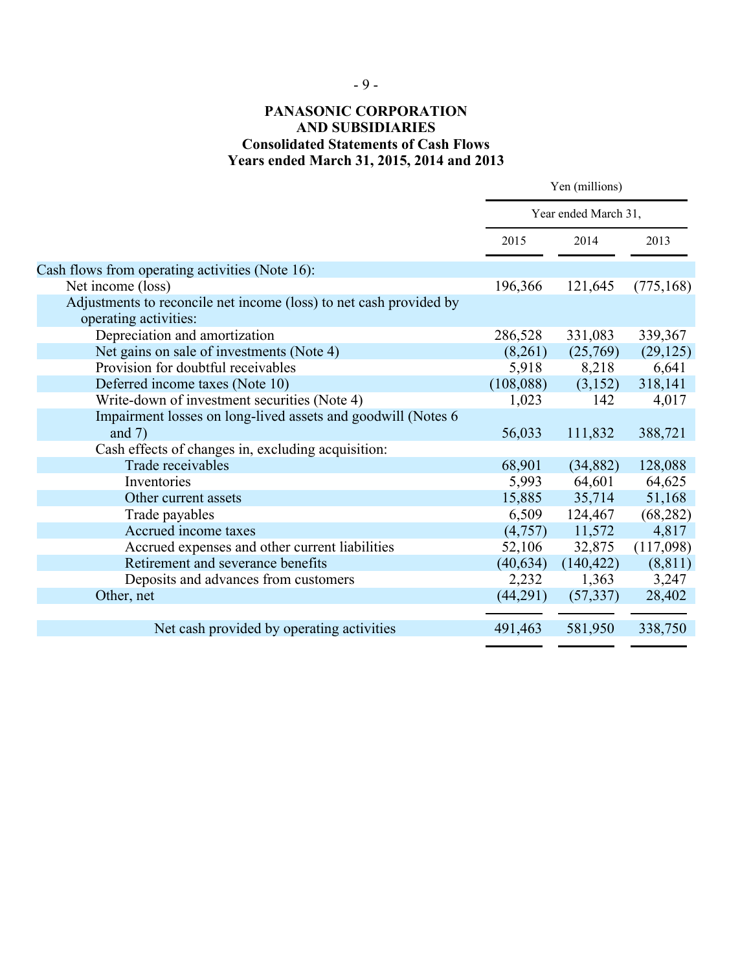## - 9 -

## **PANASONIC CORPORATION AND SUBSIDIARIES Consolidated Statements of Cash Flows Years ended March 31, 2015, 2014 and 2013**

|                                                                                             | Yen (millions)       |                     |                  |
|---------------------------------------------------------------------------------------------|----------------------|---------------------|------------------|
|                                                                                             | Year ended March 31, |                     |                  |
|                                                                                             | 2015                 | 2014                | 2013             |
| Cash flows from operating activities (Note 16):                                             |                      |                     |                  |
| Net income (loss)                                                                           | 196,366              | 121,645             | (775, 168)       |
| Adjustments to reconcile net income (loss) to net cash provided by<br>operating activities: |                      |                     |                  |
| Depreciation and amortization                                                               | 286,528              | 331,083             | 339,367          |
| Net gains on sale of investments (Note 4)                                                   | (8,261)              | (25,769)            | (29, 125)        |
| Provision for doubtful receivables                                                          | 5,918                | 8,218               | 6,641            |
| Deferred income taxes (Note 10)                                                             | (108,088)            | (3,152)             | 318,141          |
| Write-down of investment securities (Note 4)                                                | 1,023                | 142                 | 4,017            |
| Impairment losses on long-lived assets and goodwill (Notes 6<br>and $7)$                    | 56,033               | 111,832             | 388,721          |
| Cash effects of changes in, excluding acquisition:                                          |                      |                     |                  |
| Trade receivables<br>Inventories                                                            | 68,901<br>5,993      | (34, 882)<br>64,601 | 128,088          |
| Other current assets                                                                        | 15,885               | 35,714              | 64,625<br>51,168 |
| Trade payables                                                                              | 6,509                | 124,467             | (68, 282)        |
| Accrued income taxes                                                                        | (4,757)              | 11,572              | 4,817            |
| Accrued expenses and other current liabilities                                              | 52,106               | 32,875              | (117,098)        |
| Retirement and severance benefits                                                           | (40, 634)            | (140, 422)          | (8, 811)         |
| Deposits and advances from customers                                                        | 2,232                | 1,363               | 3,247            |
| Other, net                                                                                  | (44,291)             | (57, 337)           | 28,402           |
|                                                                                             |                      |                     |                  |
| Net cash provided by operating activities                                                   | 491,463              | 581,950             | 338,750          |
|                                                                                             |                      |                     |                  |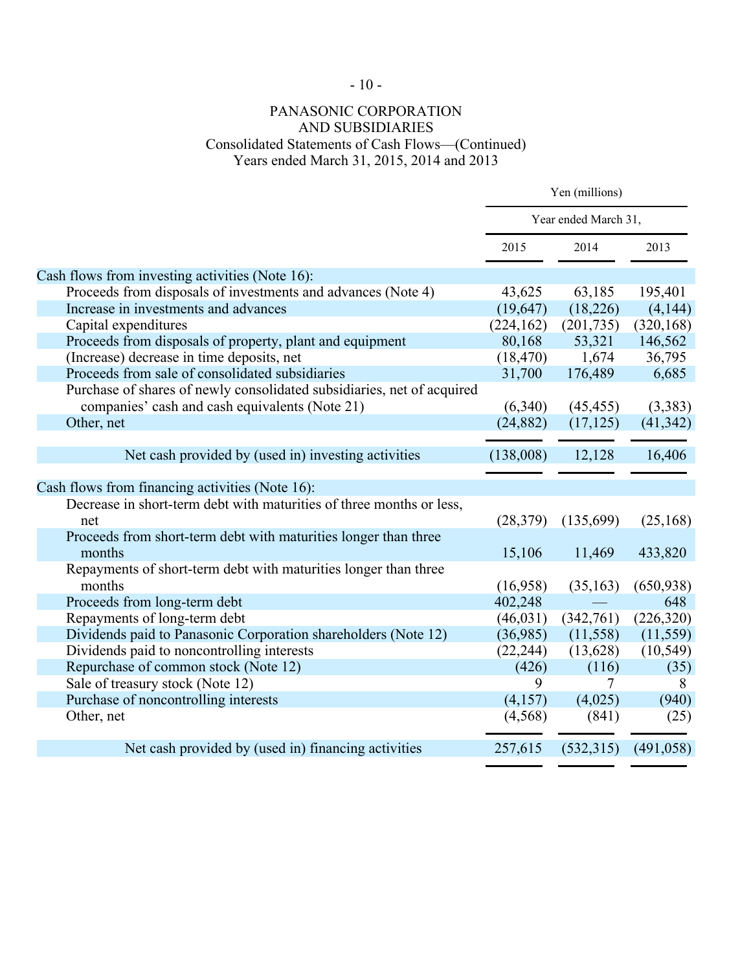# $-10-$

## PANASONIC CORPORATION AND SUBSIDIARIES Consolidated Statements of Cash Flows—(Continued) Years ended March 31, 2015, 2014 and 2013

|                                                                        | Yen (millions)       |            |            |
|------------------------------------------------------------------------|----------------------|------------|------------|
|                                                                        | Year ended March 31, |            |            |
|                                                                        | 2015                 | 2014       | 2013       |
| Cash flows from investing activities (Note 16):                        |                      |            |            |
| Proceeds from disposals of investments and advances (Note 4)           | 43,625               | 63,185     | 195,401    |
| Increase in investments and advances                                   | (19, 647)            | (18,226)   | (4,144)    |
| Capital expenditures                                                   | (224, 162)           | (201, 735) | (320, 168) |
| Proceeds from disposals of property, plant and equipment               | 80,168               | 53,321     | 146,562    |
| (Increase) decrease in time deposits, net                              | (18, 470)            | 1,674      | 36,795     |
| Proceeds from sale of consolidated subsidiaries                        | 31,700               | 176,489    | 6,685      |
| Purchase of shares of newly consolidated subsidiaries, net of acquired |                      |            |            |
| companies' cash and cash equivalents (Note 21)                         | (6,340)              | (45, 455)  | (3,383)    |
| Other, net                                                             | (24, 882)            | (17, 125)  | (41, 342)  |
|                                                                        |                      |            |            |
| Net cash provided by (used in) investing activities                    | (138,008)            | 12,128     | 16,406     |
|                                                                        |                      |            |            |
| Cash flows from financing activities (Note 16):                        |                      |            |            |
| Decrease in short-term debt with maturities of three months or less,   |                      |            |            |
| net                                                                    | (28, 379)            | (135,699)  | (25, 168)  |
| Proceeds from short-term debt with maturities longer than three        |                      |            |            |
| months                                                                 | 15,106               | 11,469     | 433,820    |
| Repayments of short-term debt with maturities longer than three        |                      |            |            |
| months                                                                 | (16,958)             | (35, 163)  | (650, 938) |
| Proceeds from long-term debt                                           | 402,248              |            | 648        |
| Repayments of long-term debt                                           | (46, 031)            | (342,761)  | (226, 320) |
| Dividends paid to Panasonic Corporation shareholders (Note 12)         | (36,985)             | (11, 558)  | (11, 559)  |
| Dividends paid to noncontrolling interests                             | (22, 244)            | (13,628)   | (10, 549)  |
| Repurchase of common stock (Note 12)                                   | (426)                | (116)      | (35)       |
| Sale of treasury stock (Note 12)                                       | 9                    | 7          | 8          |
| Purchase of noncontrolling interests                                   | (4,157)              | (4,025)    | (940)      |
| Other, net                                                             | (4,568)              | (841)      | (25)       |
|                                                                        |                      |            |            |
| Net cash provided by (used in) financing activities                    | 257,615              | (532,315)  | (491, 058) |
|                                                                        |                      |            |            |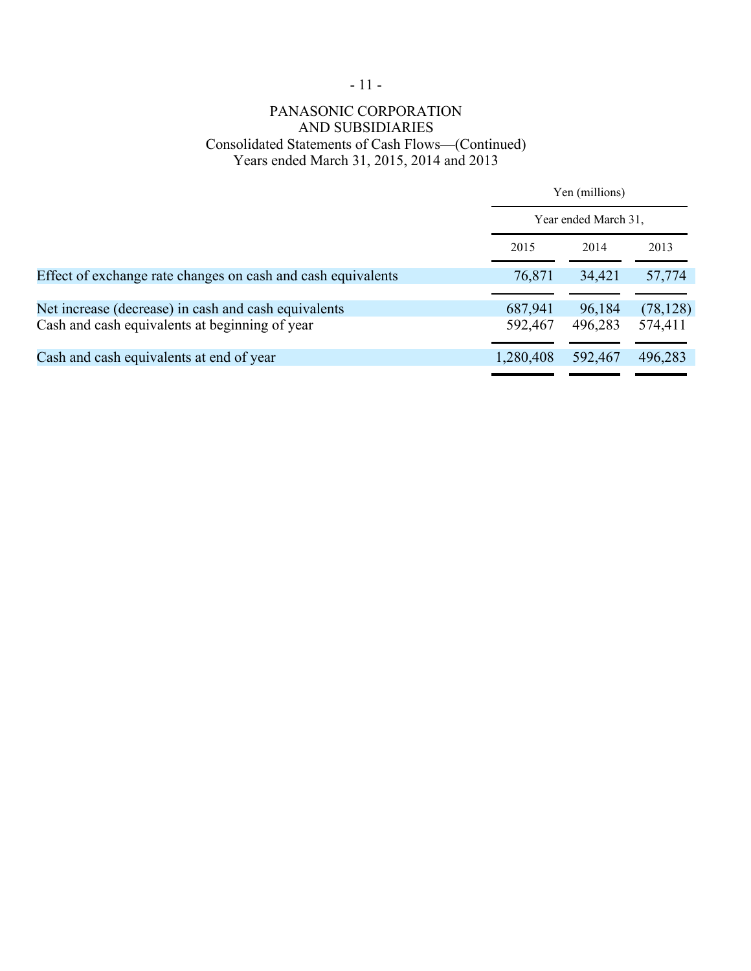# $\sim 11$  -

## PANASONIC CORPORATION AND SUBSIDIARIES Consolidated Statements of Cash Flows—(Continued) Years ended March 31, 2015, 2014 and 2013

|                                                              |           | Yen (millions)<br>Year ended March 31. |           |  |
|--------------------------------------------------------------|-----------|----------------------------------------|-----------|--|
|                                                              |           |                                        |           |  |
|                                                              | 2015      | 2014                                   | 2013      |  |
| Effect of exchange rate changes on cash and cash equivalents | 76,871    | 34,421                                 | 57,774    |  |
| Net increase (decrease) in cash and cash equivalents         | 687,941   | 96,184                                 | (78, 128) |  |
| Cash and cash equivalents at beginning of year               | 592,467   | 496,283                                | 574,411   |  |
| Cash and cash equivalents at end of year                     | 1,280,408 | 592,467                                | 496,283   |  |
|                                                              |           |                                        |           |  |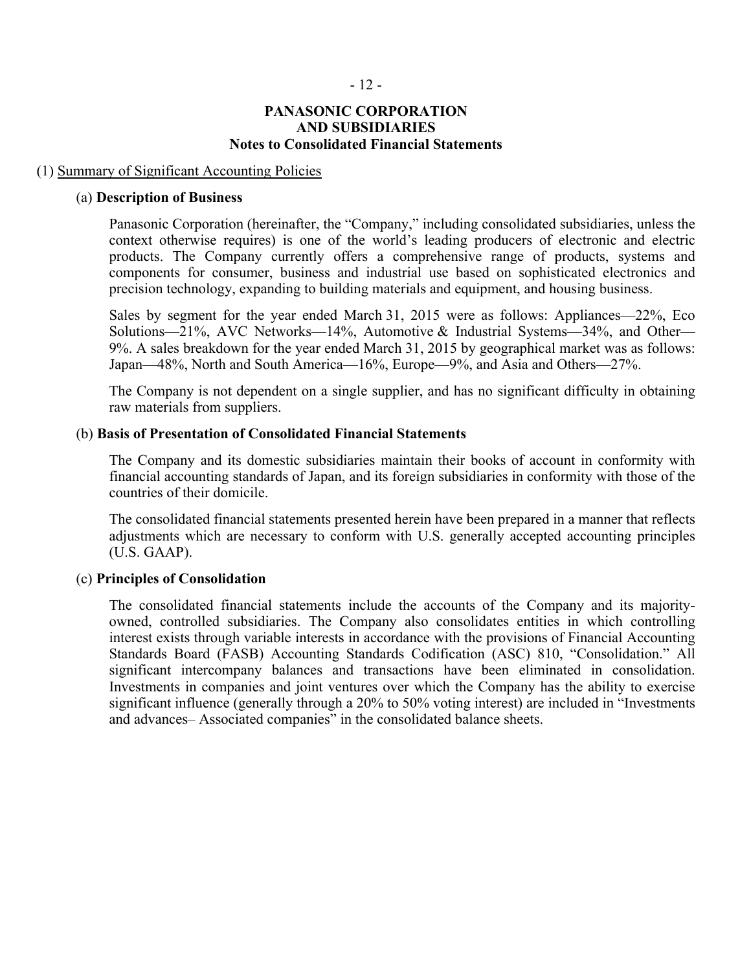#### **PANASONIC CORPORATION AND SUBSIDIARIES Notes to Consolidated Financial Statements**

#### (1) Summary of Significant Accounting Policies

#### (a) **Description of Business**

Panasonic Corporation (hereinafter, the "Company," including consolidated subsidiaries, unless the context otherwise requires) is one of the world's leading producers of electronic and electric products. The Company currently offers a comprehensive range of products, systems and components for consumer, business and industrial use based on sophisticated electronics and precision technology, expanding to building materials and equipment, and housing business.

Sales by segment for the year ended March 31, 2015 were as follows: Appliances—22%, Eco Solutions—21%, AVC Networks—14%, Automotive & Industrial Systems—34%, and Other— 9%. A sales breakdown for the year ended March 31, 2015 by geographical market was as follows: Japan—48%, North and South America—16%, Europe—9%, and Asia and Others—27%.

The Company is not dependent on a single supplier, and has no significant difficulty in obtaining raw materials from suppliers.

#### (b) **Basis of Presentation of Consolidated Financial Statements**

The Company and its domestic subsidiaries maintain their books of account in conformity with financial accounting standards of Japan, and its foreign subsidiaries in conformity with those of the countries of their domicile.

The consolidated financial statements presented herein have been prepared in a manner that reflects adjustments which are necessary to conform with U.S. generally accepted accounting principles (U.S. GAAP).

#### (c) **Principles of Consolidation**

The consolidated financial statements include the accounts of the Company and its majorityowned, controlled subsidiaries. The Company also consolidates entities in which controlling interest exists through variable interests in accordance with the provisions of Financial Accounting Standards Board (FASB) Accounting Standards Codification (ASC) 810, "Consolidation." All significant intercompany balances and transactions have been eliminated in consolidation. Investments in companies and joint ventures over which the Company has the ability to exercise significant influence (generally through a 20% to 50% voting interest) are included in "Investments and advances– Associated companies" in the consolidated balance sheets.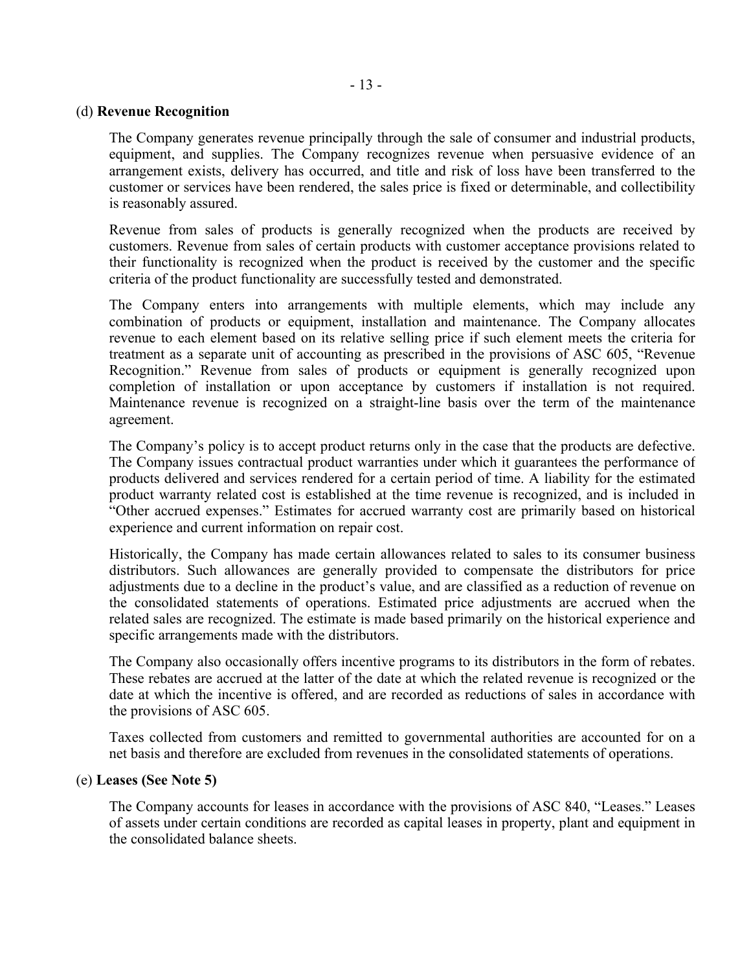### (d) **Revenue Recognition**

The Company generates revenue principally through the sale of consumer and industrial products, equipment, and supplies. The Company recognizes revenue when persuasive evidence of an arrangement exists, delivery has occurred, and title and risk of loss have been transferred to the customer or services have been rendered, the sales price is fixed or determinable, and collectibility is reasonably assured.

Revenue from sales of products is generally recognized when the products are received by customers. Revenue from sales of certain products with customer acceptance provisions related to their functionality is recognized when the product is received by the customer and the specific criteria of the product functionality are successfully tested and demonstrated.

The Company enters into arrangements with multiple elements, which may include any combination of products or equipment, installation and maintenance. The Company allocates revenue to each element based on its relative selling price if such element meets the criteria for treatment as a separate unit of accounting as prescribed in the provisions of ASC 605, "Revenue Recognition." Revenue from sales of products or equipment is generally recognized upon completion of installation or upon acceptance by customers if installation is not required. Maintenance revenue is recognized on a straight-line basis over the term of the maintenance agreement.

The Company's policy is to accept product returns only in the case that the products are defective. The Company issues contractual product warranties under which it guarantees the performance of products delivered and services rendered for a certain period of time. A liability for the estimated product warranty related cost is established at the time revenue is recognized, and is included in "Other accrued expenses." Estimates for accrued warranty cost are primarily based on historical experience and current information on repair cost.

Historically, the Company has made certain allowances related to sales to its consumer business distributors. Such allowances are generally provided to compensate the distributors for price adjustments due to a decline in the product's value, and are classified as a reduction of revenue on the consolidated statements of operations. Estimated price adjustments are accrued when the related sales are recognized. The estimate is made based primarily on the historical experience and specific arrangements made with the distributors.

The Company also occasionally offers incentive programs to its distributors in the form of rebates. These rebates are accrued at the latter of the date at which the related revenue is recognized or the date at which the incentive is offered, and are recorded as reductions of sales in accordance with the provisions of ASC 605.

Taxes collected from customers and remitted to governmental authorities are accounted for on a net basis and therefore are excluded from revenues in the consolidated statements of operations.

#### (e) **Leases (See Note 5)**

The Company accounts for leases in accordance with the provisions of ASC 840, "Leases." Leases of assets under certain conditions are recorded as capital leases in property, plant and equipment in the consolidated balance sheets.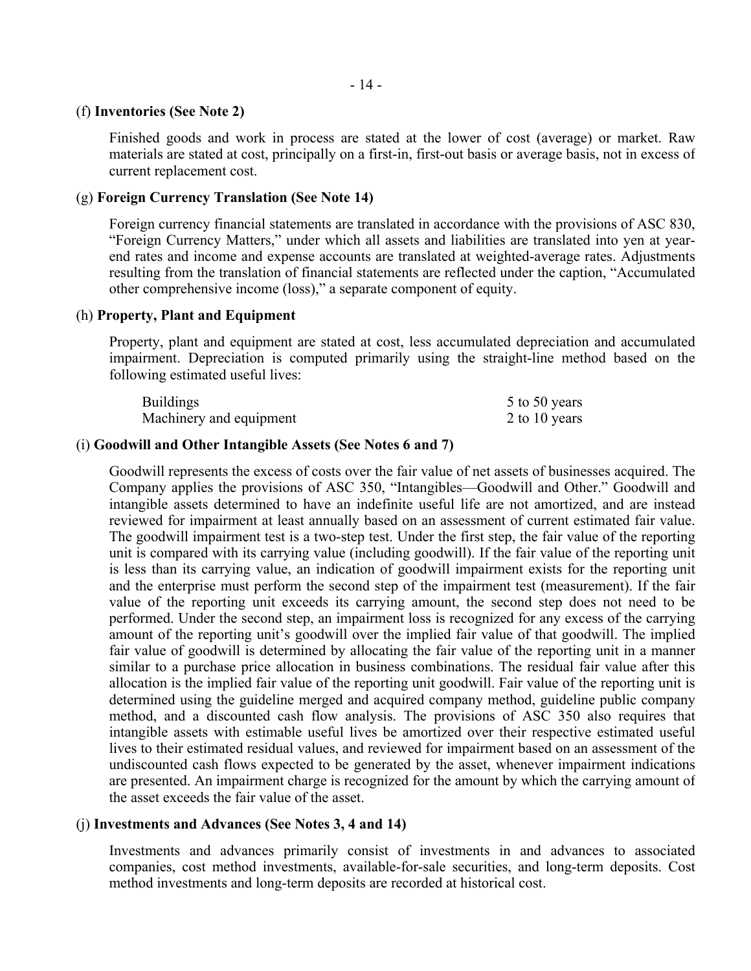#### (f) **Inventories (See Note 2)**

Finished goods and work in process are stated at the lower of cost (average) or market. Raw materials are stated at cost, principally on a first-in, first-out basis or average basis, not in excess of current replacement cost.

#### (g) **Foreign Currency Translation (See Note 14)**

Foreign currency financial statements are translated in accordance with the provisions of ASC 830, "Foreign Currency Matters," under which all assets and liabilities are translated into yen at yearend rates and income and expense accounts are translated at weighted-average rates. Adjustments resulting from the translation of financial statements are reflected under the caption, "Accumulated other comprehensive income (loss)," a separate component of equity.

#### (h) **Property, Plant and Equipment**

Property, plant and equipment are stated at cost, less accumulated depreciation and accumulated impairment. Depreciation is computed primarily using the straight-line method based on the following estimated useful lives:

| <b>Buildings</b>        | 5 to 50 years |
|-------------------------|---------------|
| Machinery and equipment | 2 to 10 years |

#### (i) **Goodwill and Other Intangible Assets (See Notes 6 and 7)**

Goodwill represents the excess of costs over the fair value of net assets of businesses acquired. The Company applies the provisions of ASC 350, "Intangibles—Goodwill and Other." Goodwill and intangible assets determined to have an indefinite useful life are not amortized, and are instead reviewed for impairment at least annually based on an assessment of current estimated fair value. The goodwill impairment test is a two-step test. Under the first step, the fair value of the reporting unit is compared with its carrying value (including goodwill). If the fair value of the reporting unit is less than its carrying value, an indication of goodwill impairment exists for the reporting unit and the enterprise must perform the second step of the impairment test (measurement). If the fair value of the reporting unit exceeds its carrying amount, the second step does not need to be performed. Under the second step, an impairment loss is recognized for any excess of the carrying amount of the reporting unit's goodwill over the implied fair value of that goodwill. The implied fair value of goodwill is determined by allocating the fair value of the reporting unit in a manner similar to a purchase price allocation in business combinations. The residual fair value after this allocation is the implied fair value of the reporting unit goodwill. Fair value of the reporting unit is determined using the guideline merged and acquired company method, guideline public company method, and a discounted cash flow analysis. The provisions of ASC 350 also requires that intangible assets with estimable useful lives be amortized over their respective estimated useful lives to their estimated residual values, and reviewed for impairment based on an assessment of the undiscounted cash flows expected to be generated by the asset, whenever impairment indications are presented. An impairment charge is recognized for the amount by which the carrying amount of the asset exceeds the fair value of the asset.

#### (j) **Investments and Advances (See Notes 3, 4 and 14)**

Investments and advances primarily consist of investments in and advances to associated companies, cost method investments, available-for-sale securities, and long-term deposits. Cost method investments and long-term deposits are recorded at historical cost.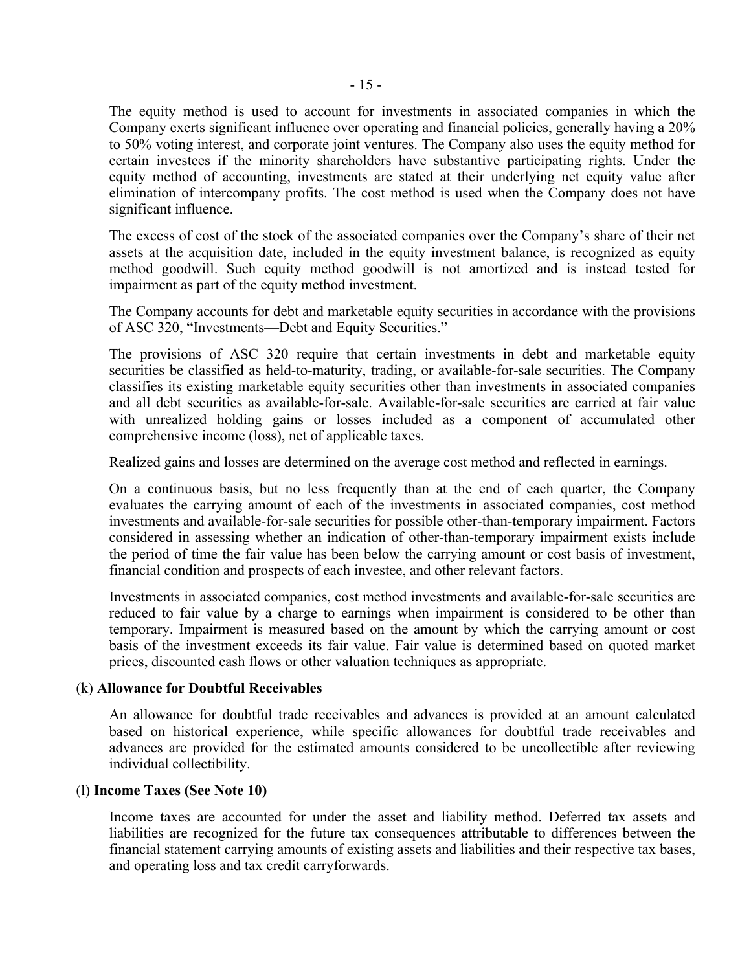The equity method is used to account for investments in associated companies in which the Company exerts significant influence over operating and financial policies, generally having a 20% to 50% voting interest, and corporate joint ventures. The Company also uses the equity method for certain investees if the minority shareholders have substantive participating rights. Under the equity method of accounting, investments are stated at their underlying net equity value after elimination of intercompany profits. The cost method is used when the Company does not have significant influence.

The excess of cost of the stock of the associated companies over the Company's share of their net assets at the acquisition date, included in the equity investment balance, is recognized as equity method goodwill. Such equity method goodwill is not amortized and is instead tested for impairment as part of the equity method investment.

The Company accounts for debt and marketable equity securities in accordance with the provisions of ASC 320, "Investments—Debt and Equity Securities."

The provisions of ASC 320 require that certain investments in debt and marketable equity securities be classified as held-to-maturity, trading, or available-for-sale securities. The Company classifies its existing marketable equity securities other than investments in associated companies and all debt securities as available-for-sale. Available-for-sale securities are carried at fair value with unrealized holding gains or losses included as a component of accumulated other comprehensive income (loss), net of applicable taxes.

Realized gains and losses are determined on the average cost method and reflected in earnings.

On a continuous basis, but no less frequently than at the end of each quarter, the Company evaluates the carrying amount of each of the investments in associated companies, cost method investments and available-for-sale securities for possible other-than-temporary impairment. Factors considered in assessing whether an indication of other-than-temporary impairment exists include the period of time the fair value has been below the carrying amount or cost basis of investment, financial condition and prospects of each investee, and other relevant factors.

Investments in associated companies, cost method investments and available-for-sale securities are reduced to fair value by a charge to earnings when impairment is considered to be other than temporary. Impairment is measured based on the amount by which the carrying amount or cost basis of the investment exceeds its fair value. Fair value is determined based on quoted market prices, discounted cash flows or other valuation techniques as appropriate.

#### (k) **Allowance for Doubtful Receivables**

An allowance for doubtful trade receivables and advances is provided at an amount calculated based on historical experience, while specific allowances for doubtful trade receivables and advances are provided for the estimated amounts considered to be uncollectible after reviewing individual collectibility.

#### (l) **Income Taxes (See Note 10)**

Income taxes are accounted for under the asset and liability method. Deferred tax assets and liabilities are recognized for the future tax consequences attributable to differences between the financial statement carrying amounts of existing assets and liabilities and their respective tax bases, and operating loss and tax credit carryforwards.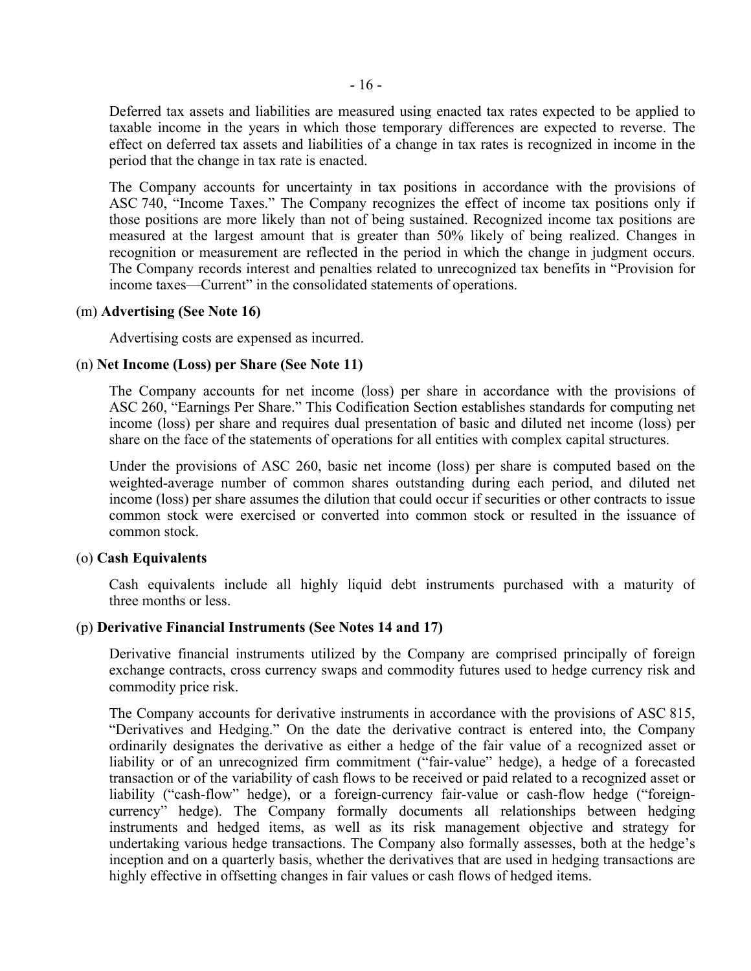Deferred tax assets and liabilities are measured using enacted tax rates expected to be applied to taxable income in the years in which those temporary differences are expected to reverse. The effect on deferred tax assets and liabilities of a change in tax rates is recognized in income in the period that the change in tax rate is enacted.

The Company accounts for uncertainty in tax positions in accordance with the provisions of ASC 740, "Income Taxes." The Company recognizes the effect of income tax positions only if those positions are more likely than not of being sustained. Recognized income tax positions are measured at the largest amount that is greater than 50% likely of being realized. Changes in recognition or measurement are reflected in the period in which the change in judgment occurs. The Company records interest and penalties related to unrecognized tax benefits in "Provision for income taxes—Current" in the consolidated statements of operations.

#### (m) **Advertising (See Note 16)**

Advertising costs are expensed as incurred.

#### (n) **Net Income (Loss) per Share (See Note 11)**

The Company accounts for net income (loss) per share in accordance with the provisions of ASC 260, "Earnings Per Share." This Codification Section establishes standards for computing net income (loss) per share and requires dual presentation of basic and diluted net income (loss) per share on the face of the statements of operations for all entities with complex capital structures.

Under the provisions of ASC 260, basic net income (loss) per share is computed based on the weighted-average number of common shares outstanding during each period, and diluted net income (loss) per share assumes the dilution that could occur if securities or other contracts to issue common stock were exercised or converted into common stock or resulted in the issuance of common stock.

#### (o) **Cash Equivalents**

Cash equivalents include all highly liquid debt instruments purchased with a maturity of three months or less.

#### (p) **Derivative Financial Instruments (See Notes 14 and 17)**

Derivative financial instruments utilized by the Company are comprised principally of foreign exchange contracts, cross currency swaps and commodity futures used to hedge currency risk and commodity price risk.

The Company accounts for derivative instruments in accordance with the provisions of ASC 815, "Derivatives and Hedging." On the date the derivative contract is entered into, the Company ordinarily designates the derivative as either a hedge of the fair value of a recognized asset or liability or of an unrecognized firm commitment ("fair-value" hedge), a hedge of a forecasted transaction or of the variability of cash flows to be received or paid related to a recognized asset or liability ("cash-flow" hedge), or a foreign-currency fair-value or cash-flow hedge ("foreigncurrency" hedge). The Company formally documents all relationships between hedging instruments and hedged items, as well as its risk management objective and strategy for undertaking various hedge transactions. The Company also formally assesses, both at the hedge's inception and on a quarterly basis, whether the derivatives that are used in hedging transactions are highly effective in offsetting changes in fair values or cash flows of hedged items.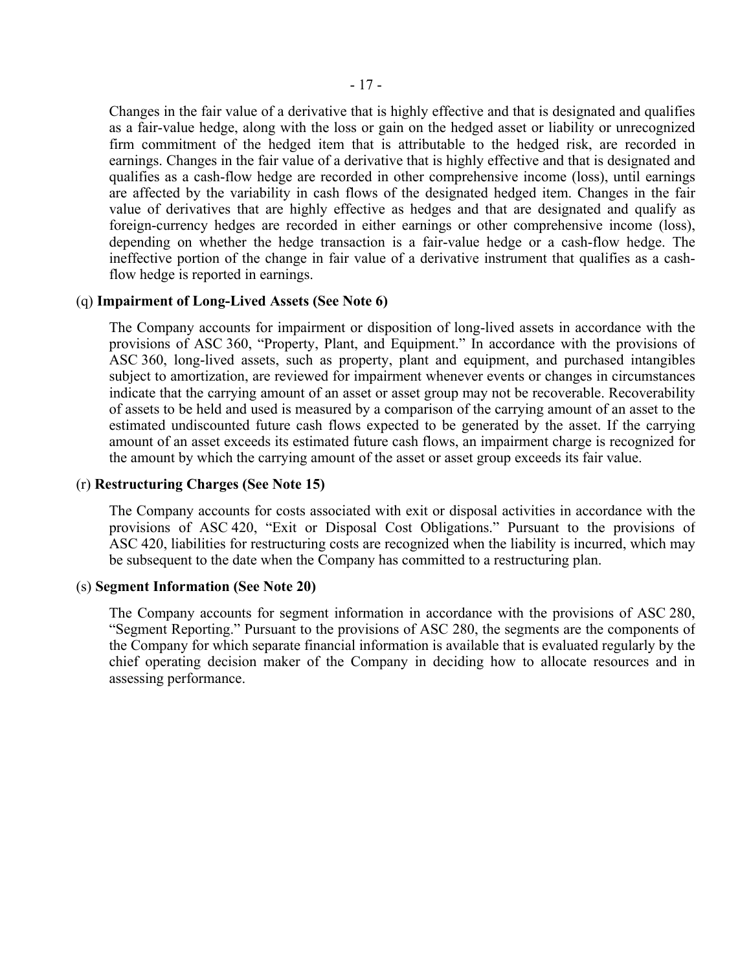Changes in the fair value of a derivative that is highly effective and that is designated and qualifies as a fair-value hedge, along with the loss or gain on the hedged asset or liability or unrecognized firm commitment of the hedged item that is attributable to the hedged risk, are recorded in earnings. Changes in the fair value of a derivative that is highly effective and that is designated and qualifies as a cash-flow hedge are recorded in other comprehensive income (loss), until earnings are affected by the variability in cash flows of the designated hedged item. Changes in the fair value of derivatives that are highly effective as hedges and that are designated and qualify as foreign-currency hedges are recorded in either earnings or other comprehensive income (loss), depending on whether the hedge transaction is a fair-value hedge or a cash-flow hedge. The ineffective portion of the change in fair value of a derivative instrument that qualifies as a cashflow hedge is reported in earnings.

#### (q) **Impairment of Long-Lived Assets (See Note 6)**

The Company accounts for impairment or disposition of long-lived assets in accordance with the provisions of ASC 360, "Property, Plant, and Equipment." In accordance with the provisions of ASC 360, long-lived assets, such as property, plant and equipment, and purchased intangibles subject to amortization, are reviewed for impairment whenever events or changes in circumstances indicate that the carrying amount of an asset or asset group may not be recoverable. Recoverability of assets to be held and used is measured by a comparison of the carrying amount of an asset to the estimated undiscounted future cash flows expected to be generated by the asset. If the carrying amount of an asset exceeds its estimated future cash flows, an impairment charge is recognized for the amount by which the carrying amount of the asset or asset group exceeds its fair value.

#### (r) **Restructuring Charges (See Note 15)**

The Company accounts for costs associated with exit or disposal activities in accordance with the provisions of ASC 420, "Exit or Disposal Cost Obligations." Pursuant to the provisions of ASC 420, liabilities for restructuring costs are recognized when the liability is incurred, which may be subsequent to the date when the Company has committed to a restructuring plan.

#### (s) **Segment Information (See Note 20)**

The Company accounts for segment information in accordance with the provisions of ASC 280, "Segment Reporting." Pursuant to the provisions of ASC 280, the segments are the components of the Company for which separate financial information is available that is evaluated regularly by the chief operating decision maker of the Company in deciding how to allocate resources and in assessing performance.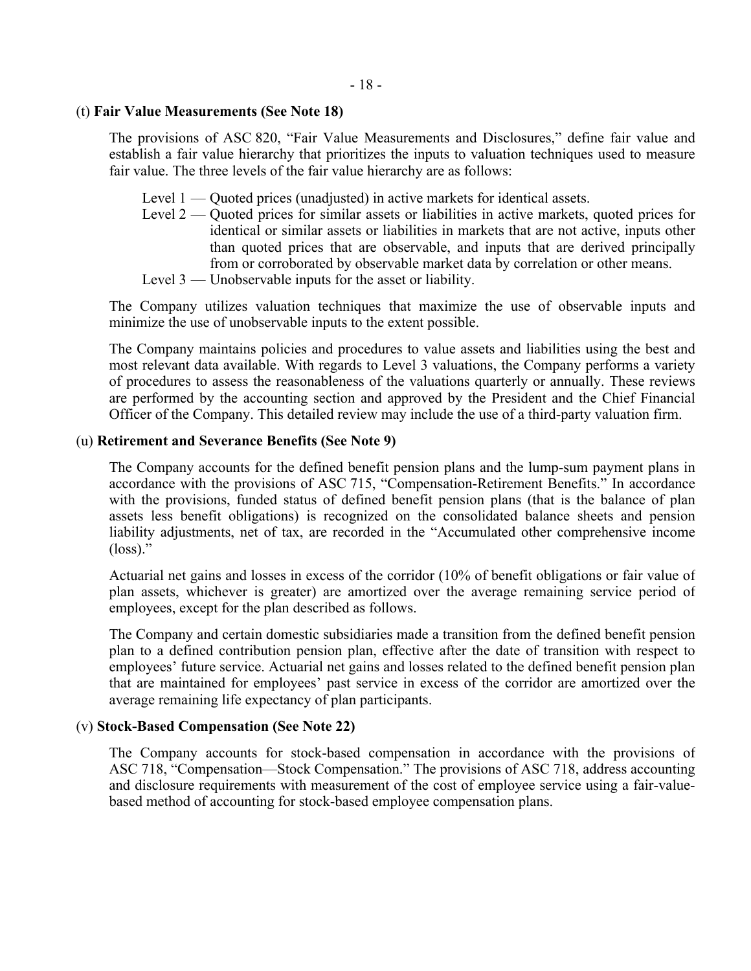#### (t) **Fair Value Measurements (See Note 18)**

The provisions of ASC 820, "Fair Value Measurements and Disclosures," define fair value and establish a fair value hierarchy that prioritizes the inputs to valuation techniques used to measure fair value. The three levels of the fair value hierarchy are as follows:

- Level 1 Quoted prices (unadjusted) in active markets for identical assets.
- Level 2 Quoted prices for similar assets or liabilities in active markets, quoted prices for identical or similar assets or liabilities in markets that are not active, inputs other than quoted prices that are observable, and inputs that are derived principally from or corroborated by observable market data by correlation or other means.
- Level 3 Unobservable inputs for the asset or liability.

The Company utilizes valuation techniques that maximize the use of observable inputs and minimize the use of unobservable inputs to the extent possible.

The Company maintains policies and procedures to value assets and liabilities using the best and most relevant data available. With regards to Level 3 valuations, the Company performs a variety of procedures to assess the reasonableness of the valuations quarterly or annually. These reviews are performed by the accounting section and approved by the President and the Chief Financial Officer of the Company. This detailed review may include the use of a third-party valuation firm.

#### (u) **Retirement and Severance Benefits (See Note 9)**

The Company accounts for the defined benefit pension plans and the lump-sum payment plans in accordance with the provisions of ASC 715, "Compensation-Retirement Benefits." In accordance with the provisions, funded status of defined benefit pension plans (that is the balance of plan assets less benefit obligations) is recognized on the consolidated balance sheets and pension liability adjustments, net of tax, are recorded in the "Accumulated other comprehensive income  $(\text{loss})$ ."

Actuarial net gains and losses in excess of the corridor (10% of benefit obligations or fair value of plan assets, whichever is greater) are amortized over the average remaining service period of employees, except for the plan described as follows.

The Company and certain domestic subsidiaries made a transition from the defined benefit pension plan to a defined contribution pension plan, effective after the date of transition with respect to employees' future service. Actuarial net gains and losses related to the defined benefit pension plan that are maintained for employees' past service in excess of the corridor are amortized over the average remaining life expectancy of plan participants.

#### (v) **Stock-Based Compensation (See Note 22)**

The Company accounts for stock-based compensation in accordance with the provisions of ASC 718, "Compensation—Stock Compensation." The provisions of ASC 718, address accounting and disclosure requirements with measurement of the cost of employee service using a fair-valuebased method of accounting for stock-based employee compensation plans.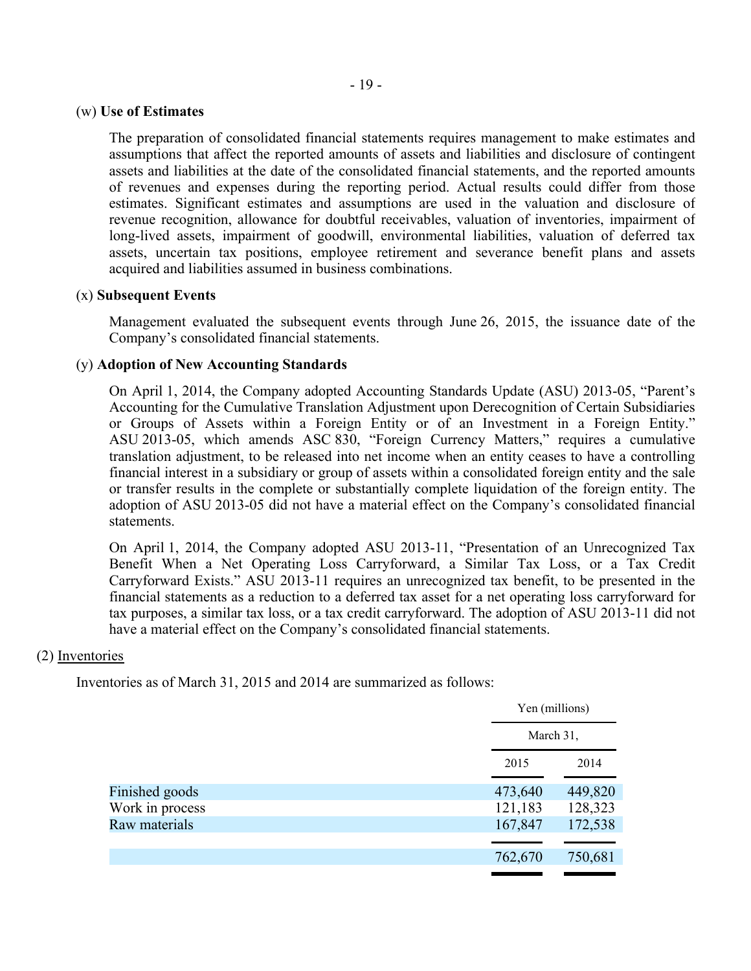#### (w) **Use of Estimates**

The preparation of consolidated financial statements requires management to make estimates and assumptions that affect the reported amounts of assets and liabilities and disclosure of contingent assets and liabilities at the date of the consolidated financial statements, and the reported amounts of revenues and expenses during the reporting period. Actual results could differ from those estimates. Significant estimates and assumptions are used in the valuation and disclosure of revenue recognition, allowance for doubtful receivables, valuation of inventories, impairment of long-lived assets, impairment of goodwill, environmental liabilities, valuation of deferred tax assets, uncertain tax positions, employee retirement and severance benefit plans and assets acquired and liabilities assumed in business combinations.

#### (x) **Subsequent Events**

Management evaluated the subsequent events through June 26, 2015, the issuance date of the Company's consolidated financial statements.

#### (y) **Adoption of New Accounting Standards**

On April 1, 2014, the Company adopted Accounting Standards Update (ASU) 2013-05, "Parent's Accounting for the Cumulative Translation Adjustment upon Derecognition of Certain Subsidiaries or Groups of Assets within a Foreign Entity or of an Investment in a Foreign Entity." ASU 2013-05, which amends ASC 830, "Foreign Currency Matters," requires a cumulative translation adjustment, to be released into net income when an entity ceases to have a controlling financial interest in a subsidiary or group of assets within a consolidated foreign entity and the sale or transfer results in the complete or substantially complete liquidation of the foreign entity. The adoption of ASU 2013-05 did not have a material effect on the Company's consolidated financial statements.

On April 1, 2014, the Company adopted ASU 2013-11, "Presentation of an Unrecognized Tax Benefit When a Net Operating Loss Carryforward, a Similar Tax Loss, or a Tax Credit Carryforward Exists." ASU 2013-11 requires an unrecognized tax benefit, to be presented in the financial statements as a reduction to a deferred tax asset for a net operating loss carryforward for tax purposes, a similar tax loss, or a tax credit carryforward. The adoption of ASU 2013-11 did not have a material effect on the Company's consolidated financial statements.

#### (2) Inventories

Inventories as of March 31, 2015 and 2014 are summarized as follows:

|                 |         | Yen (millions) |
|-----------------|---------|----------------|
|                 |         | March 31,      |
|                 | 2015    | 2014           |
| Finished goods  | 473,640 | 449,820        |
| Work in process | 121,183 | 128,323        |
| Raw materials   | 167,847 | 172,538        |
|                 |         |                |
|                 | 762,670 | 750,681        |
|                 |         |                |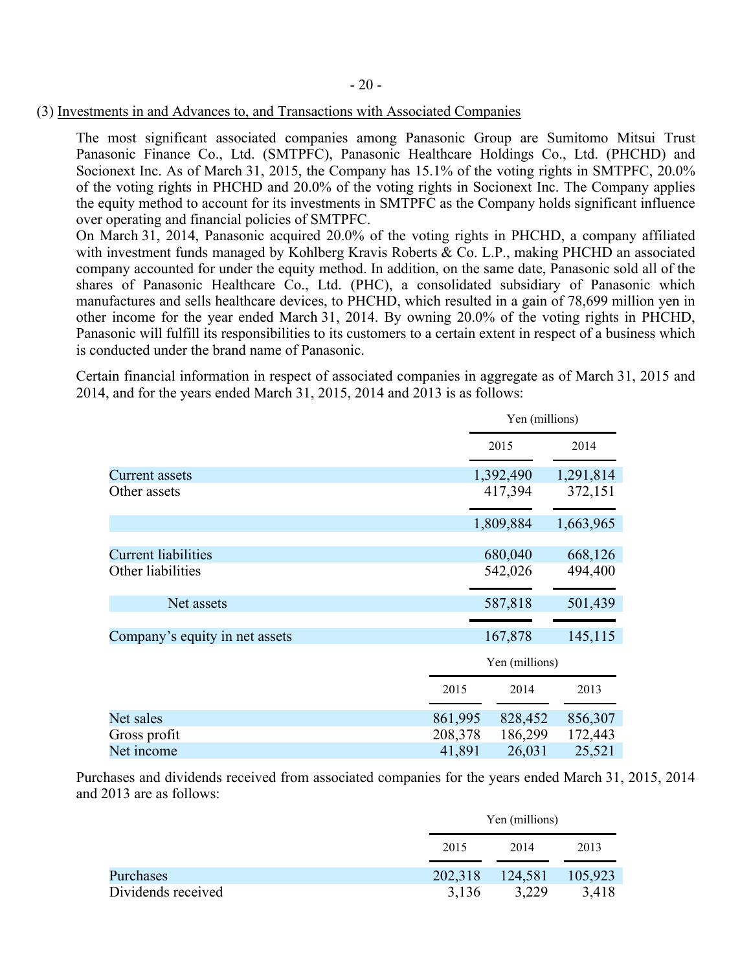#### (3) Investments in and Advances to, and Transactions with Associated Companies

The most significant associated companies among Panasonic Group are Sumitomo Mitsui Trust Panasonic Finance Co., Ltd. (SMTPFC), Panasonic Healthcare Holdings Co., Ltd. (PHCHD) and Socionext Inc. As of March 31, 2015, the Company has 15.1% of the voting rights in SMTPFC, 20.0% of the voting rights in PHCHD and 20.0% of the voting rights in Socionext Inc. The Company applies the equity method to account for its investments in SMTPFC as the Company holds significant influence over operating and financial policies of SMTPFC.

On March 31, 2014, Panasonic acquired 20.0% of the voting rights in PHCHD, a company affiliated with investment funds managed by Kohlberg Kravis Roberts & Co. L.P., making PHCHD an associated company accounted for under the equity method. In addition, on the same date, Panasonic sold all of the shares of Panasonic Healthcare Co., Ltd. (PHC), a consolidated subsidiary of Panasonic which manufactures and sells healthcare devices, to PHCHD, which resulted in a gain of 78,699 million yen in other income for the year ended March 31, 2014. By owning 20.0% of the voting rights in PHCHD, Panasonic will fulfill its responsibilities to its customers to a certain extent in respect of a business which is conducted under the brand name of Panasonic.

Certain financial information in respect of associated companies in aggregate as of March 31, 2015 and 2014, and for the years ended March 31, 2015, 2014 and 2013 is as follows:

|                                |         | Yen (millions)     |           |  |  |
|--------------------------------|---------|--------------------|-----------|--|--|
|                                |         | 2015               | 2014      |  |  |
| Current assets                 |         | 1,392,490          | 1,291,814 |  |  |
| Other assets                   |         | 417,394            | 372,151   |  |  |
|                                |         | 1,809,884          | 1,663,965 |  |  |
| <b>Current liabilities</b>     |         | 680,040            | 668,126   |  |  |
| Other liabilities              |         | 542,026            | 494,400   |  |  |
| Net assets                     |         | 587,818            | 501,439   |  |  |
| Company's equity in net assets |         | 167,878<br>145,115 |           |  |  |
|                                |         | Yen (millions)     |           |  |  |
|                                | 2015    | 2014               | 2013      |  |  |
| Net sales                      | 861,995 | 828,452            | 856,307   |  |  |
| Gross profit                   | 208,378 | 186,299            | 172,443   |  |  |
| Net income                     | 41,891  | 26,031             | 25,521    |  |  |

Purchases and dividends received from associated companies for the years ended March 31, 2015, 2014 and 2013 are as follows:

|                    |         | Yen (millions) |         |  |  |
|--------------------|---------|----------------|---------|--|--|
|                    | 2015    | 2014           | 2013    |  |  |
| Purchases          | 202,318 | 124,581        | 105,923 |  |  |
| Dividends received | 3,136   | 3.229          | 3,418   |  |  |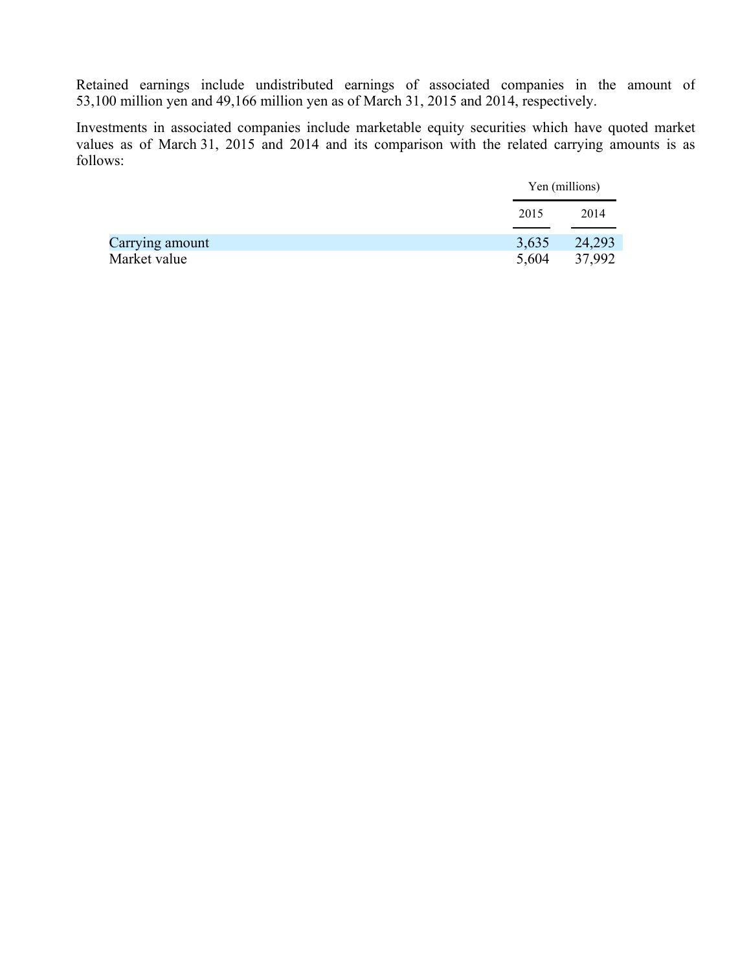Retained earnings include undistributed earnings of associated companies in the amount of 53,100 million yen and 49,166 million yen as of March 31, 2015 and 2014, respectively.

Investments in associated companies include marketable equity securities which have quoted market values as of March 31, 2015 and 2014 and its comparison with the related carrying amounts is as follows:

|                 |       | Yen (millions) |
|-----------------|-------|----------------|
|                 | 2015  | 2014           |
| Carrying amount |       | 3,635 24,293   |
| Market value    | 5,604 | 37,992         |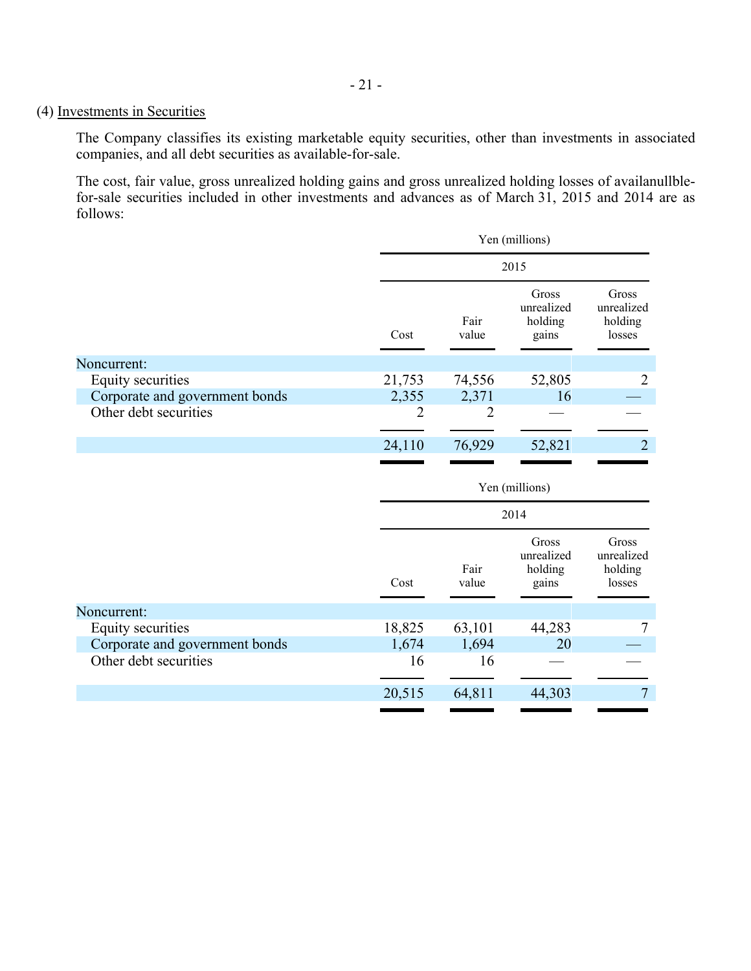## (4) Investments in Securities

The Company classifies its existing marketable equity securities, other than investments in associated companies, and all debt securities as available-for-sale.

The cost, fair value, gross unrealized holding gains and gross unrealized holding losses of availanullblefor-sale securities included in other investments and advances as of March 31, 2015 and 2014 are as follows:

| Yen (millions)                                                                                                                                                                                        |                                         |                                          |                                          |  |  |
|-------------------------------------------------------------------------------------------------------------------------------------------------------------------------------------------------------|-----------------------------------------|------------------------------------------|------------------------------------------|--|--|
| 2015                                                                                                                                                                                                  |                                         |                                          |                                          |  |  |
| Fair<br>Cost<br>value<br>Noncurrent:<br>21,753<br>74,556<br>Equity securities<br>Corporate and government bonds<br>2,355<br>2,371<br>Other debt securities<br>2<br>$\overline{2}$<br>24,110<br>76,929 | Gross<br>unrealized<br>holding<br>gains | Gross<br>unrealized<br>holding<br>losses |                                          |  |  |
|                                                                                                                                                                                                       |                                         |                                          |                                          |  |  |
|                                                                                                                                                                                                       |                                         | 52,805                                   | $\overline{2}$                           |  |  |
|                                                                                                                                                                                                       |                                         | 16                                       |                                          |  |  |
|                                                                                                                                                                                                       |                                         |                                          |                                          |  |  |
|                                                                                                                                                                                                       |                                         | 52,821                                   | $\overline{2}$                           |  |  |
| Yen (millions)                                                                                                                                                                                        |                                         |                                          |                                          |  |  |
|                                                                                                                                                                                                       |                                         |                                          |                                          |  |  |
|                                                                                                                                                                                                       |                                         | 2014                                     |                                          |  |  |
| Cost                                                                                                                                                                                                  | Fair<br>value                           | Gross<br>unrealized<br>holding<br>gains  | Gross<br>unrealized<br>holding<br>losses |  |  |
|                                                                                                                                                                                                       |                                         |                                          |                                          |  |  |
| 18,825                                                                                                                                                                                                | 63,101                                  | 44,283                                   | 7                                        |  |  |
| 1,674                                                                                                                                                                                                 | 1,694                                   | 20                                       |                                          |  |  |
| 16                                                                                                                                                                                                    | 16                                      |                                          |                                          |  |  |
|                                                                                                                                                                                                       |                                         |                                          |                                          |  |  |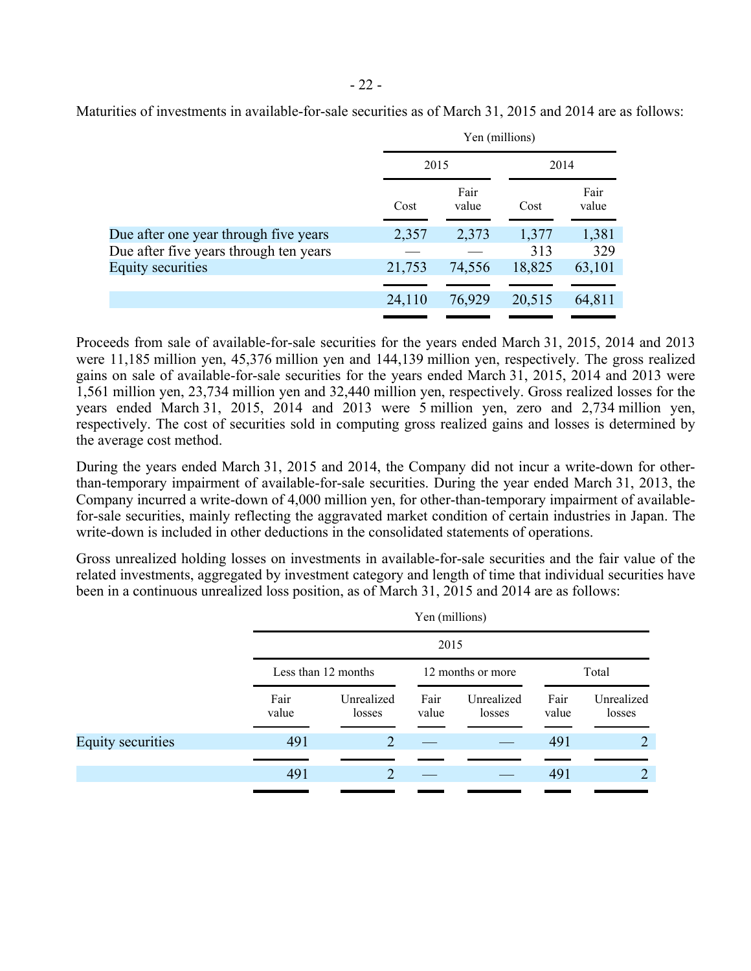|                                        | Yen (millions) |               |        |               |  |  |
|----------------------------------------|----------------|---------------|--------|---------------|--|--|
|                                        | 2015           |               | 2014   |               |  |  |
|                                        | Cost           | Fair<br>value | Cost   | Fair<br>value |  |  |
| Due after one year through five years  | 2,357          | 2,373         | 1,377  | 1,381         |  |  |
| Due after five years through ten years |                |               | 313    | 329           |  |  |
| <b>Equity securities</b>               | 21,753         | 74,556        | 18,825 | 63,101        |  |  |
|                                        |                |               |        |               |  |  |
|                                        | 24,110         | 76,929        | 20,515 | 64,811        |  |  |

Maturities of investments in available-for-sale securities as of March 31, 2015 and 2014 are as follows:

Proceeds from sale of available-for-sale securities for the years ended March 31, 2015, 2014 and 2013 were 11,185 million yen, 45,376 million yen and 144,139 million yen, respectively. The gross realized gains on sale of available-for-sale securities for the years ended March 31, 2015, 2014 and 2013 were 1,561 million yen, 23,734 million yen and 32,440 million yen, respectively. Gross realized losses for the years ended March 31, 2015, 2014 and 2013 were 5 million yen, zero and 2,734 million yen, respectively. The cost of securities sold in computing gross realized gains and losses is determined by the average cost method.

During the years ended March 31, 2015 and 2014, the Company did not incur a write-down for otherthan-temporary impairment of available-for-sale securities. During the year ended March 31, 2013, the Company incurred a write-down of 4,000 million yen, for other-than-temporary impairment of availablefor-sale securities, mainly reflecting the aggravated market condition of certain industries in Japan. The write-down is included in other deductions in the consolidated statements of operations.

Gross unrealized holding losses on investments in available-for-sale securities and the fair value of the related investments, aggregated by investment category and length of time that individual securities have been in a continuous unrealized loss position, as of March 31, 2015 and 2014 are as follows:

|                          |               |                                          | Yen (millions) |                      |               |                      |  |  |  |  |       |
|--------------------------|---------------|------------------------------------------|----------------|----------------------|---------------|----------------------|--|--|--|--|-------|
|                          |               | 2015                                     |                |                      |               |                      |  |  |  |  |       |
|                          |               | Less than 12 months<br>12 months or more |                |                      |               |                      |  |  |  |  | Total |
|                          | Fair<br>value | Unrealized<br>losses                     | Fair<br>value  | Unrealized<br>losses | Fair<br>value | Unrealized<br>losses |  |  |  |  |       |
| <b>Equity securities</b> | 491           | 2                                        |                |                      | 491           | 2                    |  |  |  |  |       |
|                          |               |                                          |                |                      |               |                      |  |  |  |  |       |
|                          | 491           | $\overline{2}$                           |                |                      | 491           | $\overline{2}$       |  |  |  |  |       |
|                          |               |                                          |                |                      |               |                      |  |  |  |  |       |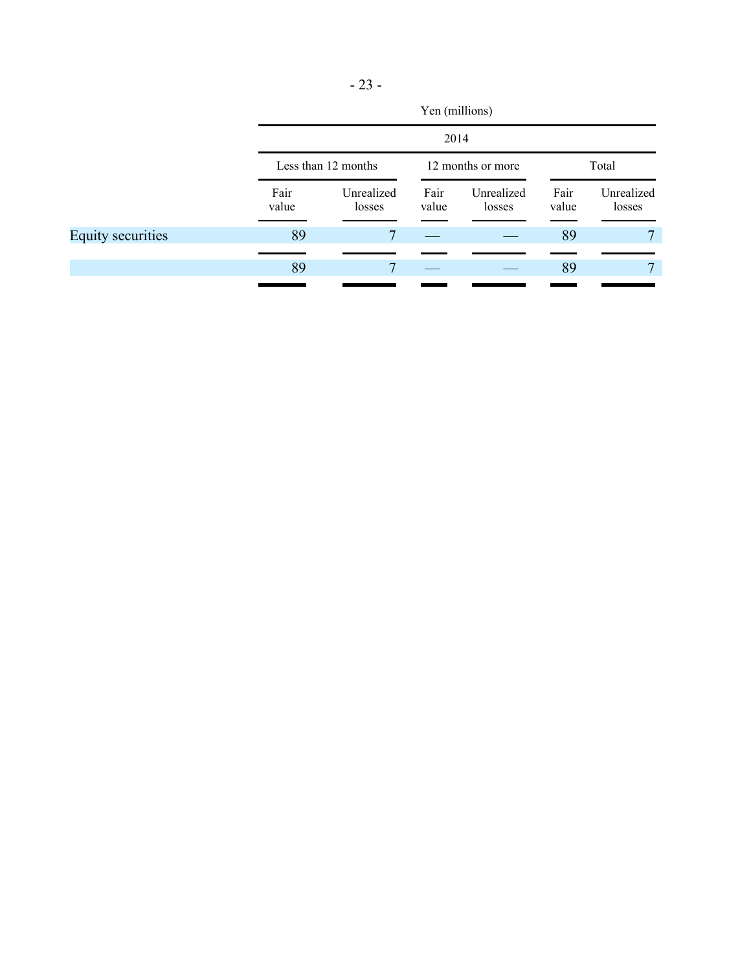|                   |               | Yen (millions)<br>2014                   |               |                      |               |                      |  |       |  |  |
|-------------------|---------------|------------------------------------------|---------------|----------------------|---------------|----------------------|--|-------|--|--|
|                   |               |                                          |               |                      |               |                      |  |       |  |  |
|                   |               | 12 months or more<br>Less than 12 months |               |                      |               |                      |  | Total |  |  |
|                   | Fair<br>value | Unrealized<br>losses                     | Fair<br>value | Unrealized<br>losses | Fair<br>value | Unrealized<br>losses |  |       |  |  |
| Equity securities | 89            | $\tau$                                   |               |                      | 89            | 7                    |  |       |  |  |
|                   | 89            |                                          |               |                      | 89            |                      |  |       |  |  |
|                   |               |                                          |               |                      |               |                      |  |       |  |  |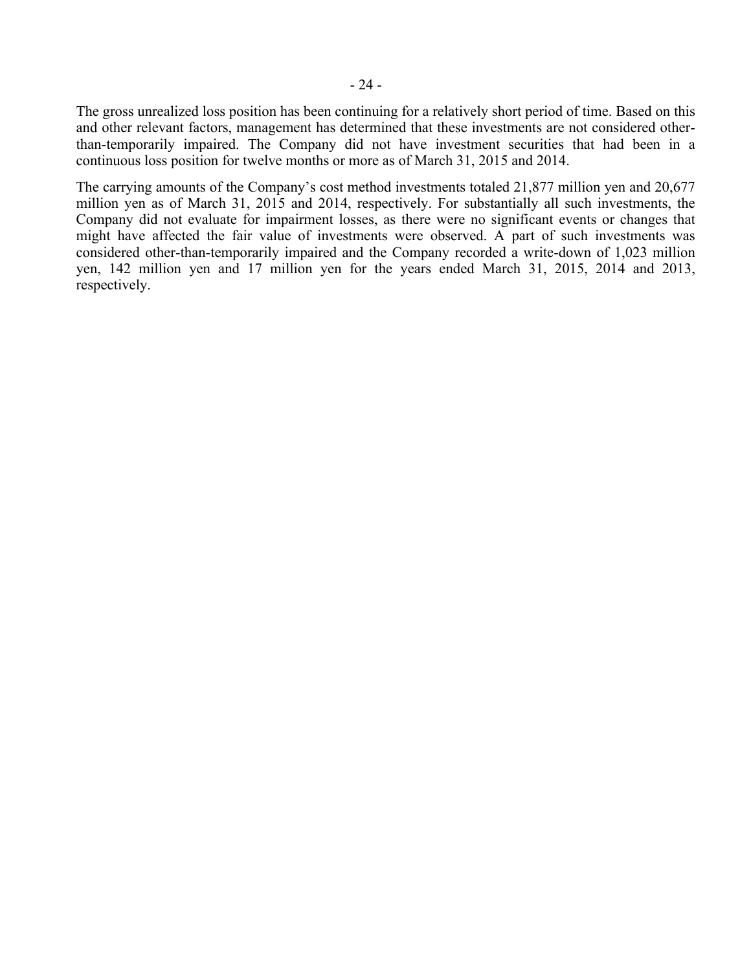The gross unrealized loss position has been continuing for a relatively short period of time. Based on this and other relevant factors, management has determined that these investments are not considered otherthan-temporarily impaired. The Company did not have investment securities that had been in a continuous loss position for twelve months or more as of March 31, 2015 and 2014.

The carrying amounts of the Company's cost method investments totaled 21,877 million yen and 20,677 million yen as of March 31, 2015 and 2014, respectively. For substantially all such investments, the Company did not evaluate for impairment losses, as there were no significant events or changes that might have affected the fair value of investments were observed. A part of such investments was considered other-than-temporarily impaired and the Company recorded a write-down of 1,023 million yen, 142 million yen and 17 million yen for the years ended March 31, 2015, 2014 and 2013, respectively.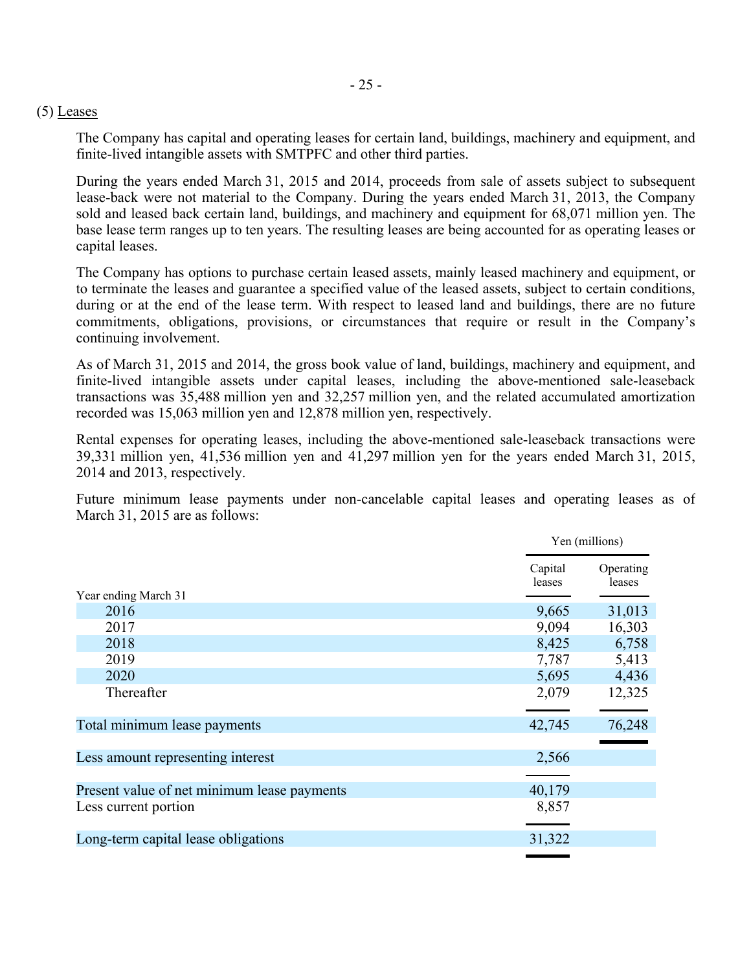#### (5) Leases

The Company has capital and operating leases for certain land, buildings, machinery and equipment, and finite-lived intangible assets with SMTPFC and other third parties.

During the years ended March 31, 2015 and 2014, proceeds from sale of assets subject to subsequent lease-back were not material to the Company. During the years ended March 31, 2013, the Company sold and leased back certain land, buildings, and machinery and equipment for 68,071 million yen. The base lease term ranges up to ten years. The resulting leases are being accounted for as operating leases or capital leases.

The Company has options to purchase certain leased assets, mainly leased machinery and equipment, or to terminate the leases and guarantee a specified value of the leased assets, subject to certain conditions, during or at the end of the lease term. With respect to leased land and buildings, there are no future commitments, obligations, provisions, or circumstances that require or result in the Company's continuing involvement.

As of March 31, 2015 and 2014, the gross book value of land, buildings, machinery and equipment, and finite-lived intangible assets under capital leases, including the above-mentioned sale-leaseback transactions was 35,488 million yen and 32,257 million yen, and the related accumulated amortization recorded was 15,063 million yen and 12,878 million yen, respectively.

Rental expenses for operating leases, including the above-mentioned sale-leaseback transactions were 39,331 million yen, 41,536 million yen and 41,297 million yen for the years ended March 31, 2015, 2014 and 2013, respectively.

Future minimum lease payments under non-cancelable capital leases and operating leases as of March 31, 2015 are as follows:

|                                             | Yen (millions)    |                     |
|---------------------------------------------|-------------------|---------------------|
| Year ending March 31                        | Capital<br>leases | Operating<br>leases |
| 2016                                        | 9,665             | 31,013              |
| 2017                                        | 9,094             | 16,303              |
| 2018                                        | 8,425             | 6,758               |
| 2019                                        | 7,787             | 5,413               |
| 2020                                        | 5,695             | 4,436               |
| Thereafter                                  | 2,079             | 12,325              |
| Total minimum lease payments                | 42,745            | 76,248              |
| Less amount representing interest           | 2,566             |                     |
| Present value of net minimum lease payments | 40,179            |                     |
| Less current portion                        | 8,857             |                     |
| Long-term capital lease obligations         | 31,322            |                     |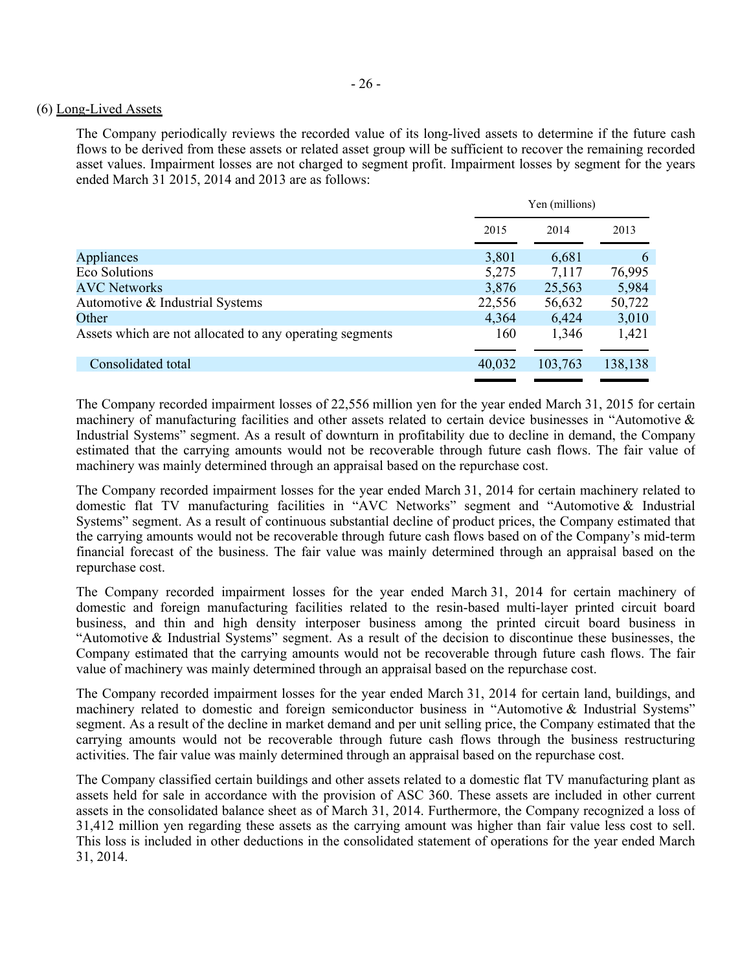#### (6) Long-Lived Assets

The Company periodically reviews the recorded value of its long-lived assets to determine if the future cash flows to be derived from these assets or related asset group will be sufficient to recover the remaining recorded asset values. Impairment losses are not charged to segment profit. Impairment losses by segment for the years ended March 31 2015, 2014 and 2013 are as follows:

|                                                          | Yen (millions) |         |         |
|----------------------------------------------------------|----------------|---------|---------|
|                                                          | 2015           | 2014    | 2013    |
| Appliances                                               | 3,801          | 6,681   | 6       |
| Eco Solutions                                            | 5,275          | 7,117   | 76,995  |
| <b>AVC Networks</b>                                      | 3,876          | 25,563  | 5,984   |
| Automotive & Industrial Systems                          | 22,556         | 56,632  | 50,722  |
| Other                                                    | 4,364          | 6,424   | 3,010   |
| Assets which are not allocated to any operating segments | 160            | 1,346   | 1,421   |
|                                                          |                |         |         |
| Consolidated total                                       | 40,032         | 103,763 | 138,138 |
|                                                          |                |         |         |

The Company recorded impairment losses of 22,556 million yen for the year ended March 31, 2015 for certain machinery of manufacturing facilities and other assets related to certain device businesses in "Automotive & Industrial Systems" segment. As a result of downturn in profitability due to decline in demand, the Company estimated that the carrying amounts would not be recoverable through future cash flows. The fair value of machinery was mainly determined through an appraisal based on the repurchase cost.

The Company recorded impairment losses for the year ended March 31, 2014 for certain machinery related to domestic flat TV manufacturing facilities in "AVC Networks" segment and "Automotive & Industrial Systems" segment. As a result of continuous substantial decline of product prices, the Company estimated that the carrying amounts would not be recoverable through future cash flows based on of the Company's mid-term financial forecast of the business. The fair value was mainly determined through an appraisal based on the repurchase cost.

The Company recorded impairment losses for the year ended March 31, 2014 for certain machinery of domestic and foreign manufacturing facilities related to the resin-based multi-layer printed circuit board business, and thin and high density interposer business among the printed circuit board business in "Automotive & Industrial Systems" segment. As a result of the decision to discontinue these businesses, the Company estimated that the carrying amounts would not be recoverable through future cash flows. The fair value of machinery was mainly determined through an appraisal based on the repurchase cost.

The Company recorded impairment losses for the year ended March 31, 2014 for certain land, buildings, and machinery related to domestic and foreign semiconductor business in "Automotive & Industrial Systems" segment. As a result of the decline in market demand and per unit selling price, the Company estimated that the carrying amounts would not be recoverable through future cash flows through the business restructuring activities. The fair value was mainly determined through an appraisal based on the repurchase cost.

The Company classified certain buildings and other assets related to a domestic flat TV manufacturing plant as assets held for sale in accordance with the provision of ASC 360. These assets are included in other current assets in the consolidated balance sheet as of March 31, 2014. Furthermore, the Company recognized a loss of 31,412 million yen regarding these assets as the carrying amount was higher than fair value less cost to sell. This loss is included in other deductions in the consolidated statement of operations for the year ended March 31, 2014.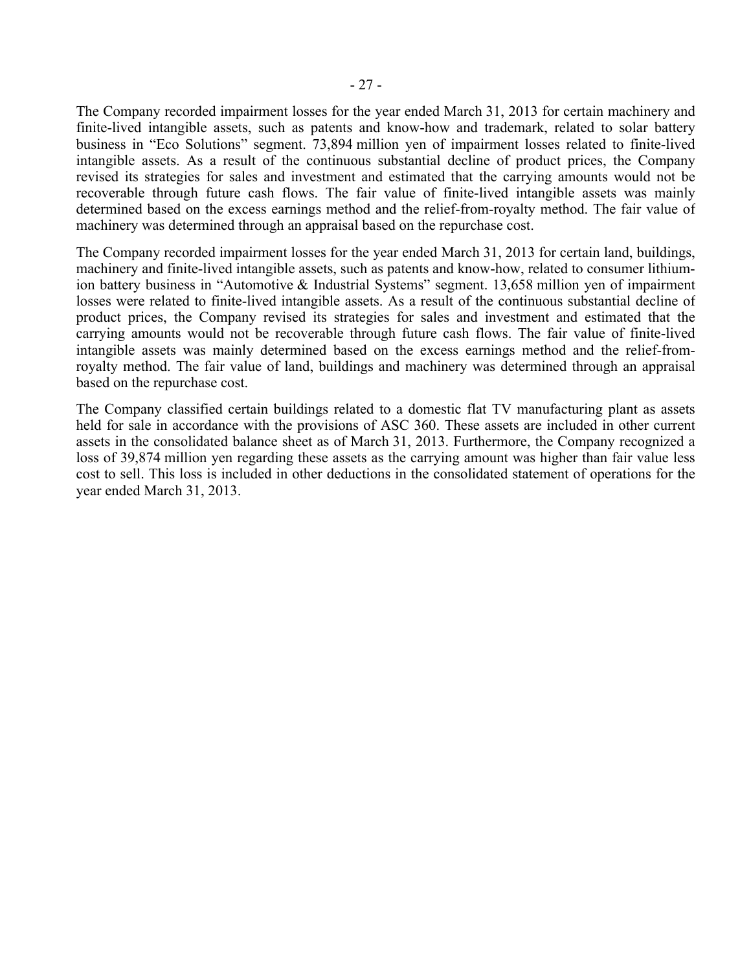The Company recorded impairment losses for the year ended March 31, 2013 for certain machinery and finite-lived intangible assets, such as patents and know-how and trademark, related to solar battery business in "Eco Solutions" segment. 73,894 million yen of impairment losses related to finite-lived intangible assets. As a result of the continuous substantial decline of product prices, the Company revised its strategies for sales and investment and estimated that the carrying amounts would not be recoverable through future cash flows. The fair value of finite-lived intangible assets was mainly determined based on the excess earnings method and the relief-from-royalty method. The fair value of machinery was determined through an appraisal based on the repurchase cost.

The Company recorded impairment losses for the year ended March 31, 2013 for certain land, buildings, machinery and finite-lived intangible assets, such as patents and know-how, related to consumer lithiumion battery business in "Automotive & Industrial Systems" segment. 13,658 million yen of impairment losses were related to finite-lived intangible assets. As a result of the continuous substantial decline of product prices, the Company revised its strategies for sales and investment and estimated that the carrying amounts would not be recoverable through future cash flows. The fair value of finite-lived intangible assets was mainly determined based on the excess earnings method and the relief-fromroyalty method. The fair value of land, buildings and machinery was determined through an appraisal based on the repurchase cost.

The Company classified certain buildings related to a domestic flat TV manufacturing plant as assets held for sale in accordance with the provisions of ASC 360. These assets are included in other current assets in the consolidated balance sheet as of March 31, 2013. Furthermore, the Company recognized a loss of 39,874 million yen regarding these assets as the carrying amount was higher than fair value less cost to sell. This loss is included in other deductions in the consolidated statement of operations for the year ended March 31, 2013.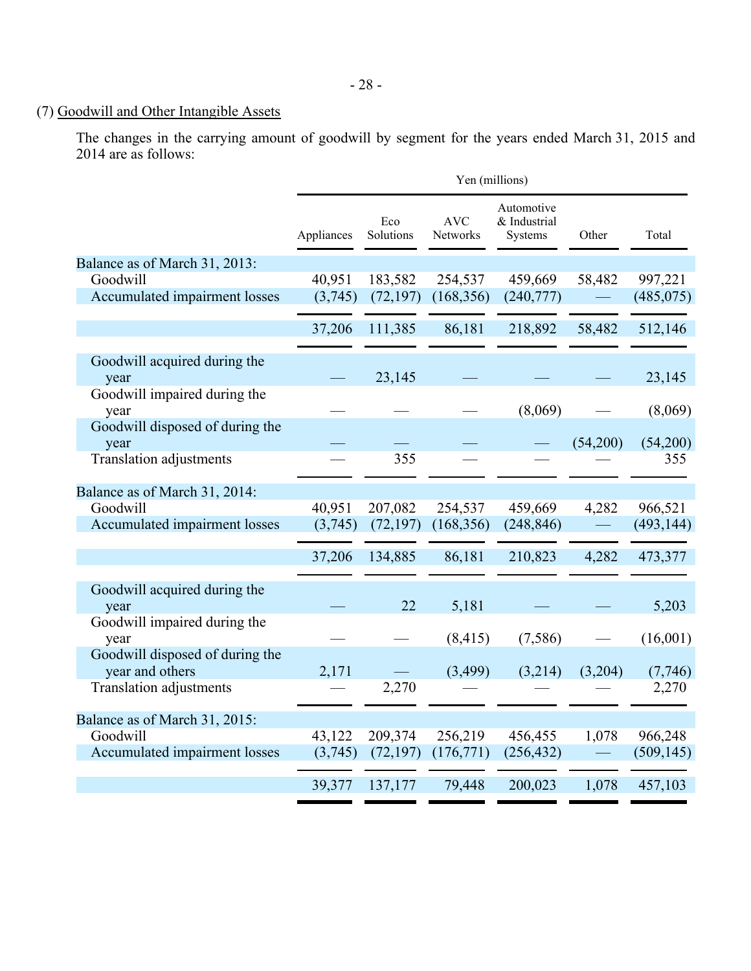## (7) Goodwill and Other Intangible Assets

The changes in the carrying amount of goodwill by segment for the years ended March 31, 2015 and 2014 are as follows:

|                                                    |            |                  | Yen (millions)         |                                       |          |            |
|----------------------------------------------------|------------|------------------|------------------------|---------------------------------------|----------|------------|
|                                                    | Appliances | Eco<br>Solutions | <b>AVC</b><br>Networks | Automotive<br>& Industrial<br>Systems | Other    | Total      |
| Balance as of March 31, 2013:                      |            |                  |                        |                                       |          |            |
| Goodwill                                           | 40,951     | 183,582          | 254,537                | 459,669                               | 58,482   | 997,221    |
| Accumulated impairment losses                      | (3,745)    | (72, 197)        | (168, 356)             | (240,777)                             |          | (485, 075) |
|                                                    | 37,206     | 111,385          | 86,181                 | 218,892                               | 58,482   | 512,146    |
| Goodwill acquired during the<br>year               |            | 23,145           |                        |                                       |          | 23,145     |
| Goodwill impaired during the<br>year               |            |                  |                        | (8,069)                               |          | (8,069)    |
| Goodwill disposed of during the<br>year            |            |                  |                        |                                       | (54,200) | (54,200)   |
| <b>Translation adjustments</b>                     |            | 355              |                        |                                       |          | 355        |
| Balance as of March 31, 2014:                      |            |                  |                        |                                       |          |            |
| Goodwill                                           | 40,951     | 207,082          | 254,537                | 459,669                               | 4,282    | 966,521    |
| Accumulated impairment losses                      | (3,745)    | (72, 197)        | (168, 356)             | (248, 846)                            |          | (493, 144) |
|                                                    | 37,206     | 134,885          | 86,181                 | 210,823                               | 4,282    | 473,377    |
| Goodwill acquired during the                       |            |                  |                        |                                       |          |            |
| year                                               |            | 22               | 5,181                  |                                       |          | 5,203      |
| Goodwill impaired during the<br>year               |            |                  | (8, 415)               | (7,586)                               |          | (16,001)   |
| Goodwill disposed of during the<br>year and others | 2,171      |                  | (3,499)                | (3,214)                               | (3,204)  | (7,746)    |
| <b>Translation adjustments</b>                     |            | 2,270            |                        |                                       |          | 2,270      |
| Balance as of March 31, 2015:                      |            |                  |                        |                                       |          |            |
| Goodwill                                           | 43,122     | 209,374          | 256,219                | 456,455                               | 1,078    | 966,248    |
| Accumulated impairment losses                      | (3,745)    | (72, 197)        | (176, 771)             | (256, 432)                            |          | (509, 145) |
|                                                    | 39,377     | 137,177          | 79,448                 | 200,023                               | 1,078    | 457,103    |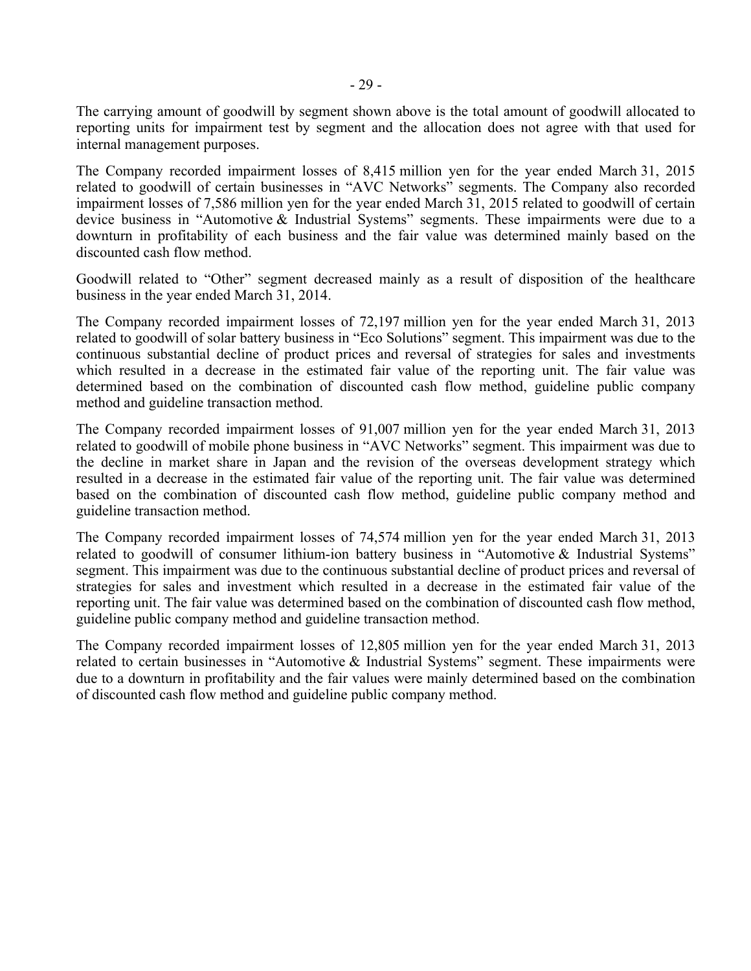The carrying amount of goodwill by segment shown above is the total amount of goodwill allocated to reporting units for impairment test by segment and the allocation does not agree with that used for internal management purposes.

The Company recorded impairment losses of 8,415 million yen for the year ended March 31, 2015 related to goodwill of certain businesses in "AVC Networks" segments. The Company also recorded impairment losses of 7,586 million yen for the year ended March 31, 2015 related to goodwill of certain device business in "Automotive & Industrial Systems" segments. These impairments were due to a downturn in profitability of each business and the fair value was determined mainly based on the discounted cash flow method.

Goodwill related to "Other" segment decreased mainly as a result of disposition of the healthcare business in the year ended March 31, 2014.

The Company recorded impairment losses of 72,197 million yen for the year ended March 31, 2013 related to goodwill of solar battery business in "Eco Solutions" segment. This impairment was due to the continuous substantial decline of product prices and reversal of strategies for sales and investments which resulted in a decrease in the estimated fair value of the reporting unit. The fair value was determined based on the combination of discounted cash flow method, guideline public company method and guideline transaction method.

The Company recorded impairment losses of 91,007 million yen for the year ended March 31, 2013 related to goodwill of mobile phone business in "AVC Networks" segment. This impairment was due to the decline in market share in Japan and the revision of the overseas development strategy which resulted in a decrease in the estimated fair value of the reporting unit. The fair value was determined based on the combination of discounted cash flow method, guideline public company method and guideline transaction method.

The Company recorded impairment losses of 74,574 million yen for the year ended March 31, 2013 related to goodwill of consumer lithium-ion battery business in "Automotive & Industrial Systems" segment. This impairment was due to the continuous substantial decline of product prices and reversal of strategies for sales and investment which resulted in a decrease in the estimated fair value of the reporting unit. The fair value was determined based on the combination of discounted cash flow method, guideline public company method and guideline transaction method.

The Company recorded impairment losses of 12,805 million yen for the year ended March 31, 2013 related to certain businesses in "Automotive & Industrial Systems" segment. These impairments were due to a downturn in profitability and the fair values were mainly determined based on the combination of discounted cash flow method and guideline public company method.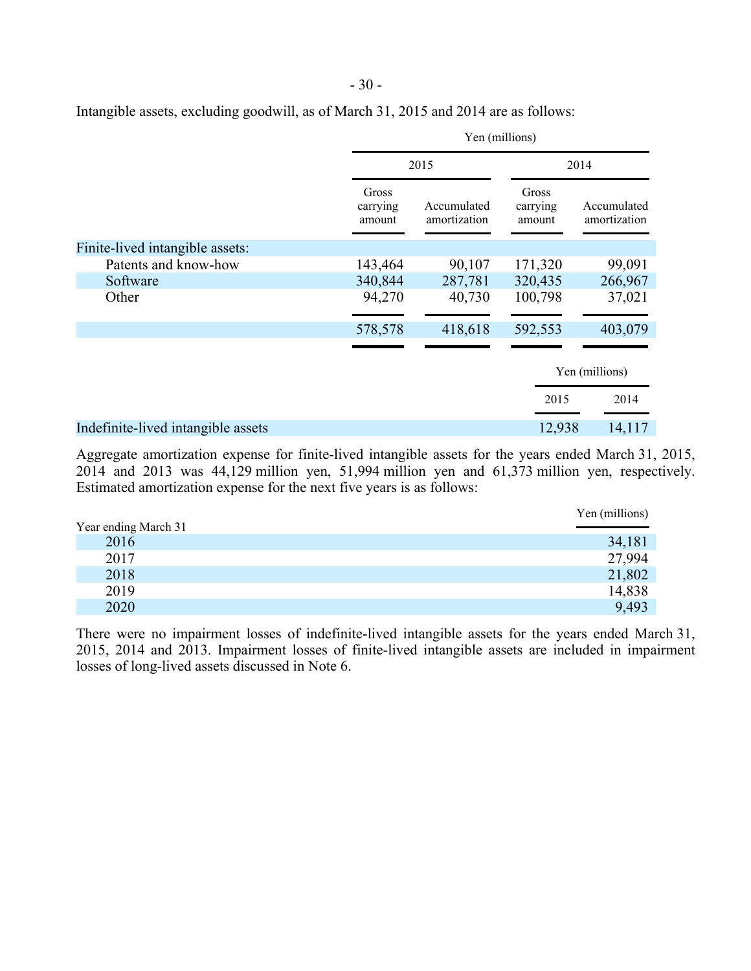| Intangible assets, excluding goodwill, as of March 31, 2015 and 2014 are as follows: |  |  |  |
|--------------------------------------------------------------------------------------|--|--|--|
|                                                                                      |  |  |  |

|                                    | Yen (millions)              |                             |                             |                             |  |
|------------------------------------|-----------------------------|-----------------------------|-----------------------------|-----------------------------|--|
|                                    |                             | 2015                        |                             | 2014                        |  |
|                                    | Gross<br>carrying<br>amount | Accumulated<br>amortization | Gross<br>carrying<br>amount | Accumulated<br>amortization |  |
| Finite-lived intangible assets:    |                             |                             |                             |                             |  |
| Patents and know-how               | 143,464                     | 90,107                      | 171,320                     | 99,091                      |  |
| Software                           | 340,844                     | 287,781                     | 320,435                     | 266,967                     |  |
| Other                              | 94,270                      | 40,730                      | 100,798                     | 37,021                      |  |
|                                    | 578,578                     | 418,618                     | 592,553                     | 403,079                     |  |
|                                    |                             |                             |                             |                             |  |
|                                    |                             |                             | Yen (millions)              |                             |  |
|                                    |                             |                             | 2015                        | 2014                        |  |
| Indefinite-lived intangible assets |                             |                             | 12,938                      | 14,117                      |  |

- 30 -

Aggregate amortization expense for finite-lived intangible assets for the years ended March 31, 2015, 2014 and 2013 was 44,129 million yen, 51,994 million yen and 61,373 million yen, respectively. Estimated amortization expense for the next five years is as follows:

|                      | Yen (millions) |
|----------------------|----------------|
| Year ending March 31 |                |
| 2016                 | 34,181         |
| 2017                 | 27,994         |
| 2018                 | 21,802         |
| 2019                 | 14,838         |
| 2020                 | 9,493          |

There were no impairment losses of indefinite-lived intangible assets for the years ended March 31, 2015, 2014 and 2013. Impairment losses of finite-lived intangible assets are included in impairment losses of long-lived assets discussed in Note 6.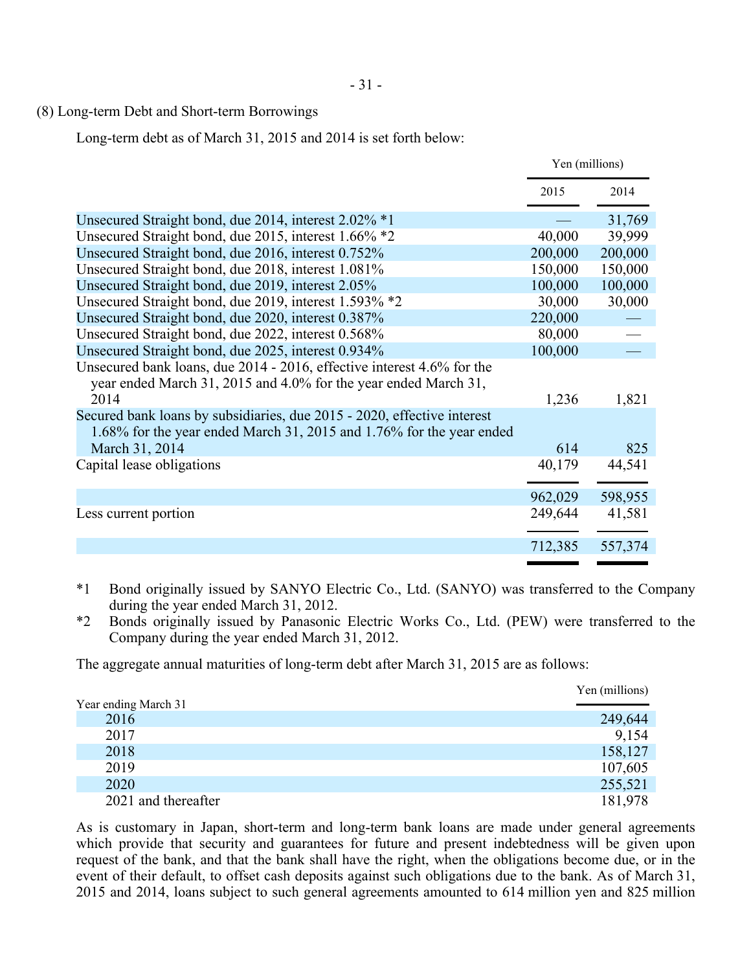# (8) Long-term Debt and Short-term Borrowings

Long-term debt as of March 31, 2015 and 2014 is set forth below:

|                                                                                                                                                 | Yen (millions) |         |
|-------------------------------------------------------------------------------------------------------------------------------------------------|----------------|---------|
|                                                                                                                                                 | 2015           | 2014    |
| Unsecured Straight bond, due 2014, interest 2.02% *1                                                                                            |                | 31,769  |
| Unsecured Straight bond, due 2015, interest 1.66% *2                                                                                            | 40,000         | 39,999  |
| Unsecured Straight bond, due 2016, interest 0.752%                                                                                              | 200,000        | 200,000 |
| Unsecured Straight bond, due 2018, interest 1.081%                                                                                              | 150,000        | 150,000 |
| Unsecured Straight bond, due 2019, interest 2.05%                                                                                               | 100,000        | 100,000 |
| Unsecured Straight bond, due 2019, interest 1.593% *2                                                                                           | 30,000         | 30,000  |
| Unsecured Straight bond, due 2020, interest 0.387%                                                                                              | 220,000        |         |
| Unsecured Straight bond, due 2022, interest 0.568%                                                                                              | 80,000         |         |
| Unsecured Straight bond, due 2025, interest 0.934%                                                                                              | 100,000        |         |
| Unsecured bank loans, due 2014 - 2016, effective interest 4.6% for the<br>year ended March 31, 2015 and 4.0% for the year ended March 31,       |                |         |
| 2014                                                                                                                                            | 1,236          | 1,821   |
| Secured bank loans by subsidiaries, due 2015 - 2020, effective interest<br>1.68% for the year ended March 31, 2015 and 1.76% for the year ended |                |         |
| March 31, 2014                                                                                                                                  | 614            | 825     |
| Capital lease obligations                                                                                                                       | 40,179         | 44,541  |
|                                                                                                                                                 | 962,029        | 598,955 |
| Less current portion                                                                                                                            | 249,644        | 41,581  |
|                                                                                                                                                 | 712,385        | 557,374 |
|                                                                                                                                                 |                |         |

\*1 Bond originally issued by SANYO Electric Co., Ltd. (SANYO) was transferred to the Company during the year ended March 31, 2012.

\*2 Bonds originally issued by Panasonic Electric Works Co., Ltd. (PEW) were transferred to the Company during the year ended March 31, 2012.

The aggregate annual maturities of long-term debt after March 31, 2015 are as follows:

|                      | Yen (millions) |
|----------------------|----------------|
| Year ending March 31 |                |
| 2016                 | 249,644        |
| 2017                 | 9,154          |
| 2018                 | 158,127        |
| 2019                 | 107,605        |
| 2020                 | 255,521        |
| 2021 and thereafter  | 181,978        |

As is customary in Japan, short-term and long-term bank loans are made under general agreements which provide that security and guarantees for future and present indebtedness will be given upon request of the bank, and that the bank shall have the right, when the obligations become due, or in the event of their default, to offset cash deposits against such obligations due to the bank. As of March 31, 2015 and 2014, loans subject to such general agreements amounted to 614 million yen and 825 million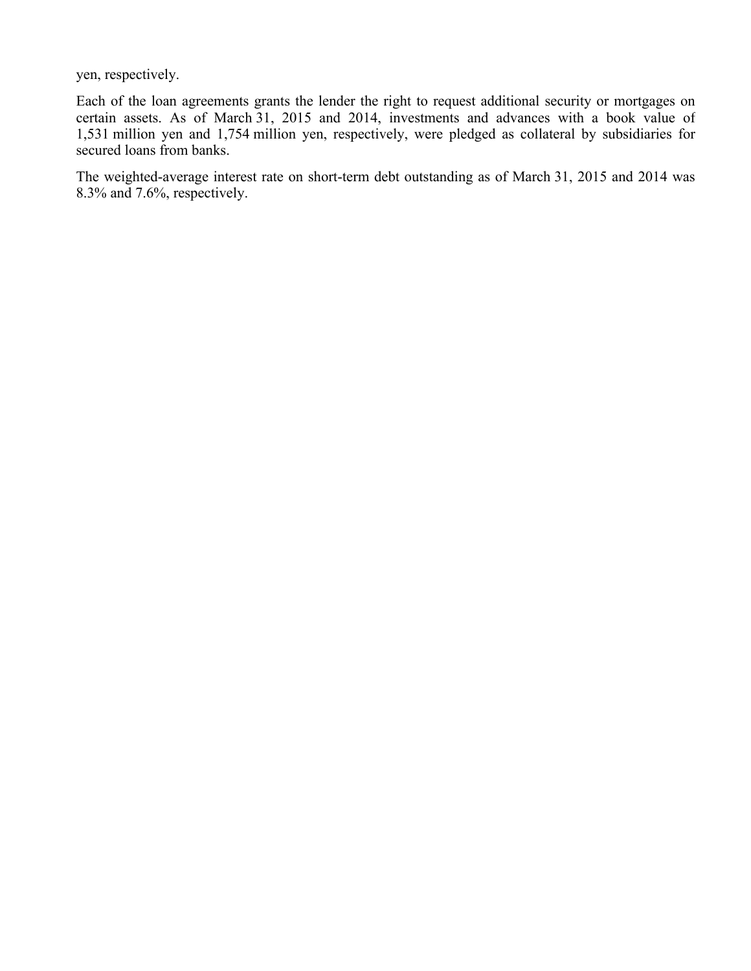yen, respectively.

Each of the loan agreements grants the lender the right to request additional security or mortgages on certain assets. As of March 31, 2015 and 2014, investments and advances with a book value of 1,531 million yen and 1,754 million yen, respectively, were pledged as collateral by subsidiaries for secured loans from banks.

The weighted-average interest rate on short-term debt outstanding as of March 31, 2015 and 2014 was 8.3% and 7.6%, respectively.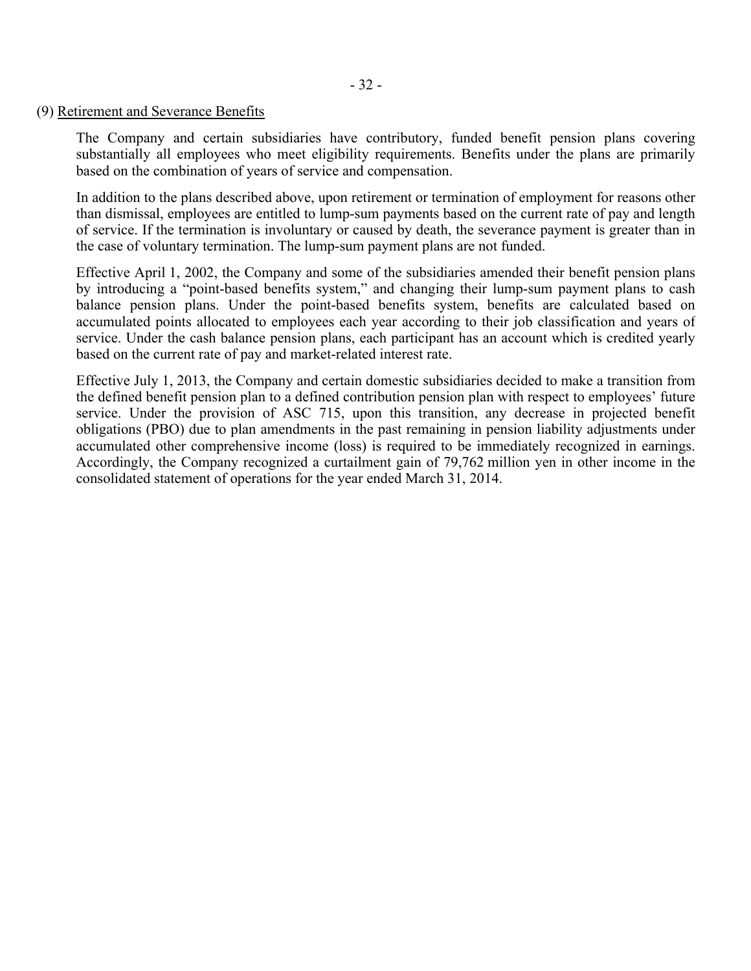### (9) Retirement and Severance Benefits

The Company and certain subsidiaries have contributory, funded benefit pension plans covering substantially all employees who meet eligibility requirements. Benefits under the plans are primarily based on the combination of years of service and compensation.

In addition to the plans described above, upon retirement or termination of employment for reasons other than dismissal, employees are entitled to lump-sum payments based on the current rate of pay and length of service. If the termination is involuntary or caused by death, the severance payment is greater than in the case of voluntary termination. The lump-sum payment plans are not funded.

Effective April 1, 2002, the Company and some of the subsidiaries amended their benefit pension plans by introducing a "point-based benefits system," and changing their lump-sum payment plans to cash balance pension plans. Under the point-based benefits system, benefits are calculated based on accumulated points allocated to employees each year according to their job classification and years of service. Under the cash balance pension plans, each participant has an account which is credited yearly based on the current rate of pay and market-related interest rate.

Effective July 1, 2013, the Company and certain domestic subsidiaries decided to make a transition from the defined benefit pension plan to a defined contribution pension plan with respect to employees' future service. Under the provision of ASC 715, upon this transition, any decrease in projected benefit obligations (PBO) due to plan amendments in the past remaining in pension liability adjustments under accumulated other comprehensive income (loss) is required to be immediately recognized in earnings. Accordingly, the Company recognized a curtailment gain of 79,762 million yen in other income in the consolidated statement of operations for the year ended March 31, 2014.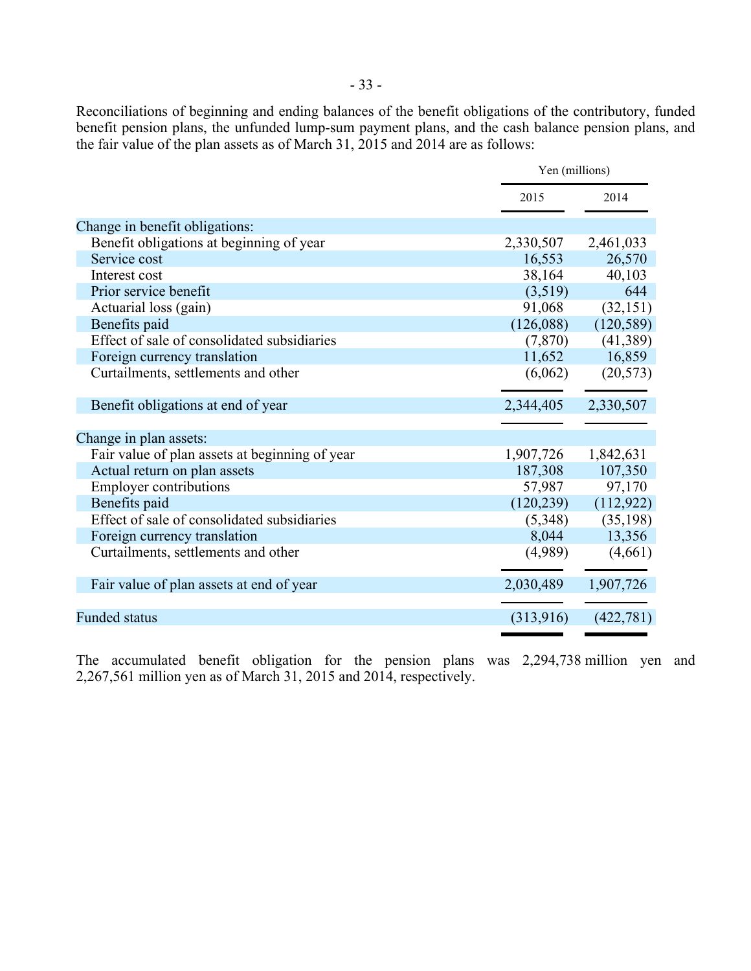Reconciliations of beginning and ending balances of the benefit obligations of the contributory, funded benefit pension plans, the unfunded lump-sum payment plans, and the cash balance pension plans, and the fair value of the plan assets as of March 31, 2015 and 2014 are as follows:

|                                                |            | Yen (millions) |  |
|------------------------------------------------|------------|----------------|--|
|                                                | 2015       | 2014           |  |
| Change in benefit obligations:                 |            |                |  |
| Benefit obligations at beginning of year       | 2,330,507  | 2,461,033      |  |
| Service cost                                   | 16,553     | 26,570         |  |
| Interest cost                                  | 38,164     | 40,103         |  |
| Prior service benefit                          | (3,519)    | 644            |  |
| Actuarial loss (gain)                          | 91,068     | (32, 151)      |  |
| Benefits paid                                  | (126,088)  | (120, 589)     |  |
| Effect of sale of consolidated subsidiaries    | (7, 870)   | (41,389)       |  |
| Foreign currency translation                   | 11,652     | 16,859         |  |
| Curtailments, settlements and other            | (6,062)    | (20, 573)      |  |
| Benefit obligations at end of year             | 2,344,405  | 2,330,507      |  |
| Change in plan assets:                         |            |                |  |
| Fair value of plan assets at beginning of year | 1,907,726  | 1,842,631      |  |
| Actual return on plan assets                   | 187,308    | 107,350        |  |
| <b>Employer contributions</b>                  | 57,987     | 97,170         |  |
| Benefits paid                                  | (120, 239) | (112, 922)     |  |
| Effect of sale of consolidated subsidiaries    | (5,348)    | (35, 198)      |  |
| Foreign currency translation                   | 8,044      | 13,356         |  |
| Curtailments, settlements and other            | (4,989)    | (4,661)        |  |
| Fair value of plan assets at end of year       | 2,030,489  | 1,907,726      |  |
|                                                |            |                |  |
| <b>Funded status</b>                           | (313,916)  | (422, 781)     |  |
|                                                |            |                |  |

The accumulated benefit obligation for the pension plans was 2,294,738 million yen and 2,267,561 million yen as of March 31, 2015 and 2014, respectively.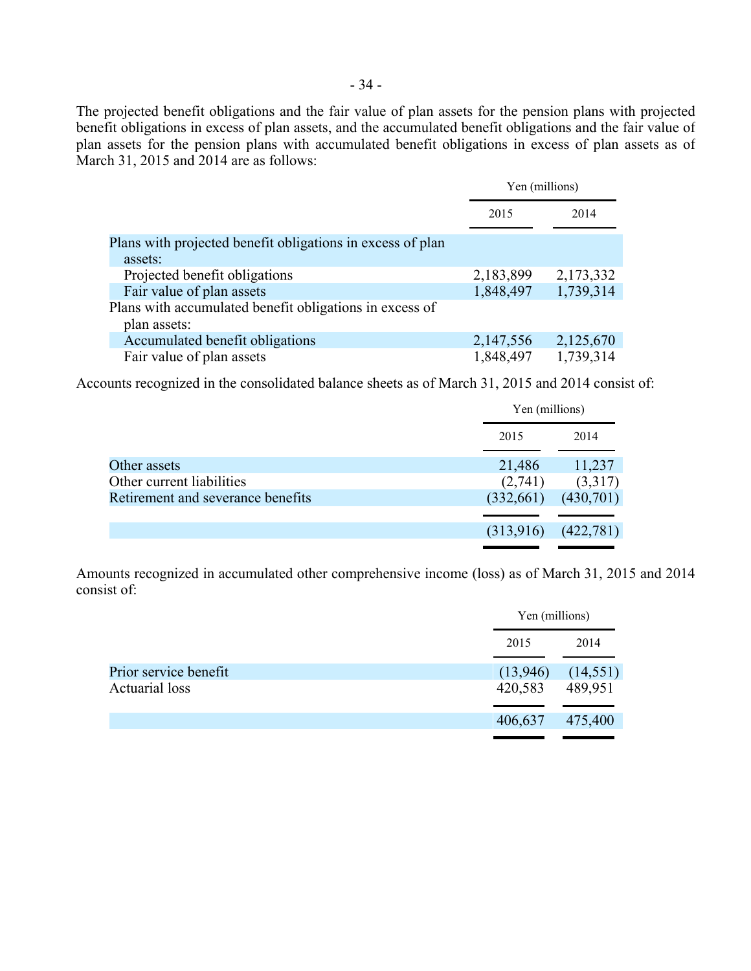The projected benefit obligations and the fair value of plan assets for the pension plans with projected benefit obligations in excess of plan assets, and the accumulated benefit obligations and the fair value of plan assets for the pension plans with accumulated benefit obligations in excess of plan assets as of March 31, 2015 and 2014 are as follows:

|                                                                                      | Yen (millions) |           |
|--------------------------------------------------------------------------------------|----------------|-----------|
|                                                                                      | 2015           | 2014      |
| Plans with projected benefit obligations in excess of plan<br>assets:                |                |           |
| Projected benefit obligations                                                        | 2,183,899      | 2,173,332 |
| Fair value of plan assets<br>Plans with accumulated benefit obligations in excess of | 1,848,497      | 1,739,314 |
| plan assets:                                                                         |                |           |
| Accumulated benefit obligations                                                      | 2,147,556      | 2,125,670 |
| Fair value of plan assets                                                            | 1,848,497      | 1,739,314 |

Accounts recognized in the consolidated balance sheets as of March 31, 2015 and 2014 consist of:

|                                   |           | Yen (millions) |  |
|-----------------------------------|-----------|----------------|--|
|                                   | 2015      | 2014           |  |
| Other assets                      | 21,486    | 11,237         |  |
| Other current liabilities         | (2,741)   | (3,317)        |  |
| Retirement and severance benefits | (332,661) | (430,701)      |  |
|                                   |           |                |  |
|                                   | (313,916) | (422,781)      |  |
|                                   |           |                |  |

Amounts recognized in accumulated other comprehensive income (loss) as of March 31, 2015 and 2014 consist of:

|                       |          | Yen (millions) |  |
|-----------------------|----------|----------------|--|
|                       | 2015     | 2014           |  |
| Prior service benefit | (13,946) | (14, 551)      |  |
| <b>Actuarial loss</b> | 420,583  | 489,951        |  |
|                       | 406,637  | 475,400        |  |
|                       |          |                |  |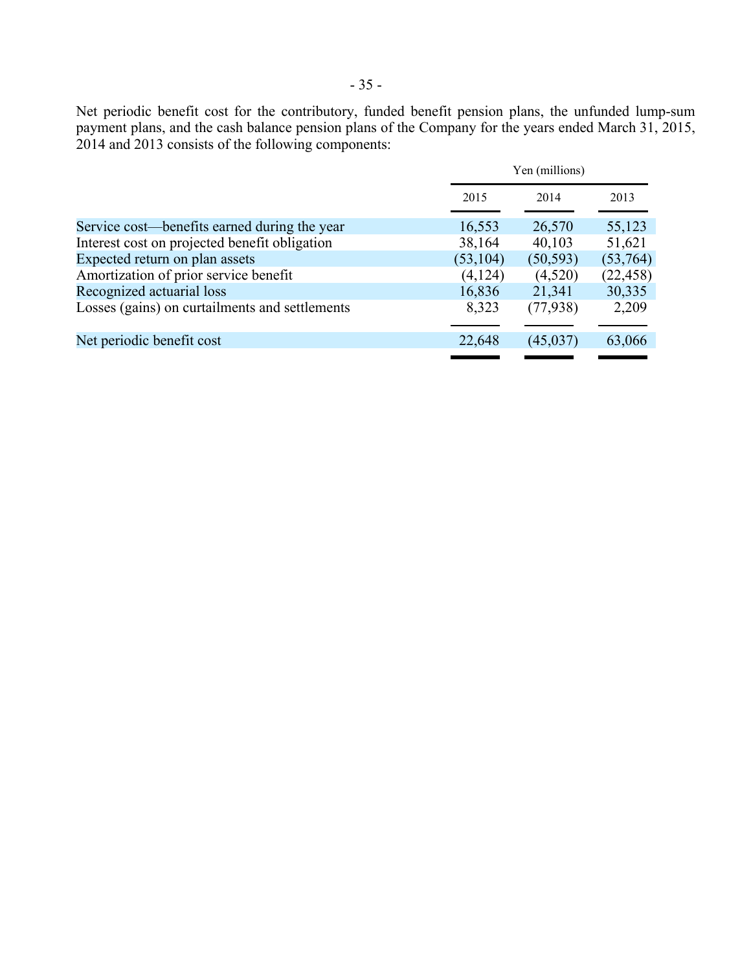Net periodic benefit cost for the contributory, funded benefit pension plans, the unfunded lump-sum payment plans, and the cash balance pension plans of the Company for the years ended March 31, 2015, 2014 and 2013 consists of the following components:

|                                                | Yen (millions) |           |           |
|------------------------------------------------|----------------|-----------|-----------|
|                                                | 2015           | 2014      | 2013      |
| Service cost—benefits earned during the year   | 16,553         | 26,570    | 55,123    |
| Interest cost on projected benefit obligation  | 38,164         | 40,103    | 51,621    |
| Expected return on plan assets                 | (53, 104)      | (50, 593) | (53,764)  |
| Amortization of prior service benefit          | (4,124)        | (4,520)   | (22, 458) |
| Recognized actuarial loss                      | 16,836         | 21,341    | 30,335    |
| Losses (gains) on curtailments and settlements | 8,323          | (77, 938) | 2,209     |
| Net periodic benefit cost                      | 22,648         | (45, 037) | 63,066    |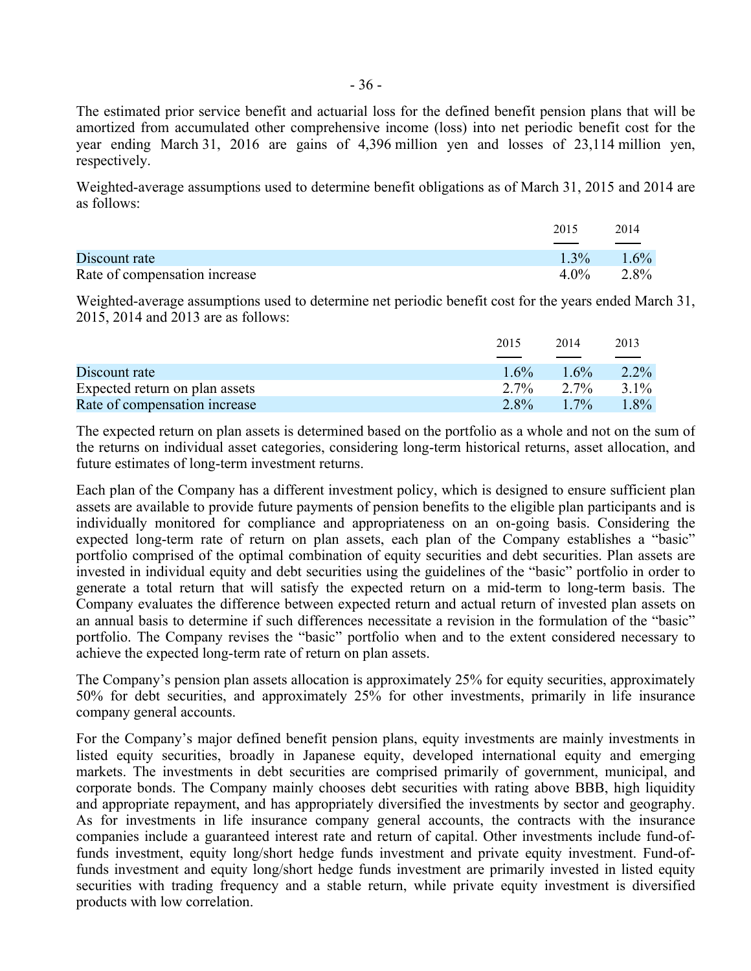The estimated prior service benefit and actuarial loss for the defined benefit pension plans that will be amortized from accumulated other comprehensive income (loss) into net periodic benefit cost for the year ending March 31, 2016 are gains of 4,396 million yen and losses of 23,114 million yen, respectively.

Weighted-average assumptions used to determine benefit obligations as of March 31, 2015 and 2014 are as follows:

|                               | 2015    | 2014    |
|-------------------------------|---------|---------|
| Discount rate                 | $1.3\%$ | $1.6\%$ |
| Rate of compensation increase | $4.0\%$ | 2.8%    |

Weighted-average assumptions used to determine net periodic benefit cost for the years ended March 31, 2015, 2014 and 2013 are as follows:

|                                | 2015    | 2014    | 2013    |
|--------------------------------|---------|---------|---------|
|                                |         |         |         |
| Discount rate                  | $1.6\%$ | $1.6\%$ | $2.2\%$ |
| Expected return on plan assets | $2.7\%$ | 2.7%    | $3.1\%$ |
| Rate of compensation increase  | $2.8\%$ | $1.7\%$ | $1.8\%$ |

The expected return on plan assets is determined based on the portfolio as a whole and not on the sum of the returns on individual asset categories, considering long-term historical returns, asset allocation, and future estimates of long-term investment returns.

Each plan of the Company has a different investment policy, which is designed to ensure sufficient plan assets are available to provide future payments of pension benefits to the eligible plan participants and is individually monitored for compliance and appropriateness on an on-going basis. Considering the expected long-term rate of return on plan assets, each plan of the Company establishes a "basic" portfolio comprised of the optimal combination of equity securities and debt securities. Plan assets are invested in individual equity and debt securities using the guidelines of the "basic" portfolio in order to generate a total return that will satisfy the expected return on a mid-term to long-term basis. The Company evaluates the difference between expected return and actual return of invested plan assets on an annual basis to determine if such differences necessitate a revision in the formulation of the "basic" portfolio. The Company revises the "basic" portfolio when and to the extent considered necessary to achieve the expected long-term rate of return on plan assets.

The Company's pension plan assets allocation is approximately 25% for equity securities, approximately 50% for debt securities, and approximately 25% for other investments, primarily in life insurance company general accounts.

For the Company's major defined benefit pension plans, equity investments are mainly investments in listed equity securities, broadly in Japanese equity, developed international equity and emerging markets. The investments in debt securities are comprised primarily of government, municipal, and corporate bonds. The Company mainly chooses debt securities with rating above BBB, high liquidity and appropriate repayment, and has appropriately diversified the investments by sector and geography. As for investments in life insurance company general accounts, the contracts with the insurance companies include a guaranteed interest rate and return of capital. Other investments include fund-offunds investment, equity long/short hedge funds investment and private equity investment. Fund-offunds investment and equity long/short hedge funds investment are primarily invested in listed equity securities with trading frequency and a stable return, while private equity investment is diversified products with low correlation.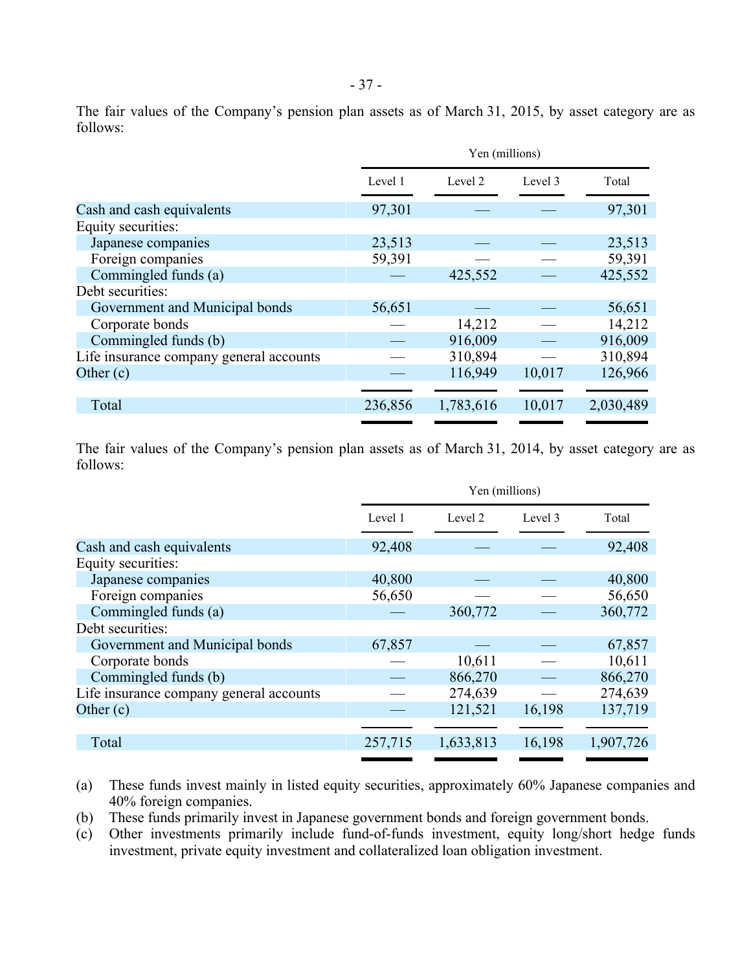|                                         | Yen (millions) |           |         |           |
|-----------------------------------------|----------------|-----------|---------|-----------|
|                                         | Level 1        | Level 2   | Level 3 | Total     |
| Cash and cash equivalents               | 97,301         |           |         | 97,301    |
| Equity securities:                      |                |           |         |           |
| Japanese companies                      | 23,513         |           |         | 23,513    |
| Foreign companies                       | 59,391         |           |         | 59,391    |
| Commingled funds (a)                    |                | 425,552   |         | 425,552   |
| Debt securities:                        |                |           |         |           |
| Government and Municipal bonds          | 56,651         |           |         | 56,651    |
| Corporate bonds                         |                | 14,212    |         | 14,212    |
| Commingled funds (b)                    |                | 916,009   |         | 916,009   |
| Life insurance company general accounts |                | 310,894   |         | 310,894   |
| Other $(c)$                             |                | 116,949   | 10,017  | 126,966   |
|                                         |                |           |         |           |
| Total                                   | 236,856        | 1,783,616 | 10,017  | 2,030,489 |
|                                         |                |           |         |           |

The fair values of the Company's pension plan assets as of March 31, 2014, by asset category are as follows:

|                                         | Yen (millions) |           |         |           |
|-----------------------------------------|----------------|-----------|---------|-----------|
|                                         | Level 1        | Level 2   | Level 3 | Total     |
| Cash and cash equivalents               | 92,408         |           |         | 92,408    |
| Equity securities:                      |                |           |         |           |
| Japanese companies                      | 40,800         |           |         | 40,800    |
| Foreign companies                       | 56,650         |           |         | 56,650    |
| Commingled funds (a)                    |                | 360,772   |         | 360,772   |
| Debt securities:                        |                |           |         |           |
| Government and Municipal bonds          | 67,857         |           |         | 67,857    |
| Corporate bonds                         |                | 10,611    |         | 10,611    |
| Commingled funds (b)                    |                | 866,270   |         | 866,270   |
| Life insurance company general accounts |                | 274,639   |         | 274,639   |
| Other $(c)$                             |                | 121,521   | 16,198  | 137,719   |
|                                         |                |           |         |           |
| Total                                   | 257,715        | 1,633,813 | 16,198  | 1,907,726 |
|                                         |                |           |         |           |

- (a) These funds invest mainly in listed equity securities, approximately 60% Japanese companies and 40% foreign companies.
- (b) These funds primarily invest in Japanese government bonds and foreign government bonds.
- (c) Other investments primarily include fund-of-funds investment, equity long/short hedge funds investment, private equity investment and collateralized loan obligation investment.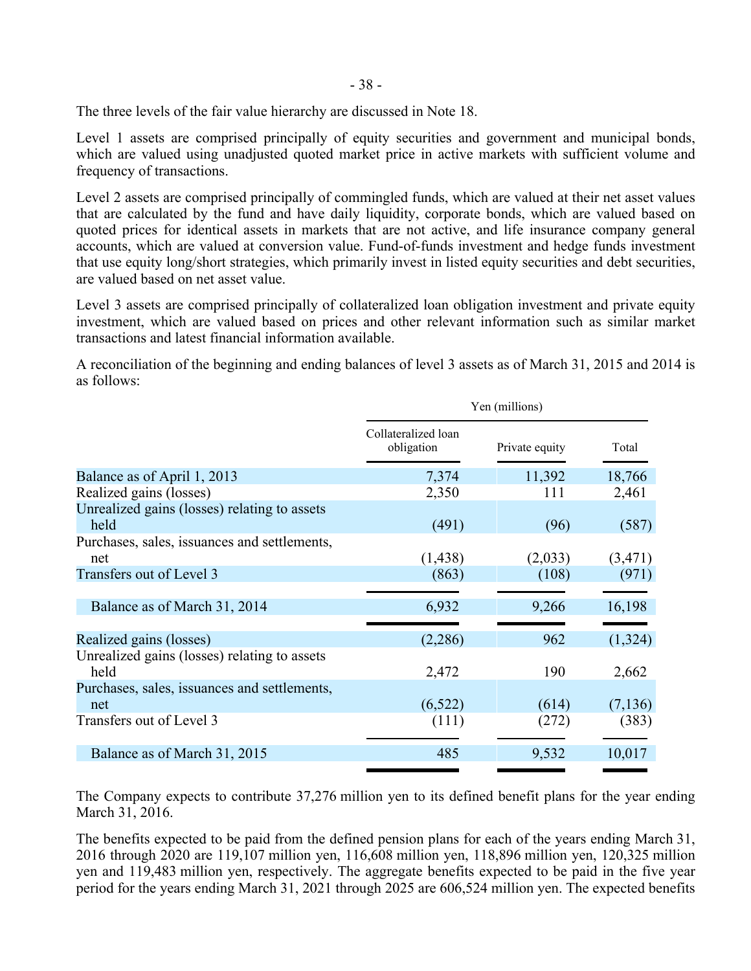The three levels of the fair value hierarchy are discussed in Note 18.

Level 1 assets are comprised principally of equity securities and government and municipal bonds, which are valued using unadjusted quoted market price in active markets with sufficient volume and frequency of transactions.

Level 2 assets are comprised principally of commingled funds, which are valued at their net asset values that are calculated by the fund and have daily liquidity, corporate bonds, which are valued based on quoted prices for identical assets in markets that are not active, and life insurance company general accounts, which are valued at conversion value. Fund-of-funds investment and hedge funds investment that use equity long/short strategies, which primarily invest in listed equity securities and debt securities, are valued based on net asset value.

Level 3 assets are comprised principally of collateralized loan obligation investment and private equity investment, which are valued based on prices and other relevant information such as similar market transactions and latest financial information available.

A reconciliation of the beginning and ending balances of level 3 assets as of March 31, 2015 and 2014 is as follows:

|                                              | Yen (millions)                    |                |          |  |
|----------------------------------------------|-----------------------------------|----------------|----------|--|
|                                              | Collateralized loan<br>obligation | Private equity | Total    |  |
| Balance as of April 1, 2013                  | 7,374                             | 11,392         | 18,766   |  |
| Realized gains (losses)                      | 2,350                             | 111            | 2,461    |  |
| Unrealized gains (losses) relating to assets |                                   |                |          |  |
| held                                         | (491)                             | (96)           | (587)    |  |
| Purchases, sales, issuances and settlements, |                                   |                |          |  |
| net                                          | (1, 438)                          | (2,033)        | (3,471)  |  |
| Transfers out of Level 3                     | (863)                             | (108)          | (971)    |  |
|                                              |                                   |                |          |  |
| Balance as of March 31, 2014                 | 6,932                             | 9,266          | 16,198   |  |
|                                              |                                   |                |          |  |
| Realized gains (losses)                      | (2,286)                           | 962            | (1,324)  |  |
| Unrealized gains (losses) relating to assets |                                   |                |          |  |
| held                                         | 2,472                             | 190            | 2,662    |  |
| Purchases, sales, issuances and settlements, |                                   |                |          |  |
| net                                          | (6,522)                           | (614)          | (7, 136) |  |
| Transfers out of Level 3                     | (111)                             | (272)          | (383)    |  |
|                                              |                                   |                |          |  |
| Balance as of March 31, 2015                 | 485                               | 9,532          | 10,017   |  |
|                                              |                                   |                |          |  |

The Company expects to contribute 37,276 million yen to its defined benefit plans for the year ending March 31, 2016.

The benefits expected to be paid from the defined pension plans for each of the years ending March 31, 2016 through 2020 are 119,107 million yen, 116,608 million yen, 118,896 million yen, 120,325 million yen and 119,483 million yen, respectively. The aggregate benefits expected to be paid in the five year period for the years ending March 31, 2021 through 2025 are 606,524 million yen. The expected benefits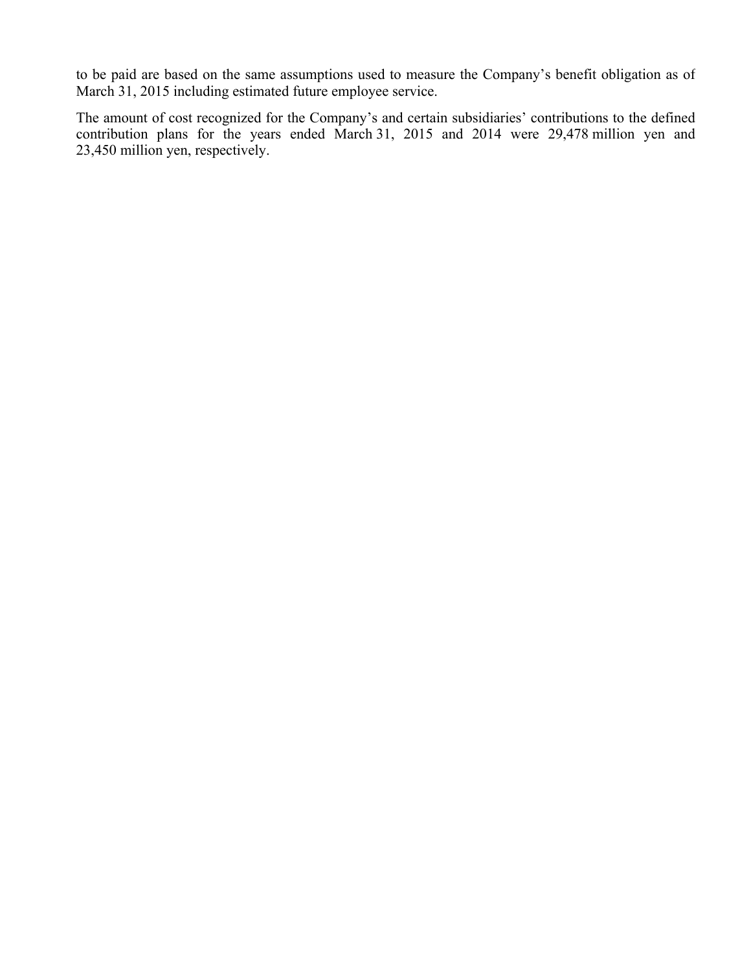to be paid are based on the same assumptions used to measure the Company's benefit obligation as of March 31, 2015 including estimated future employee service.

The amount of cost recognized for the Company's and certain subsidiaries' contributions to the defined contribution plans for the years ended March 31, 2015 and 2014 were 29,478 million yen and 23,450 million yen, respectively.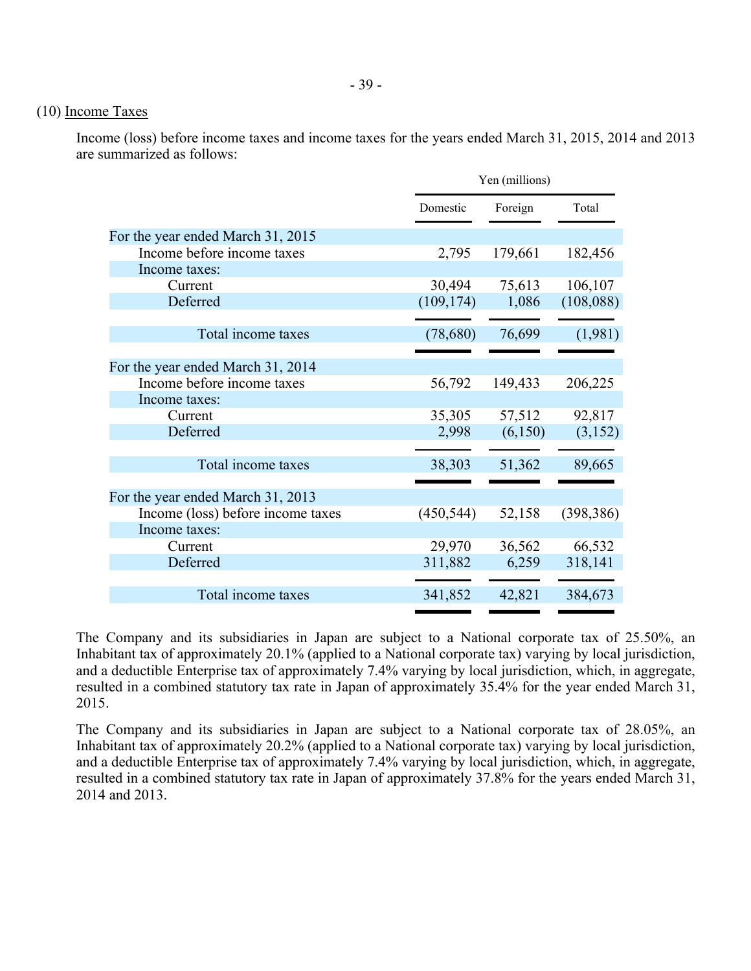# (10) Income Taxes

Income (loss) before income taxes and income taxes for the years ended March 31, 2015, 2014 and 2013 are summarized as follows:

|                                   | Yen (millions) |         |            |  |
|-----------------------------------|----------------|---------|------------|--|
|                                   | Domestic       | Foreign | Total      |  |
| For the year ended March 31, 2015 |                |         |            |  |
| Income before income taxes        | 2,795          | 179,661 | 182,456    |  |
| Income taxes:                     |                |         |            |  |
| Current                           | 30,494         | 75,613  | 106,107    |  |
| Deferred                          | (109, 174)     | 1,086   | (108, 088) |  |
| Total income taxes                | (78, 680)      | 76,699  | (1,981)    |  |
|                                   |                |         |            |  |
| For the year ended March 31, 2014 |                |         |            |  |
| Income before income taxes        | 56,792         | 149,433 | 206,225    |  |
| Income taxes:                     |                |         |            |  |
| Current                           | 35,305         | 57,512  | 92,817     |  |
| Deferred                          | 2,998          | (6,150) | (3,152)    |  |
| Total income taxes                | 38,303         | 51,362  | 89,665     |  |
| For the year ended March 31, 2013 |                |         |            |  |
| Income (loss) before income taxes | (450, 544)     | 52,158  | (398, 386) |  |
| Income taxes:                     |                |         |            |  |
| Current                           | 29,970         | 36,562  | 66,532     |  |
| Deferred                          | 311,882        | 6,259   | 318,141    |  |
|                                   |                |         |            |  |
| Total income taxes                | 341,852        | 42,821  | 384,673    |  |

The Company and its subsidiaries in Japan are subject to a National corporate tax of 25.50%, an Inhabitant tax of approximately 20.1% (applied to a National corporate tax) varying by local jurisdiction, and a deductible Enterprise tax of approximately 7.4% varying by local jurisdiction, which, in aggregate, resulted in a combined statutory tax rate in Japan of approximately 35.4% for the year ended March 31, 2015.

The Company and its subsidiaries in Japan are subject to a National corporate tax of 28.05%, an Inhabitant tax of approximately 20.2% (applied to a National corporate tax) varying by local jurisdiction, and a deductible Enterprise tax of approximately 7.4% varying by local jurisdiction, which, in aggregate, resulted in a combined statutory tax rate in Japan of approximately 37.8% for the years ended March 31, 2014 and 2013.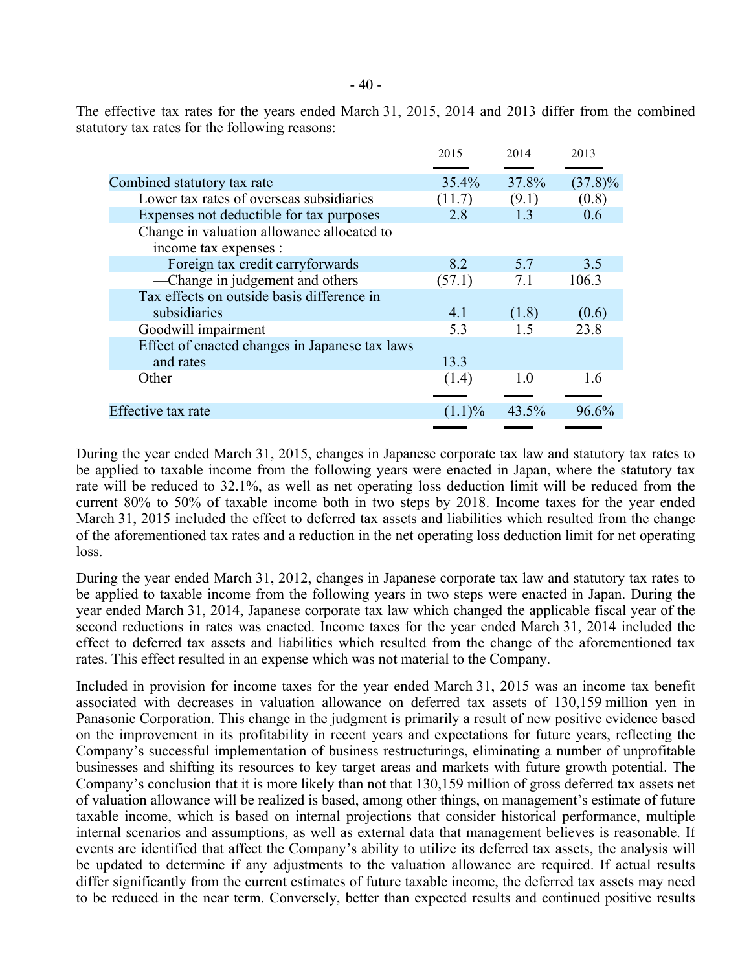The effective tax rates for the years ended March 31, 2015, 2014 and 2013 differ from the combined statutory tax rates for the following reasons:

|                                                | 2015      | 2014  | 2013       |
|------------------------------------------------|-----------|-------|------------|
| Combined statutory tax rate                    | 35.4%     | 37.8% | $(37.8)\%$ |
| Lower tax rates of overseas subsidiaries       | (11.7)    | (9.1) | (0.8)      |
| Expenses not deductible for tax purposes       | 2.8       | 1.3   | 0.6        |
| Change in valuation allowance allocated to     |           |       |            |
| income tax expenses :                          |           |       |            |
| -Foreign tax credit carryforwards              | 8.2       | 5.7   | 3.5        |
| -Change in judgement and others                | (57.1)    | 7.1   | 106.3      |
| Tax effects on outside basis difference in     |           |       |            |
| subsidiaries                                   | 4.1       | (1.8) | (0.6)      |
| Goodwill impairment                            | 5.3       | 15    | 23.8       |
| Effect of enacted changes in Japanese tax laws |           |       |            |
| and rates                                      | 13.3      |       |            |
| Other                                          | (1.4)     | 10    | 16         |
|                                                |           |       |            |
| Effective tax rate                             | $(1.1)\%$ | 43.5% | 96.6%      |
|                                                |           |       |            |

During the year ended March 31, 2015, changes in Japanese corporate tax law and statutory tax rates to be applied to taxable income from the following years were enacted in Japan, where the statutory tax rate will be reduced to 32.1%, as well as net operating loss deduction limit will be reduced from the current 80% to 50% of taxable income both in two steps by 2018. Income taxes for the year ended March 31, 2015 included the effect to deferred tax assets and liabilities which resulted from the change of the aforementioned tax rates and a reduction in the net operating loss deduction limit for net operating loss.

During the year ended March 31, 2012, changes in Japanese corporate tax law and statutory tax rates to be applied to taxable income from the following years in two steps were enacted in Japan. During the year ended March 31, 2014, Japanese corporate tax law which changed the applicable fiscal year of the second reductions in rates was enacted. Income taxes for the year ended March 31, 2014 included the effect to deferred tax assets and liabilities which resulted from the change of the aforementioned tax rates. This effect resulted in an expense which was not material to the Company.

Included in provision for income taxes for the year ended March 31, 2015 was an income tax benefit associated with decreases in valuation allowance on deferred tax assets of 130,159 million yen in Panasonic Corporation. This change in the judgment is primarily a result of new positive evidence based on the improvement in its profitability in recent years and expectations for future years, reflecting the Company's successful implementation of business restructurings, eliminating a number of unprofitable businesses and shifting its resources to key target areas and markets with future growth potential. The Company's conclusion that it is more likely than not that 130,159 million of gross deferred tax assets net of valuation allowance will be realized is based, among other things, on management's estimate of future taxable income, which is based on internal projections that consider historical performance, multiple internal scenarios and assumptions, as well as external data that management believes is reasonable. If events are identified that affect the Company's ability to utilize its deferred tax assets, the analysis will be updated to determine if any adjustments to the valuation allowance are required. If actual results differ significantly from the current estimates of future taxable income, the deferred tax assets may need to be reduced in the near term. Conversely, better than expected results and continued positive results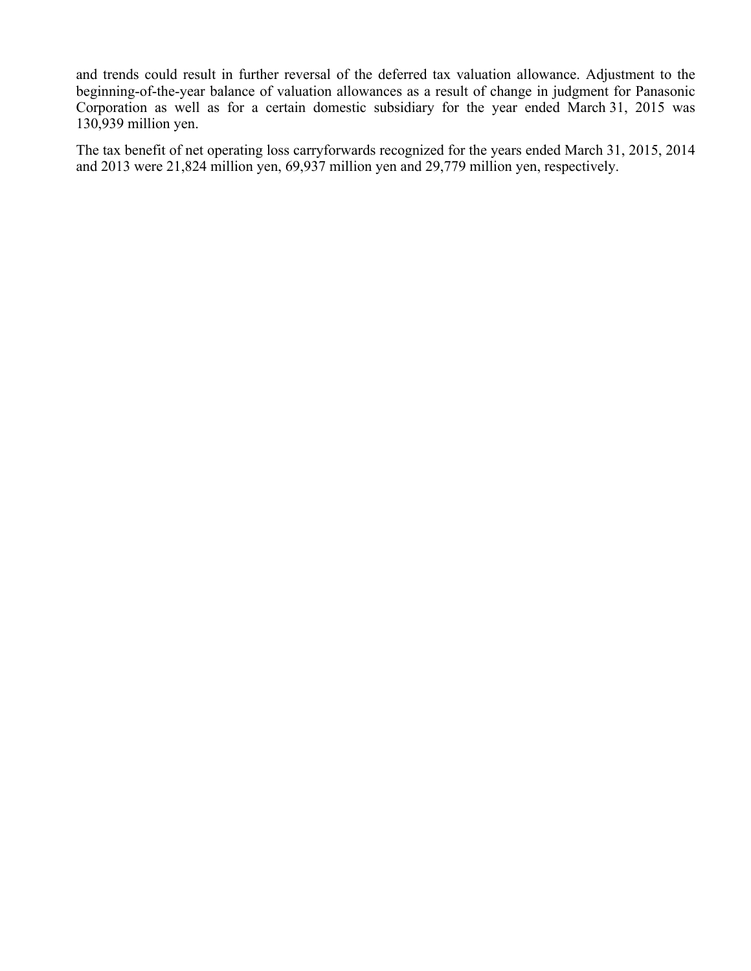and trends could result in further reversal of the deferred tax valuation allowance. Adjustment to the beginning-of-the-year balance of valuation allowances as a result of change in judgment for Panasonic Corporation as well as for a certain domestic subsidiary for the year ended March 31, 2015 was 130,939 million yen.

The tax benefit of net operating loss carryforwards recognized for the years ended March 31, 2015, 2014 and 2013 were 21,824 million yen, 69,937 million yen and 29,779 million yen, respectively.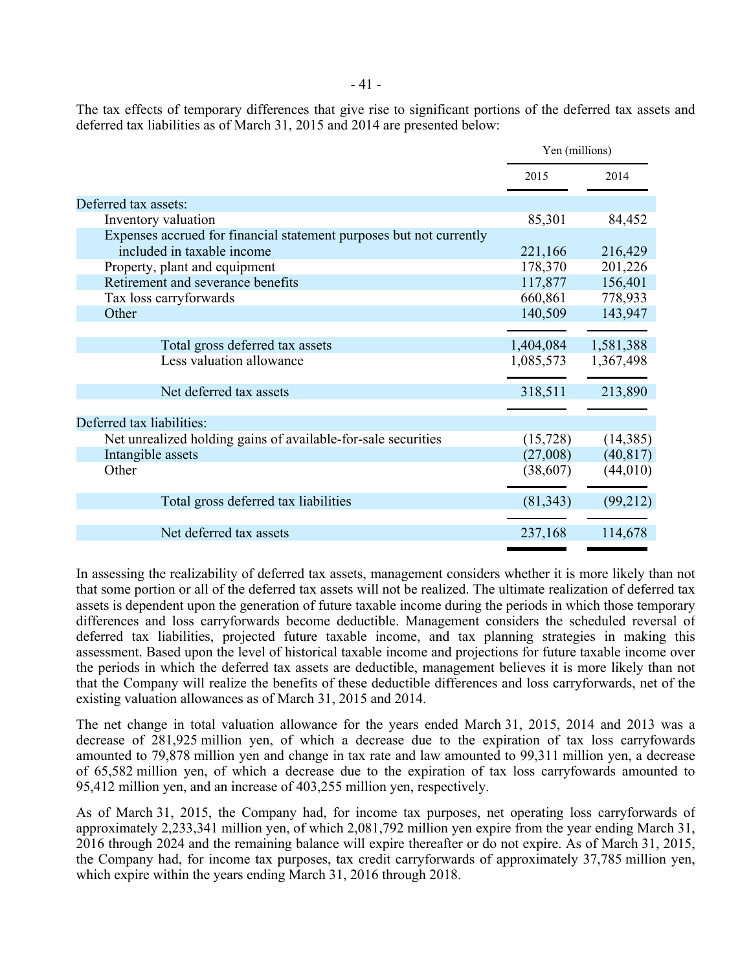The tax effects of temporary differences that give rise to significant portions of the deferred tax assets and deferred tax liabilities as of March 31, 2015 and 2014 are presented below:

|                                                                     | Yen (millions) |           |
|---------------------------------------------------------------------|----------------|-----------|
|                                                                     | 2015           | 2014      |
| Deferred tax assets:                                                |                |           |
| Inventory valuation                                                 | 85,301         | 84,452    |
| Expenses accrued for financial statement purposes but not currently |                |           |
| included in taxable income                                          | 221,166        | 216,429   |
| Property, plant and equipment                                       | 178,370        | 201,226   |
| Retirement and severance benefits                                   | 117,877        | 156,401   |
| Tax loss carryforwards                                              | 660,861        | 778,933   |
| Other                                                               | 140,509        | 143,947   |
|                                                                     |                |           |
| Total gross deferred tax assets                                     | 1,404,084      | 1,581,388 |
| Less valuation allowance                                            | 1,085,573      | 1,367,498 |
| Net deferred tax assets                                             | 318,511        | 213,890   |
|                                                                     |                |           |
| Deferred tax liabilities:                                           |                |           |
| Net unrealized holding gains of available-for-sale securities       | (15, 728)      | (14,385)  |
| Intangible assets                                                   | (27,008)       | (40, 817) |
| Other                                                               | (38,607)       | (44, 010) |
|                                                                     |                |           |
| Total gross deferred tax liabilities                                | (81, 343)      | (99,212)  |
|                                                                     |                |           |
| Net deferred tax assets                                             | 237,168        | 114,678   |
|                                                                     |                |           |

In assessing the realizability of deferred tax assets, management considers whether it is more likely than not that some portion or all of the deferred tax assets will not be realized. The ultimate realization of deferred tax assets is dependent upon the generation of future taxable income during the periods in which those temporary differences and loss carryforwards become deductible. Management considers the scheduled reversal of deferred tax liabilities, projected future taxable income, and tax planning strategies in making this assessment. Based upon the level of historical taxable income and projections for future taxable income over the periods in which the deferred tax assets are deductible, management believes it is more likely than not that the Company will realize the benefits of these deductible differences and loss carryforwards, net of the existing valuation allowances as of March 31, 2015 and 2014.

The net change in total valuation allowance for the years ended March 31, 2015, 2014 and 2013 was a decrease of 281,925 million yen, of which a decrease due to the expiration of tax loss carryfowards amounted to 79,878 million yen and change in tax rate and law amounted to 99,311 million yen, a decrease of 65,582 million yen, of which a decrease due to the expiration of tax loss carryfowards amounted to 95,412 million yen, and an increase of 403,255 million yen, respectively.

As of March 31, 2015, the Company had, for income tax purposes, net operating loss carryforwards of approximately 2,233,341 million yen, of which 2,081,792 million yen expire from the year ending March 31, 2016 through 2024 and the remaining balance will expire thereafter or do not expire. As of March 31, 2015, the Company had, for income tax purposes, tax credit carryforwards of approximately 37,785 million yen, which expire within the years ending March 31, 2016 through 2018.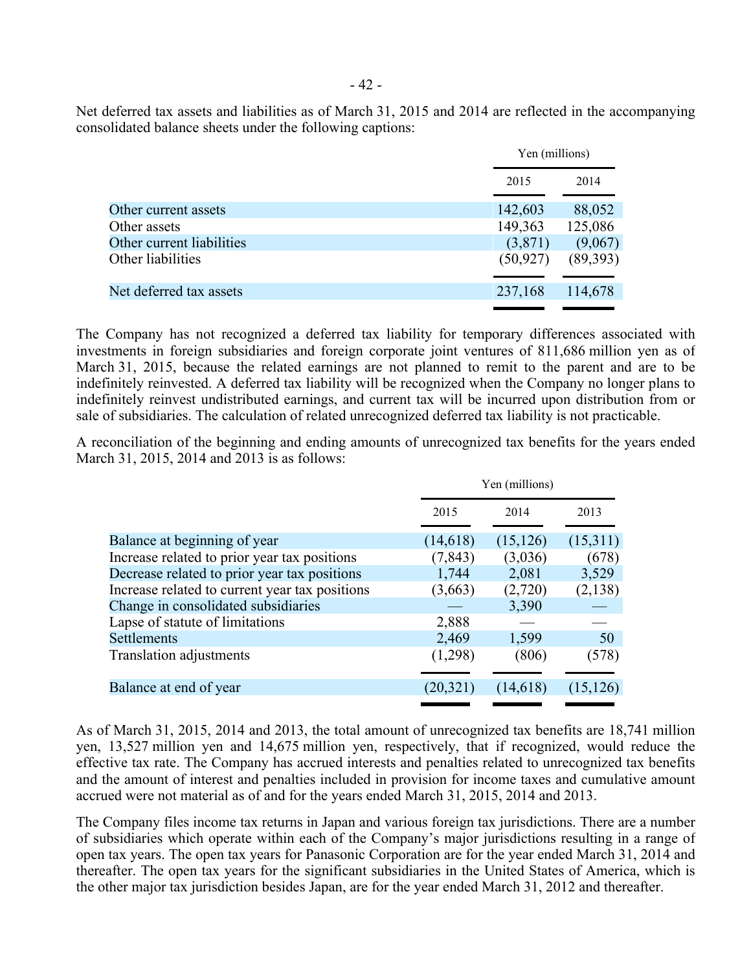Net deferred tax assets and liabilities as of March 31, 2015 and 2014 are reflected in the accompanying consolidated balance sheets under the following captions:

|                           | Yen (millions) |          |
|---------------------------|----------------|----------|
|                           | 2015           | 2014     |
| Other current assets      | 142,603        | 88,052   |
| Other assets              | 149,363        | 125,086  |
| Other current liabilities | (3,871)        | (9,067)  |
| Other liabilities         | (50, 927)      | (89,393) |
| Net deferred tax assets   | 237,168        | 114,678  |

The Company has not recognized a deferred tax liability for temporary differences associated with investments in foreign subsidiaries and foreign corporate joint ventures of 811,686 million yen as of March 31, 2015, because the related earnings are not planned to remit to the parent and are to be indefinitely reinvested. A deferred tax liability will be recognized when the Company no longer plans to indefinitely reinvest undistributed earnings, and current tax will be incurred upon distribution from or sale of subsidiaries. The calculation of related unrecognized deferred tax liability is not practicable.

A reconciliation of the beginning and ending amounts of unrecognized tax benefits for the years ended March 31, 2015, 2014 and 2013 is as follows:

|                                                |           | Yen (millions) |           |  |  |
|------------------------------------------------|-----------|----------------|-----------|--|--|
|                                                | 2015      | 2014           | 2013      |  |  |
| Balance at beginning of year                   | (14,618)  | (15, 126)      | (15,311)  |  |  |
| Increase related to prior year tax positions   | (7, 843)  | (3,036)        | (678)     |  |  |
| Decrease related to prior year tax positions   | 1,744     | 2,081          | 3,529     |  |  |
| Increase related to current year tax positions | (3,663)   | (2,720)        | (2,138)   |  |  |
| Change in consolidated subsidiaries            |           | 3,390          |           |  |  |
| Lapse of statute of limitations                | 2,888     |                |           |  |  |
| <b>Settlements</b>                             | 2,469     | 1,599          | 50        |  |  |
| <b>Translation adjustments</b>                 | (1,298)   | (806)          | (578)     |  |  |
|                                                |           |                |           |  |  |
| Balance at end of year                         | (20, 321) | (14,618)       | (15, 126) |  |  |
|                                                |           |                |           |  |  |

As of March 31, 2015, 2014 and 2013, the total amount of unrecognized tax benefits are 18,741 million yen, 13,527 million yen and 14,675 million yen, respectively, that if recognized, would reduce the effective tax rate. The Company has accrued interests and penalties related to unrecognized tax benefits and the amount of interest and penalties included in provision for income taxes and cumulative amount accrued were not material as of and for the years ended March 31, 2015, 2014 and 2013.

The Company files income tax returns in Japan and various foreign tax jurisdictions. There are a number of subsidiaries which operate within each of the Company's major jurisdictions resulting in a range of open tax years. The open tax years for Panasonic Corporation are for the year ended March 31, 2014 and thereafter. The open tax years for the significant subsidiaries in the United States of America, which is the other major tax jurisdiction besides Japan, are for the year ended March 31, 2012 and thereafter.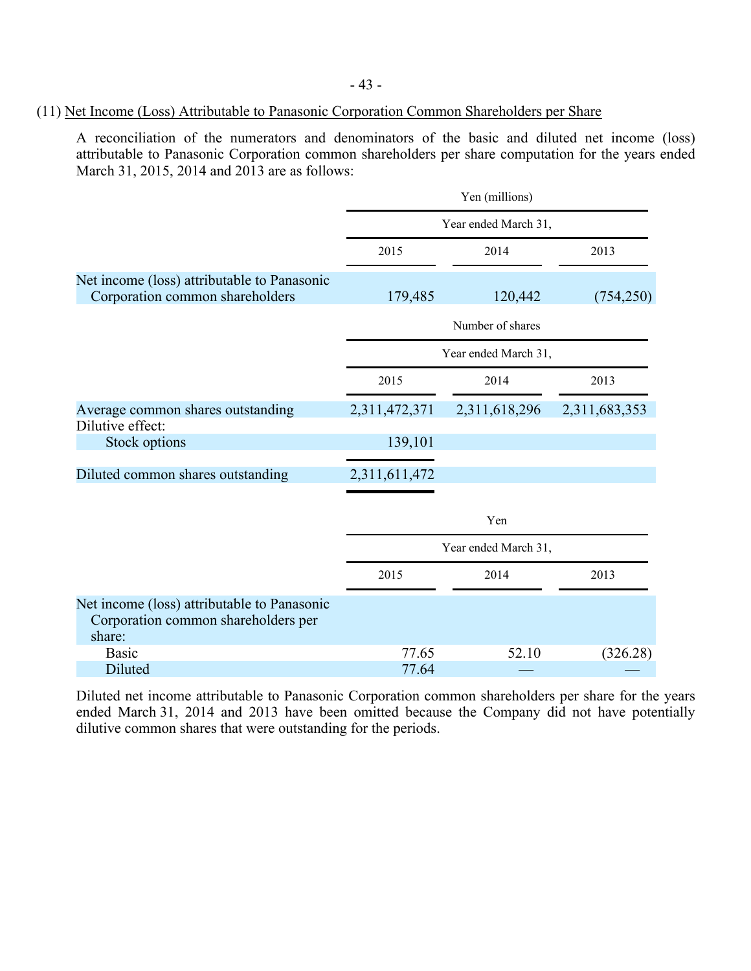# (11) Net Income (Loss) Attributable to Panasonic Corporation Common Shareholders per Share

A reconciliation of the numerators and denominators of the basic and diluted net income (loss) attributable to Panasonic Corporation common shareholders per share computation for the years ended March 31, 2015, 2014 and 2013 are as follows:

|                                                                                              | Yen (millions)       |                      |               |  |  |
|----------------------------------------------------------------------------------------------|----------------------|----------------------|---------------|--|--|
|                                                                                              | Year ended March 31, |                      |               |  |  |
|                                                                                              | 2015                 | 2014                 | 2013          |  |  |
| Net income (loss) attributable to Panasonic<br>Corporation common shareholders               | 179,485              | 120,442              | (754,250)     |  |  |
|                                                                                              |                      | Number of shares     |               |  |  |
|                                                                                              | Year ended March 31, |                      |               |  |  |
|                                                                                              | 2015                 | 2014                 | 2013          |  |  |
| Average common shares outstanding<br>Dilutive effect:                                        | 2,311,472,371        | 2,311,618,296        | 2,311,683,353 |  |  |
| Stock options                                                                                | 139,101              |                      |               |  |  |
| Diluted common shares outstanding                                                            | 2,311,611,472        |                      |               |  |  |
|                                                                                              |                      | Yen                  |               |  |  |
|                                                                                              |                      | Year ended March 31, |               |  |  |
|                                                                                              | 2015                 | 2014                 | 2013          |  |  |
| Net income (loss) attributable to Panasonic<br>Corporation common shareholders per<br>share: |                      |                      |               |  |  |
| <b>Basic</b>                                                                                 | 77.65                | 52.10                | (326.28)      |  |  |
| Diluted                                                                                      | 77.64                |                      |               |  |  |

Diluted net income attributable to Panasonic Corporation common shareholders per share for the years ended March 31, 2014 and 2013 have been omitted because the Company did not have potentially dilutive common shares that were outstanding for the periods.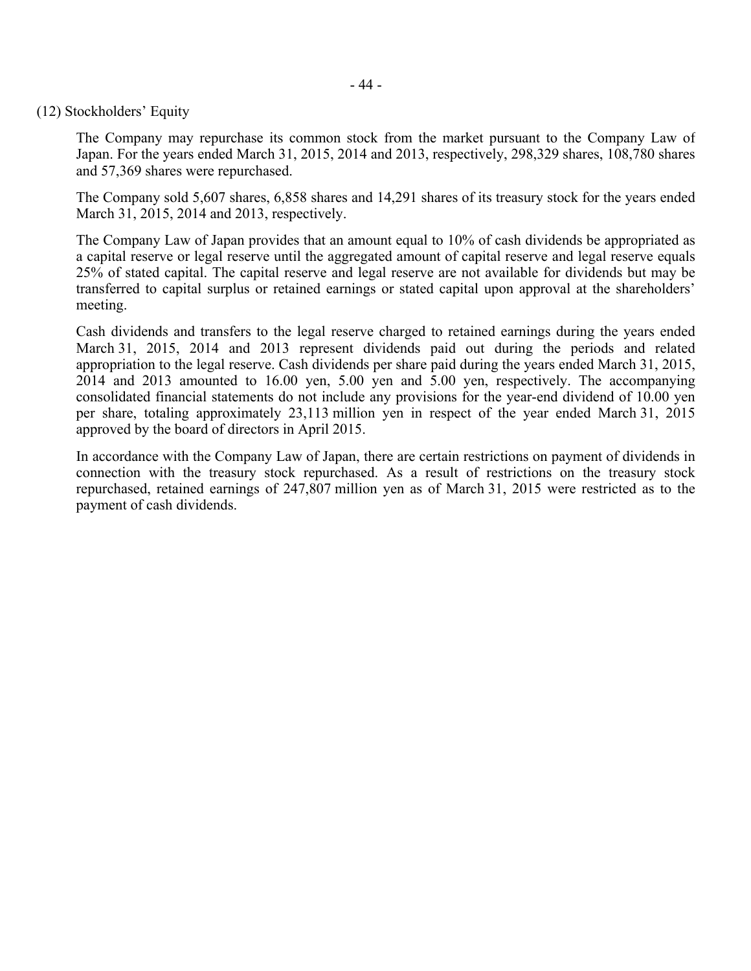### (12) Stockholders' Equity

The Company may repurchase its common stock from the market pursuant to the Company Law of Japan. For the years ended March 31, 2015, 2014 and 2013, respectively, 298,329 shares, 108,780 shares and 57,369 shares were repurchased.

The Company sold 5,607 shares, 6,858 shares and 14,291 shares of its treasury stock for the years ended March 31, 2015, 2014 and 2013, respectively.

The Company Law of Japan provides that an amount equal to 10% of cash dividends be appropriated as a capital reserve or legal reserve until the aggregated amount of capital reserve and legal reserve equals 25% of stated capital. The capital reserve and legal reserve are not available for dividends but may be transferred to capital surplus or retained earnings or stated capital upon approval at the shareholders' meeting.

Cash dividends and transfers to the legal reserve charged to retained earnings during the years ended March 31, 2015, 2014 and 2013 represent dividends paid out during the periods and related appropriation to the legal reserve. Cash dividends per share paid during the years ended March 31, 2015, 2014 and 2013 amounted to 16.00 yen, 5.00 yen and 5.00 yen, respectively. The accompanying consolidated financial statements do not include any provisions for the year-end dividend of 10.00 yen per share, totaling approximately 23,113 million yen in respect of the year ended March 31, 2015 approved by the board of directors in April 2015.

In accordance with the Company Law of Japan, there are certain restrictions on payment of dividends in connection with the treasury stock repurchased. As a result of restrictions on the treasury stock repurchased, retained earnings of 247,807 million yen as of March 31, 2015 were restricted as to the payment of cash dividends.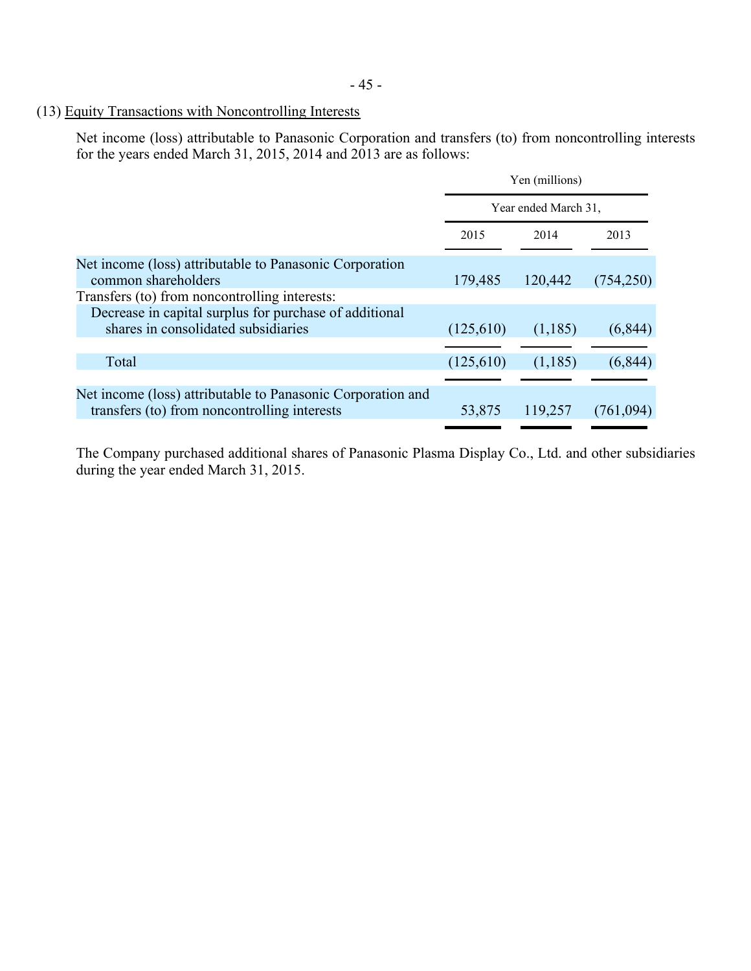# (13) Equity Transactions with Noncontrolling Interests

Net income (loss) attributable to Panasonic Corporation and transfers (to) from noncontrolling interests for the years ended March 31, 2015, 2014 and 2013 are as follows:

| Year ended March 31, |         |                |  |
|----------------------|---------|----------------|--|
| 2015                 | 2014    | 2013           |  |
| 179,485              | 120,442 | (754,250)      |  |
| (125,610)            | (1,185) | (6, 844)       |  |
| (125,610)            | (1,185) | (6, 844)       |  |
| 53,875               | 119,257 | (761, 094)     |  |
|                      |         | Yen (millions) |  |

The Company purchased additional shares of Panasonic Plasma Display Co., Ltd. and other subsidiaries during the year ended March 31, 2015.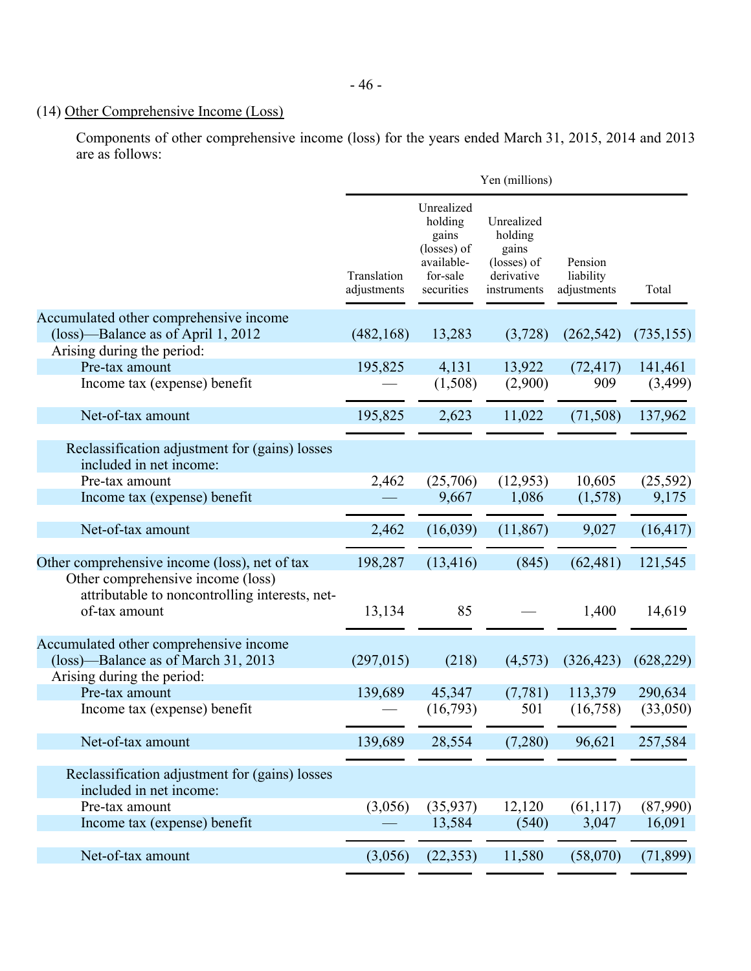# (14) Other Comprehensive Income (Loss)

Components of other comprehensive income (loss) for the years ended March 31, 2015, 2014 and 2013 are as follows:

|                                                                                                             | Yen (millions)             |                                                                                       |                                                                            |                                     |            |
|-------------------------------------------------------------------------------------------------------------|----------------------------|---------------------------------------------------------------------------------------|----------------------------------------------------------------------------|-------------------------------------|------------|
|                                                                                                             | Translation<br>adjustments | Unrealized<br>holding<br>gains<br>(losses) of<br>available-<br>for-sale<br>securities | Unrealized<br>holding<br>gains<br>(losses) of<br>derivative<br>instruments | Pension<br>liability<br>adjustments | Total      |
| Accumulated other comprehensive income                                                                      |                            |                                                                                       |                                                                            |                                     |            |
| (loss)—Balance as of April 1, 2012                                                                          | (482, 168)                 | 13,283                                                                                | (3,728)                                                                    | (262, 542)                          | (735, 155) |
| Arising during the period:                                                                                  |                            |                                                                                       |                                                                            |                                     |            |
| Pre-tax amount                                                                                              | 195,825                    | 4,131                                                                                 | 13,922                                                                     | (72, 417)                           | 141,461    |
| Income tax (expense) benefit                                                                                |                            | (1,508)                                                                               | (2,900)                                                                    | 909                                 | (3,499)    |
| Net-of-tax amount                                                                                           | 195,825                    | 2,623                                                                                 | 11,022                                                                     | (71, 508)                           | 137,962    |
| Reclassification adjustment for (gains) losses<br>included in net income:                                   |                            |                                                                                       |                                                                            |                                     |            |
| Pre-tax amount                                                                                              | 2,462                      | (25,706)                                                                              | (12, 953)                                                                  | 10,605                              | (25, 592)  |
| Income tax (expense) benefit                                                                                |                            | 9,667                                                                                 | 1,086                                                                      | (1,578)                             | 9,175      |
| Net-of-tax amount                                                                                           | 2,462                      | (16,039)                                                                              | (11, 867)                                                                  | 9,027                               | (16, 417)  |
| Other comprehensive income (loss), net of tax                                                               | 198,287                    | (13, 416)                                                                             | (845)                                                                      | (62, 481)                           | 121,545    |
| Other comprehensive income (loss)<br>attributable to noncontrolling interests, net-<br>of-tax amount        | 13,134                     | 85                                                                                    |                                                                            | 1,400                               | 14,619     |
| Accumulated other comprehensive income<br>(loss)—Balance as of March 31, 2013<br>Arising during the period: | (297, 015)                 | (218)                                                                                 | (4,573)                                                                    | (326, 423)                          | (628, 229) |
| Pre-tax amount                                                                                              | 139,689                    | 45,347                                                                                | (7, 781)                                                                   | 113,379                             | 290,634    |
| Income tax (expense) benefit                                                                                |                            | (16,793)                                                                              | 501                                                                        | (16,758)                            | (33,050)   |
| Net-of-tax amount                                                                                           | 139,689                    | 28,554                                                                                | (7,280)                                                                    | 96,621                              | 257,584    |
| Reclassification adjustment for (gains) losses<br>included in net income:                                   |                            |                                                                                       |                                                                            |                                     |            |
| Pre-tax amount                                                                                              | (3,056)                    | (35, 937)                                                                             | 12,120                                                                     | (61, 117)                           | (87,990)   |
| Income tax (expense) benefit                                                                                |                            | 13,584                                                                                | (540)                                                                      | 3,047                               | 16,091     |
| Net-of-tax amount                                                                                           | (3,056)                    | (22, 353)                                                                             | 11,580                                                                     | (58,070)                            | (71, 899)  |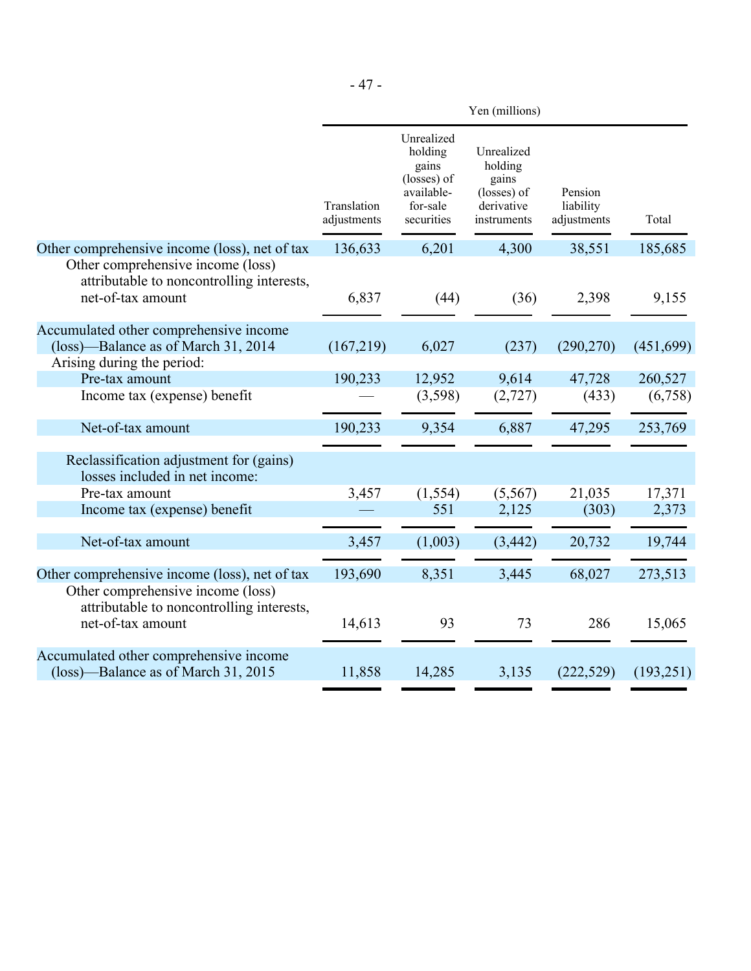|                                                                                                             | Yen (millions)             |                                                                                       |                                                                            |                                     |            |
|-------------------------------------------------------------------------------------------------------------|----------------------------|---------------------------------------------------------------------------------------|----------------------------------------------------------------------------|-------------------------------------|------------|
|                                                                                                             | Translation<br>adjustments | Unrealized<br>holding<br>gains<br>(losses) of<br>available-<br>for-sale<br>securities | Unrealized<br>holding<br>gains<br>(losses) of<br>derivative<br>instruments | Pension<br>liability<br>adjustments | Total      |
| Other comprehensive income (loss), net of tax<br>Other comprehensive income (loss)                          | 136,633                    | 6,201                                                                                 | 4,300                                                                      | 38,551                              | 185,685    |
| attributable to noncontrolling interests,<br>net-of-tax amount                                              | 6,837                      | (44)                                                                                  | (36)                                                                       | 2,398                               | 9,155      |
| Accumulated other comprehensive income<br>(loss)—Balance as of March 31, 2014<br>Arising during the period: | (167,219)                  | 6,027                                                                                 | (237)                                                                      | (290, 270)                          | (451, 699) |
| Pre-tax amount                                                                                              | 190,233                    | 12,952                                                                                | 9,614                                                                      | 47,728                              | 260,527    |
| Income tax (expense) benefit                                                                                |                            | (3,598)                                                                               | (2, 727)                                                                   | (433)                               | (6,758)    |
| Net-of-tax amount                                                                                           | 190,233                    | 9,354                                                                                 | 6,887                                                                      | 47,295                              | 253,769    |
| Reclassification adjustment for (gains)<br>losses included in net income:                                   |                            |                                                                                       |                                                                            |                                     |            |
| Pre-tax amount                                                                                              | 3,457                      | (1, 554)                                                                              | (5,567)                                                                    | 21,035                              | 17,371     |
| Income tax (expense) benefit                                                                                |                            | 551                                                                                   | 2,125                                                                      | (303)                               | 2,373      |
| Net-of-tax amount                                                                                           | 3,457                      | (1,003)                                                                               | (3, 442)                                                                   | 20,732                              | 19,744     |
| Other comprehensive income (loss), net of tax<br>Other comprehensive income (loss)                          | 193,690                    | 8,351                                                                                 | 3,445                                                                      | 68,027                              | 273,513    |
| attributable to noncontrolling interests,<br>net-of-tax amount                                              | 14,613                     | 93                                                                                    | 73                                                                         | 286                                 | 15,065     |
| Accumulated other comprehensive income<br>(loss)—Balance as of March 31, 2015                               | 11,858                     | 14,285                                                                                | 3,135                                                                      | (222, 529)                          | (193, 251) |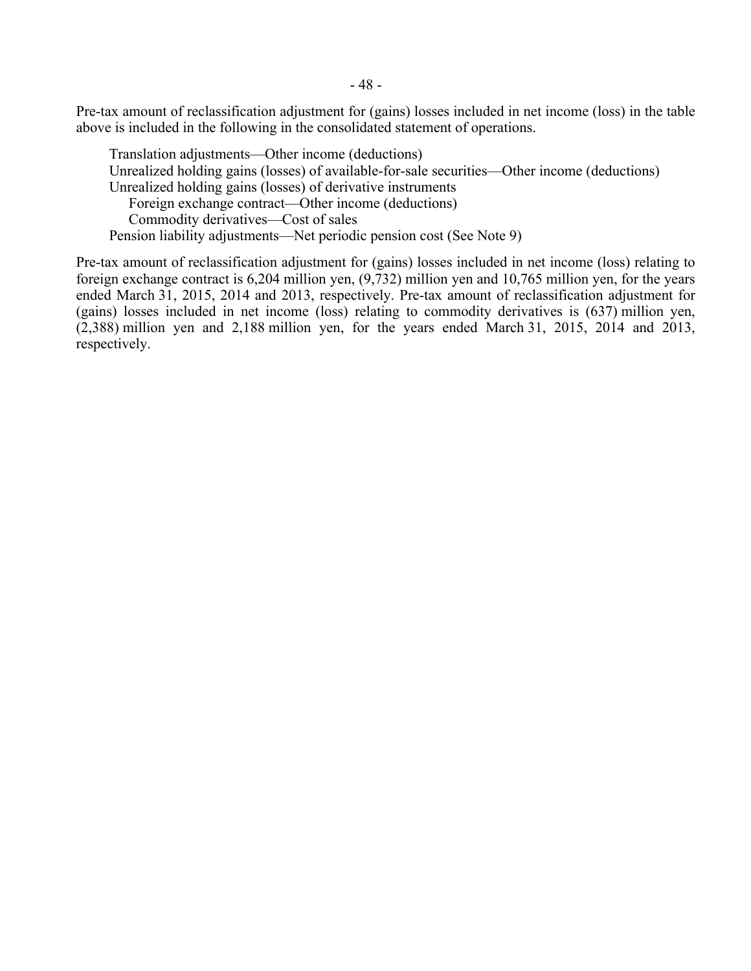Pre-tax amount of reclassification adjustment for (gains) losses included in net income (loss) in the table above is included in the following in the consolidated statement of operations.

Translation adjustments—Other income (deductions) Unrealized holding gains (losses) of available-for-sale securities—Other income (deductions) Unrealized holding gains (losses) of derivative instruments Foreign exchange contract—Other income (deductions) Commodity derivatives—Cost of sales Pension liability adjustments—Net periodic pension cost (See Note 9)

Pre-tax amount of reclassification adjustment for (gains) losses included in net income (loss) relating to foreign exchange contract is 6,204 million yen, (9,732) million yen and 10,765 million yen, for the years ended March 31, 2015, 2014 and 2013, respectively. Pre-tax amount of reclassification adjustment for (gains) losses included in net income (loss) relating to commodity derivatives is (637) million yen, (2,388) million yen and 2,188 million yen, for the years ended March 31, 2015, 2014 and 2013, respectively.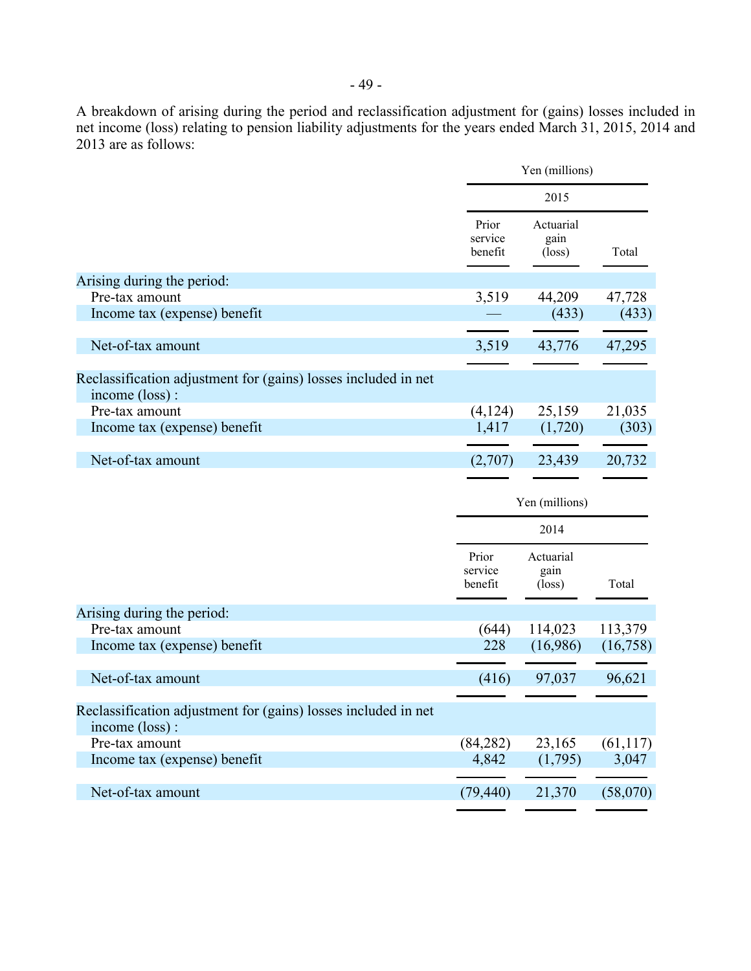A breakdown of arising during the period and reclassification adjustment for (gains) losses included in net income (loss) relating to pension liability adjustments for the years ended March 31, 2015, 2014 and 2013 are as follows:

|                                                                                  | Yen (millions)              |                                      |           |
|----------------------------------------------------------------------------------|-----------------------------|--------------------------------------|-----------|
|                                                                                  | 2015                        |                                      |           |
|                                                                                  | Prior<br>service<br>benefit | Actuarial<br>gain<br>$(\text{loss})$ | Total     |
| Arising during the period:                                                       |                             |                                      |           |
| Pre-tax amount                                                                   | 3,519                       | 44,209                               | 47,728    |
| Income tax (expense) benefit                                                     |                             | (433)                                | (433)     |
| Net-of-tax amount                                                                | 3,519                       | 43,776                               | 47,295    |
| Reclassification adjustment for (gains) losses included in net                   |                             |                                      |           |
| income (loss):                                                                   |                             |                                      |           |
| Pre-tax amount                                                                   | (4, 124)                    | 25,159                               | 21,035    |
| Income tax (expense) benefit                                                     | 1,417                       | (1,720)                              | (303)     |
| Net-of-tax amount                                                                | (2,707)                     | 23,439                               | 20,732    |
|                                                                                  |                             | Yen (millions)                       |           |
|                                                                                  |                             | 2014                                 |           |
|                                                                                  | Prior<br>service            | Actuarial<br>gain                    |           |
|                                                                                  | benefit                     | $(\text{loss})$                      | Total     |
| Arising during the period:                                                       |                             |                                      |           |
| Pre-tax amount                                                                   | (644)                       | 114,023                              | 113,379   |
| Income tax (expense) benefit                                                     | 228                         | (16,986)                             | (16,758)  |
| Net-of-tax amount                                                                | (416)                       | 97,037                               | 96,621    |
| Reclassification adjustment for (gains) losses included in net<br>income (loss): |                             |                                      |           |
| Pre-tax amount                                                                   | (84, 282)                   | 23,165                               | (61, 117) |
| Income tax (expense) benefit                                                     | 4,842                       | (1,795)                              | 3,047     |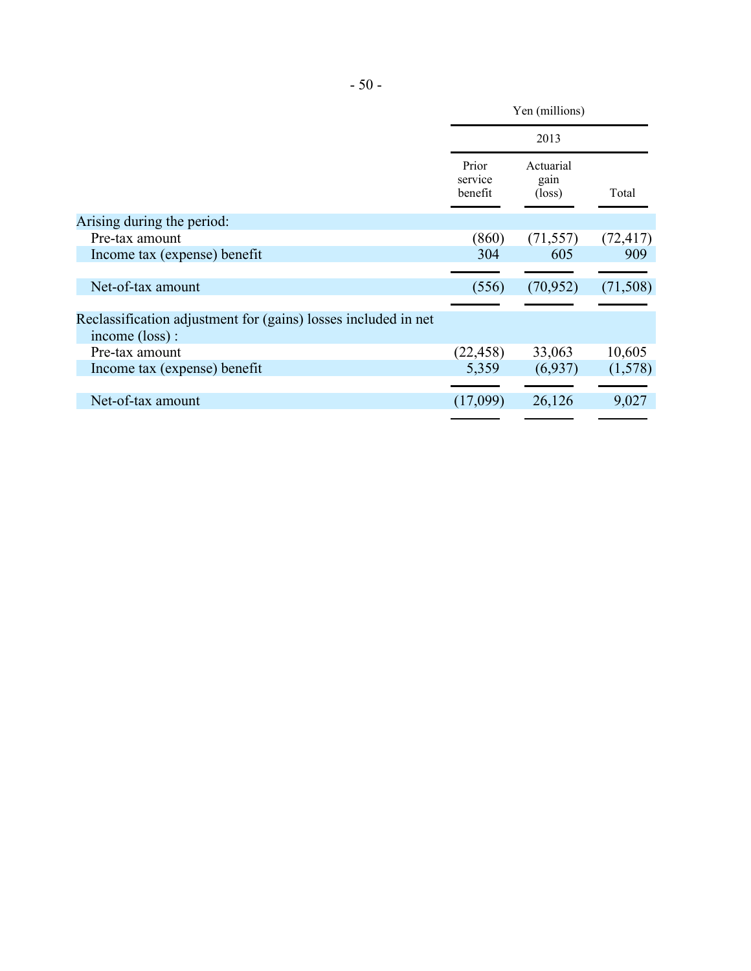|                                                                                  | Yen (millions)              |                                      |           |
|----------------------------------------------------------------------------------|-----------------------------|--------------------------------------|-----------|
|                                                                                  | 2013                        |                                      |           |
|                                                                                  | Prior<br>service<br>benefit | Actuarial<br>gain<br>$(\text{loss})$ | Total     |
| Arising during the period:                                                       |                             |                                      |           |
| Pre-tax amount                                                                   | (860)                       | (71, 557)                            | (72, 417) |
| Income tax (expense) benefit                                                     | 304                         | 605                                  | 909       |
|                                                                                  |                             |                                      |           |
| Net-of-tax amount                                                                | (556)                       | (70, 952)                            | (71, 508) |
|                                                                                  |                             |                                      |           |
| Reclassification adjustment for (gains) losses included in net<br>income (loss): |                             |                                      |           |
| Pre-tax amount                                                                   | (22, 458)                   | 33,063                               | 10,605    |
| Income tax (expense) benefit                                                     | 5,359                       | (6,937)                              | (1,578)   |
|                                                                                  |                             |                                      |           |
| Net-of-tax amount                                                                | (17,099)                    | 26,126                               | 9,027     |
|                                                                                  |                             |                                      |           |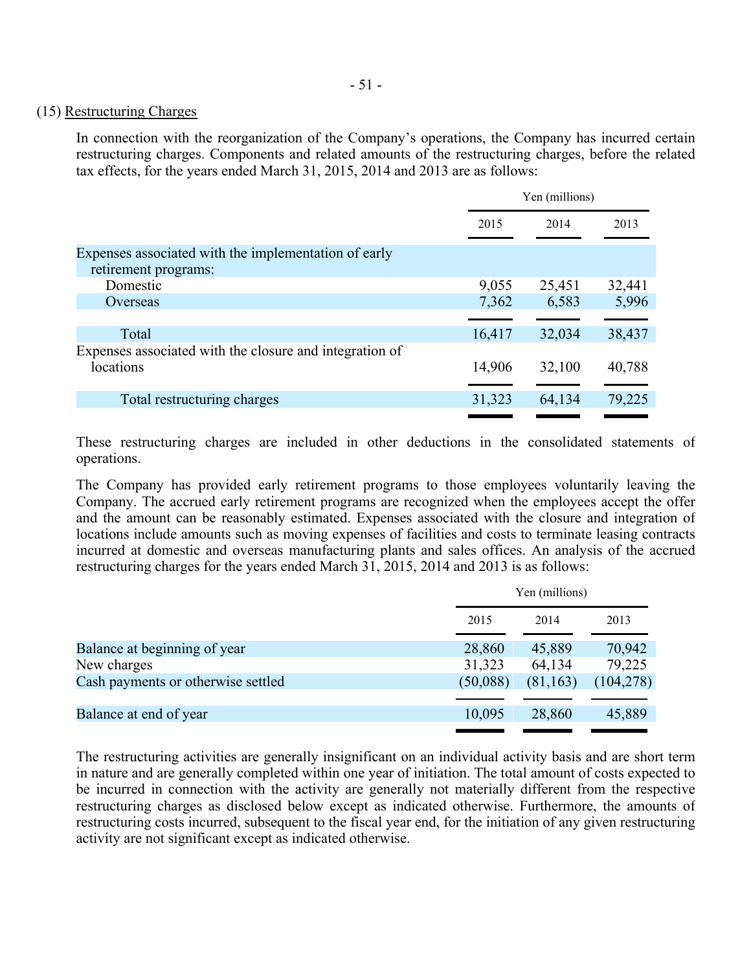### (15) Restructuring Charges

In connection with the reorganization of the Company's operations, the Company has incurred certain restructuring charges. Components and related amounts of the restructuring charges, before the related tax effects, for the years ended March 31, 2015, 2014 and 2013 are as follows:

|                                                         | Yen (millions) |        |        |
|---------------------------------------------------------|----------------|--------|--------|
|                                                         | 2015           | 2014   | 2013   |
| Expenses associated with the implementation of early    |                |        |        |
| retirement programs:                                    |                |        |        |
| Domestic                                                | 9,055          | 25,451 | 32,441 |
| Overseas                                                | 7,362          | 6,583  | 5,996  |
|                                                         |                |        |        |
| Total                                                   | 16,417         | 32,034 | 38,437 |
| Expenses associated with the closure and integration of |                |        |        |
| locations                                               | 14,906         | 32,100 | 40,788 |
|                                                         |                |        |        |
| Total restructuring charges                             | 31,323         | 64,134 | 79,225 |
|                                                         |                |        |        |

These restructuring charges are included in other deductions in the consolidated statements of operations.

The Company has provided early retirement programs to those employees voluntarily leaving the Company. The accrued early retirement programs are recognized when the employees accept the offer and the amount can be reasonably estimated. Expenses associated with the closure and integration of locations include amounts such as moving expenses of facilities and costs to terminate leasing contracts incurred at domestic and overseas manufacturing plants and sales offices. An analysis of the accrued restructuring charges for the years ended March 31, 2015, 2014 and 2013 is as follows:

|          | Yen (millions) |            |  |
|----------|----------------|------------|--|
| 2015     | 2014           | 2013       |  |
| 28,860   | 45,889         | 70,942     |  |
| 31,323   | 64,134         | 79,225     |  |
| (50,088) | (81, 163)      | (104, 278) |  |
|          |                |            |  |
| 10,095   | 28,860         | 45,889     |  |
|          |                |            |  |

The restructuring activities are generally insignificant on an individual activity basis and are short term in nature and are generally completed within one year of initiation. The total amount of costs expected to be incurred in connection with the activity are generally not materially different from the respective restructuring charges as disclosed below except as indicated otherwise. Furthermore, the amounts of restructuring costs incurred, subsequent to the fiscal year end, for the initiation of any given restructuring activity are not significant except as indicated otherwise.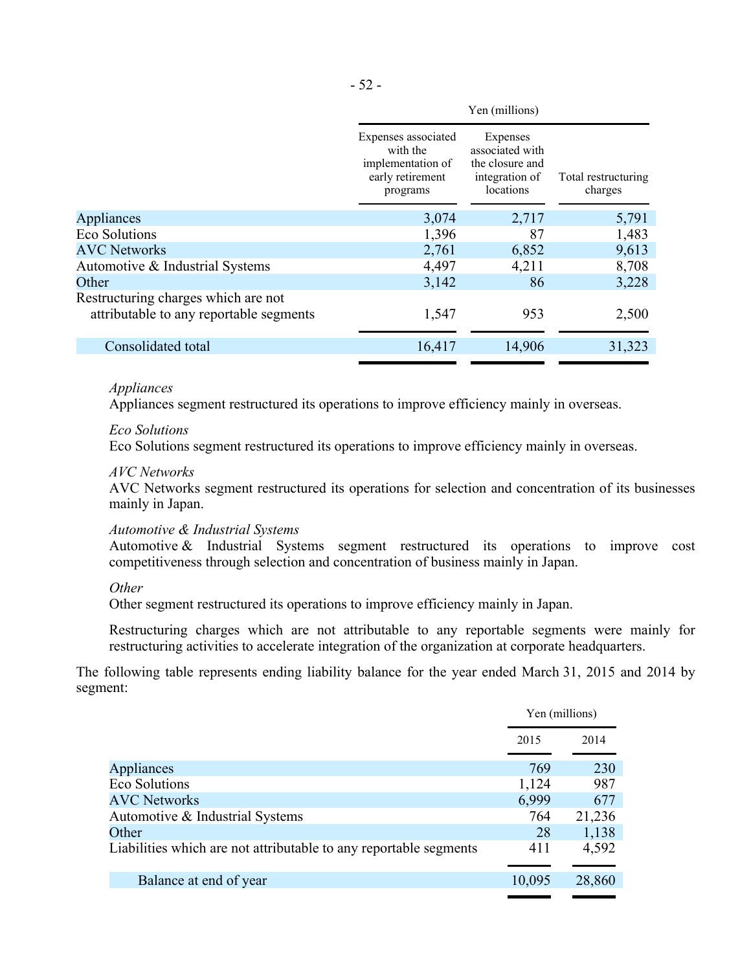|                                                                                | Yen (millions)                                                                       |                                                                               |                                |
|--------------------------------------------------------------------------------|--------------------------------------------------------------------------------------|-------------------------------------------------------------------------------|--------------------------------|
|                                                                                | Expenses associated<br>with the<br>implementation of<br>early retirement<br>programs | Expenses<br>associated with<br>the closure and<br>integration of<br>locations | Total restructuring<br>charges |
| Appliances                                                                     | 3,074                                                                                | 2,717                                                                         | 5,791                          |
| <b>Eco Solutions</b>                                                           | 1,396                                                                                | 87                                                                            | 1,483                          |
| <b>AVC Networks</b>                                                            | 2,761                                                                                | 6,852                                                                         | 9,613                          |
| Automotive & Industrial Systems                                                | 4,497                                                                                | 4,211                                                                         | 8,708                          |
| Other                                                                          | 3,142                                                                                | 86                                                                            | 3,228                          |
| Restructuring charges which are not<br>attributable to any reportable segments | 1,547                                                                                | 953                                                                           | 2,500                          |
| Consolidated total                                                             | 16,417                                                                               | 14,906                                                                        | 31,323                         |
|                                                                                |                                                                                      |                                                                               |                                |

#### *Appliances*

Appliances segment restructured its operations to improve efficiency mainly in overseas.

#### *Eco Solutions*

Eco Solutions segment restructured its operations to improve efficiency mainly in overseas.

#### *AVC Networks*

AVC Networks segment restructured its operations for selection and concentration of its businesses mainly in Japan.

### *Automotive & Industrial Systems*

Automotive & Industrial Systems segment restructured its operations to improve cost competitiveness through selection and concentration of business mainly in Japan.

### *Other*

Other segment restructured its operations to improve efficiency mainly in Japan.

Restructuring charges which are not attributable to any reportable segments were mainly for restructuring activities to accelerate integration of the organization at corporate headquarters.

The following table represents ending liability balance for the year ended March 31, 2015 and 2014 by segment:

| Yen (millions) |        |
|----------------|--------|
| 2015           | 2014   |
|                |        |
|                | 230    |
| 1,124          | 987    |
| 6,999          | 677    |
| 764            | 21,236 |
| 28             | 1,138  |
| 411            | 4,592  |
|                |        |
| 10,095         | 28,860 |
|                | 769    |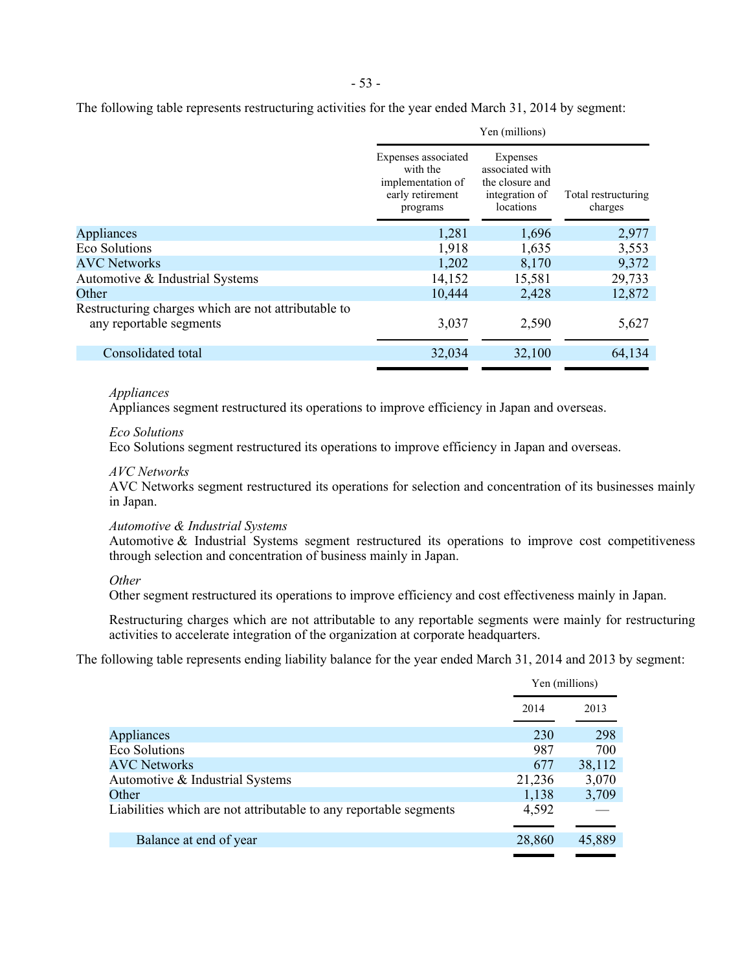The following table represents restructuring activities for the year ended March 31, 2014 by segment:

| Yen (millions)                                                                 |                                                                                      |                                                                               |                                |
|--------------------------------------------------------------------------------|--------------------------------------------------------------------------------------|-------------------------------------------------------------------------------|--------------------------------|
|                                                                                | Expenses associated<br>with the<br>implementation of<br>early retirement<br>programs | Expenses<br>associated with<br>the closure and<br>integration of<br>locations | Total restructuring<br>charges |
| Appliances                                                                     | 1,281                                                                                | 1,696                                                                         | 2,977                          |
| Eco Solutions                                                                  | 1,918                                                                                | 1,635                                                                         | 3,553                          |
| <b>AVC Networks</b>                                                            | 1,202                                                                                | 8,170                                                                         | 9,372                          |
| Automotive & Industrial Systems                                                | 14,152                                                                               | 15,581                                                                        | 29,733                         |
| Other                                                                          | 10,444                                                                               | 2,428                                                                         | 12,872                         |
| Restructuring charges which are not attributable to<br>any reportable segments | 3,037                                                                                | 2,590                                                                         | 5,627                          |
| Consolidated total                                                             | 32,034                                                                               | 32,100                                                                        | 64,134                         |
|                                                                                |                                                                                      |                                                                               |                                |

#### *Appliances*

Appliances segment restructured its operations to improve efficiency in Japan and overseas.

#### *Eco Solutions*

Eco Solutions segment restructured its operations to improve efficiency in Japan and overseas.

#### *AVC Networks*

AVC Networks segment restructured its operations for selection and concentration of its businesses mainly in Japan.

#### *Automotive & Industrial Systems*

Automotive & Industrial Systems segment restructured its operations to improve cost competitiveness through selection and concentration of business mainly in Japan.

#### *Other*

Other segment restructured its operations to improve efficiency and cost effectiveness mainly in Japan.

Restructuring charges which are not attributable to any reportable segments were mainly for restructuring activities to accelerate integration of the organization at corporate headquarters.

The following table represents ending liability balance for the year ended March 31, 2014 and 2013 by segment:

|                                                                   |        | Yen (millions) |
|-------------------------------------------------------------------|--------|----------------|
|                                                                   | 2014   | 2013           |
|                                                                   |        |                |
| Appliances                                                        | 230    | 298            |
| <b>Eco Solutions</b>                                              | 987    | 700            |
| <b>AVC Networks</b>                                               | 677    | 38,112         |
| Automotive & Industrial Systems                                   | 21,236 | 3,070          |
| Other                                                             | 1,138  | 3,709          |
| Liabilities which are not attributable to any reportable segments | 4,592  |                |
|                                                                   |        |                |
| Balance at end of year                                            | 28,860 | 45,889         |
|                                                                   |        |                |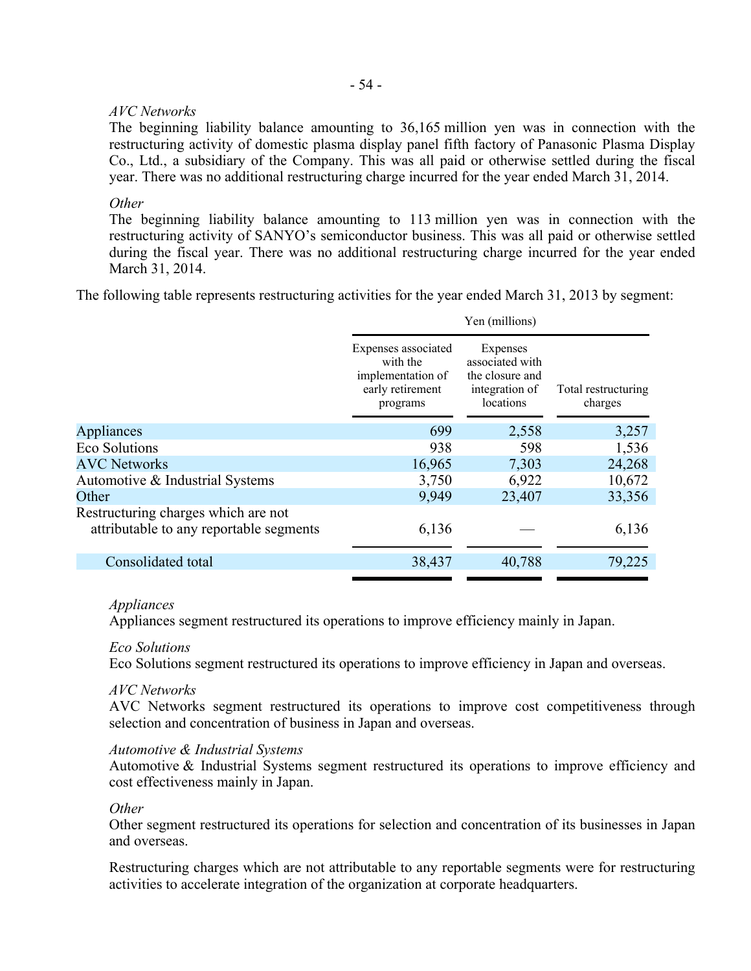# - 54 -

# *AVC Networks*

The beginning liability balance amounting to 36,165 million yen was in connection with the restructuring activity of domestic plasma display panel fifth factory of Panasonic Plasma Display Co., Ltd., a subsidiary of the Company. This was all paid or otherwise settled during the fiscal year. There was no additional restructuring charge incurred for the year ended March 31, 2014.

# *Other*

The beginning liability balance amounting to 113 million yen was in connection with the restructuring activity of SANYO's semiconductor business. This was all paid or otherwise settled during the fiscal year. There was no additional restructuring charge incurred for the year ended March 31, 2014.

The following table represents restructuring activities for the year ended March 31, 2013 by segment:

|                                                                                | Yen (millions)                                                                       |                                                                               |                                |  |
|--------------------------------------------------------------------------------|--------------------------------------------------------------------------------------|-------------------------------------------------------------------------------|--------------------------------|--|
|                                                                                | Expenses associated<br>with the<br>implementation of<br>early retirement<br>programs | Expenses<br>associated with<br>the closure and<br>integration of<br>locations | Total restructuring<br>charges |  |
| Appliances                                                                     | 699                                                                                  | 2,558                                                                         | 3,257                          |  |
| <b>Eco Solutions</b>                                                           | 938                                                                                  | 598                                                                           | 1,536                          |  |
| <b>AVC Networks</b>                                                            | 16,965                                                                               | 7,303                                                                         | 24,268                         |  |
| Automotive & Industrial Systems                                                | 3,750                                                                                | 6,922                                                                         | 10,672                         |  |
| Other                                                                          | 9,949                                                                                | 23,407                                                                        | 33,356                         |  |
| Restructuring charges which are not<br>attributable to any reportable segments | 6,136                                                                                |                                                                               | 6,136                          |  |
| Consolidated total                                                             | 38,437                                                                               | 40,788                                                                        | 79,225                         |  |
|                                                                                |                                                                                      |                                                                               |                                |  |

# *Appliances*

Appliances segment restructured its operations to improve efficiency mainly in Japan.

# *Eco Solutions*

Eco Solutions segment restructured its operations to improve efficiency in Japan and overseas.

# *AVC Networks*

AVC Networks segment restructured its operations to improve cost competitiveness through selection and concentration of business in Japan and overseas.

# *Automotive & Industrial Systems*

Automotive & Industrial Systems segment restructured its operations to improve efficiency and cost effectiveness mainly in Japan.

# *Other*

Other segment restructured its operations for selection and concentration of its businesses in Japan and overseas.

Restructuring charges which are not attributable to any reportable segments were for restructuring activities to accelerate integration of the organization at corporate headquarters.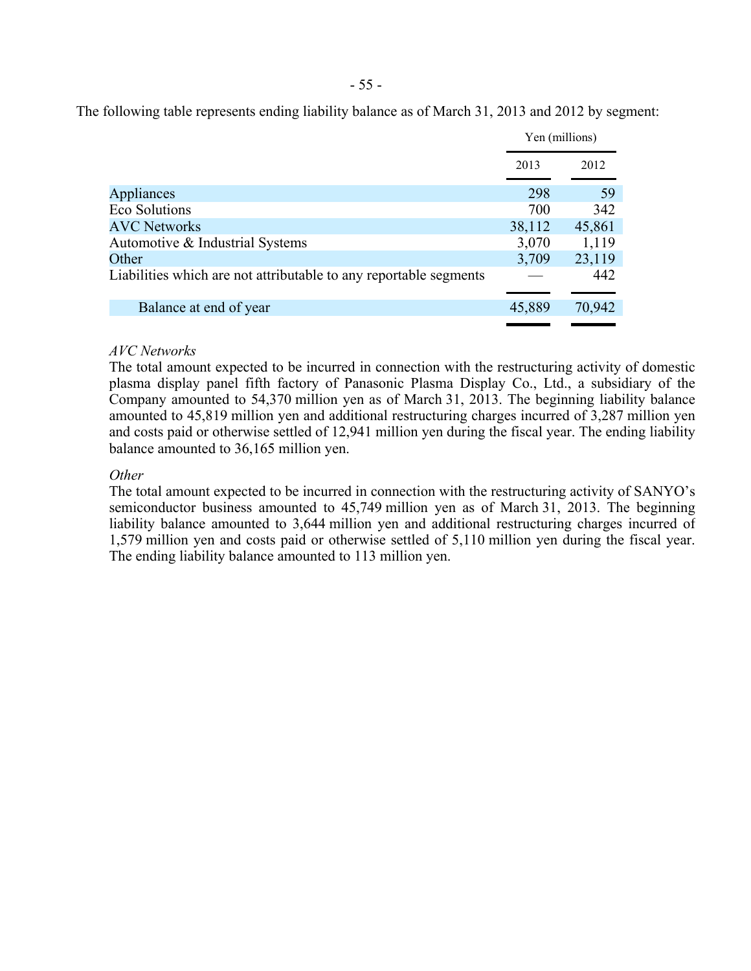The following table represents ending liability balance as of March 31, 2013 and 2012 by segment:

|                                                                   | Yen (millions) |        |
|-------------------------------------------------------------------|----------------|--------|
|                                                                   | 2013           | 2012   |
| Appliances                                                        | 298            | 59     |
| Eco Solutions                                                     | 700            | 342    |
| <b>AVC Networks</b>                                               | 38,112         | 45,861 |
| Automotive & Industrial Systems                                   | 3,070          | 1,119  |
| Other                                                             | 3,709          | 23,119 |
| Liabilities which are not attributable to any reportable segments |                | 442    |
| Balance at end of year                                            | 45,889         | 70,942 |
|                                                                   |                |        |

# *AVC Networks*

The total amount expected to be incurred in connection with the restructuring activity of domestic plasma display panel fifth factory of Panasonic Plasma Display Co., Ltd., a subsidiary of the Company amounted to 54,370 million yen as of March 31, 2013. The beginning liability balance amounted to 45,819 million yen and additional restructuring charges incurred of 3,287 million yen and costs paid or otherwise settled of 12,941 million yen during the fiscal year. The ending liability balance amounted to 36,165 million yen.

# *Other*

The total amount expected to be incurred in connection with the restructuring activity of SANYO's semiconductor business amounted to 45,749 million yen as of March 31, 2013. The beginning liability balance amounted to 3,644 million yen and additional restructuring charges incurred of 1,579 million yen and costs paid or otherwise settled of 5,110 million yen during the fiscal year. The ending liability balance amounted to 113 million yen.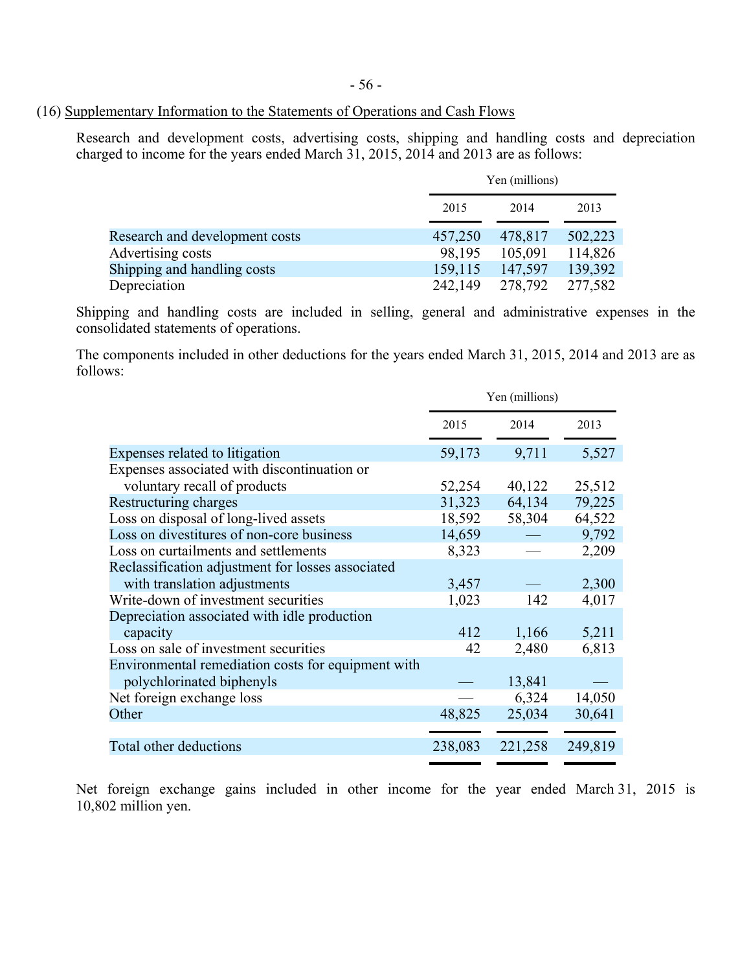### (16) Supplementary Information to the Statements of Operations and Cash Flows

Research and development costs, advertising costs, shipping and handling costs and depreciation charged to income for the years ended March 31, 2015, 2014 and 2013 are as follows:

|                                |         | Yen (millions) |         |
|--------------------------------|---------|----------------|---------|
|                                | 2015    | 2014           | 2013    |
| Research and development costs | 457,250 | 478,817        | 502,223 |
| Advertising costs              | 98,195  | 105,091        | 114,826 |
| Shipping and handling costs    | 159,115 | 147,597        | 139,392 |
| Depreciation                   | 242,149 | 278,792        | 277,582 |

Shipping and handling costs are included in selling, general and administrative expenses in the consolidated statements of operations.

The components included in other deductions for the years ended March 31, 2015, 2014 and 2013 are as follows:

|                                                    |         | Yen (millions) |         |
|----------------------------------------------------|---------|----------------|---------|
|                                                    | 2015    | 2014           | 2013    |
| Expenses related to litigation                     | 59,173  | 9,711          | 5,527   |
| Expenses associated with discontinuation or        |         |                |         |
| voluntary recall of products                       | 52,254  | 40,122         | 25,512  |
| Restructuring charges                              | 31,323  | 64,134         | 79,225  |
| Loss on disposal of long-lived assets              | 18,592  | 58,304         | 64,522  |
| Loss on divestitures of non-core business          | 14,659  |                | 9,792   |
| Loss on curtailments and settlements               | 8,323   |                | 2,209   |
| Reclassification adjustment for losses associated  |         |                |         |
| with translation adjustments                       | 3,457   |                | 2,300   |
| Write-down of investment securities                | 1,023   | 142            | 4,017   |
| Depreciation associated with idle production       |         |                |         |
| capacity                                           | 412     | 1,166          | 5,211   |
| Loss on sale of investment securities              | 42      | 2,480          | 6,813   |
| Environmental remediation costs for equipment with |         |                |         |
| polychlorinated biphenyls                          |         | 13,841         |         |
| Net foreign exchange loss                          |         | 6,324          | 14,050  |
| Other                                              | 48,825  | 25,034         | 30,641  |
|                                                    |         |                |         |
| Total other deductions                             | 238,083 | 221,258        | 249,819 |

Net foreign exchange gains included in other income for the year ended March 31, 2015 is 10,802 million yen.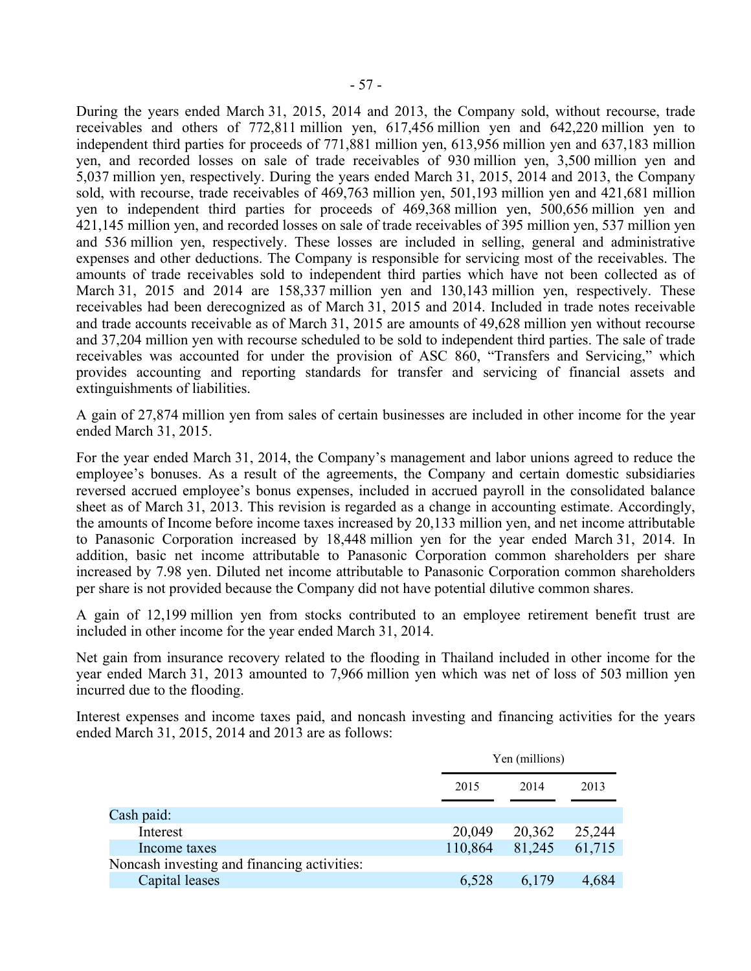During the years ended March 31, 2015, 2014 and 2013, the Company sold, without recourse, trade receivables and others of 772,811 million yen, 617,456 million yen and 642,220 million yen to independent third parties for proceeds of 771,881 million yen, 613,956 million yen and 637,183 million yen, and recorded losses on sale of trade receivables of 930 million yen, 3,500 million yen and 5,037 million yen, respectively. During the years ended March 31, 2015, 2014 and 2013, the Company sold, with recourse, trade receivables of 469,763 million yen, 501,193 million yen and 421,681 million yen to independent third parties for proceeds of 469,368 million yen, 500,656 million yen and 421,145 million yen, and recorded losses on sale of trade receivables of 395 million yen, 537 million yen and 536 million yen, respectively. These losses are included in selling, general and administrative expenses and other deductions. The Company is responsible for servicing most of the receivables. The amounts of trade receivables sold to independent third parties which have not been collected as of March 31, 2015 and 2014 are 158,337 million yen and 130,143 million yen, respectively. These receivables had been derecognized as of March 31, 2015 and 2014. Included in trade notes receivable and trade accounts receivable as of March 31, 2015 are amounts of 49,628 million yen without recourse and 37,204 million yen with recourse scheduled to be sold to independent third parties. The sale of trade receivables was accounted for under the provision of ASC 860, "Transfers and Servicing," which provides accounting and reporting standards for transfer and servicing of financial assets and extinguishments of liabilities.

A gain of 27,874 million yen from sales of certain businesses are included in other income for the year ended March 31, 2015.

For the year ended March 31, 2014, the Company's management and labor unions agreed to reduce the employee's bonuses. As a result of the agreements, the Company and certain domestic subsidiaries reversed accrued employee's bonus expenses, included in accrued payroll in the consolidated balance sheet as of March 31, 2013. This revision is regarded as a change in accounting estimate. Accordingly, the amounts of Income before income taxes increased by 20,133 million yen, and net income attributable to Panasonic Corporation increased by 18,448 million yen for the year ended March 31, 2014. In addition, basic net income attributable to Panasonic Corporation common shareholders per share increased by 7.98 yen. Diluted net income attributable to Panasonic Corporation common shareholders per share is not provided because the Company did not have potential dilutive common shares.

A gain of 12,199 million yen from stocks contributed to an employee retirement benefit trust are included in other income for the year ended March 31, 2014.

Net gain from insurance recovery related to the flooding in Thailand included in other income for the year ended March 31, 2013 amounted to 7,966 million yen which was net of loss of 503 million yen incurred due to the flooding.

Interest expenses and income taxes paid, and noncash investing and financing activities for the years ended March 31, 2015, 2014 and 2013 are as follows:

| Yen (millions) |        |        |
|----------------|--------|--------|
| 2015           | 2014   | 2013   |
|                |        |        |
| 20,049         | 20,362 | 25,244 |
| 110,864        | 81,245 | 61,715 |
|                |        |        |
| 6,528          | 6,179  | 4,684  |
|                |        |        |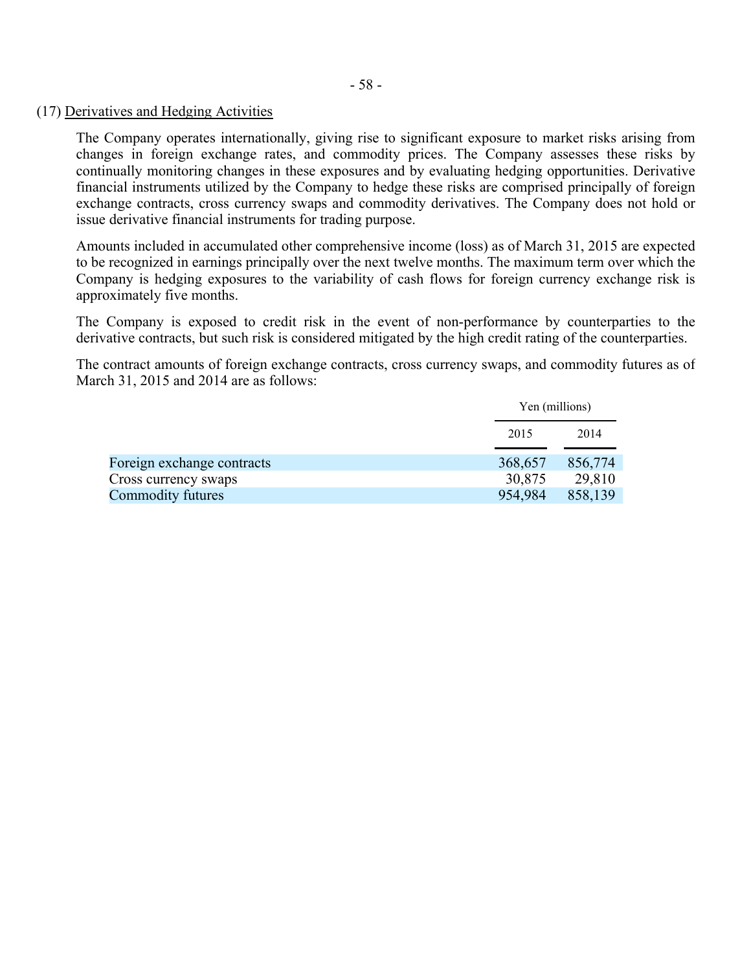### (17) Derivatives and Hedging Activities

The Company operates internationally, giving rise to significant exposure to market risks arising from changes in foreign exchange rates, and commodity prices. The Company assesses these risks by continually monitoring changes in these exposures and by evaluating hedging opportunities. Derivative financial instruments utilized by the Company to hedge these risks are comprised principally of foreign exchange contracts, cross currency swaps and commodity derivatives. The Company does not hold or issue derivative financial instruments for trading purpose.

Amounts included in accumulated other comprehensive income (loss) as of March 31, 2015 are expected to be recognized in earnings principally over the next twelve months. The maximum term over which the Company is hedging exposures to the variability of cash flows for foreign currency exchange risk is approximately five months.

The Company is exposed to credit risk in the event of non-performance by counterparties to the derivative contracts, but such risk is considered mitigated by the high credit rating of the counterparties.

The contract amounts of foreign exchange contracts, cross currency swaps, and commodity futures as of March 31, 2015 and 2014 are as follows:

|                            | Yen (millions) |         |
|----------------------------|----------------|---------|
|                            | 2015           | 2014    |
| Foreign exchange contracts | 368,657        | 856,774 |
| Cross currency swaps       | 30,875         | 29,810  |
| Commodity futures          | 954,984        | 858,139 |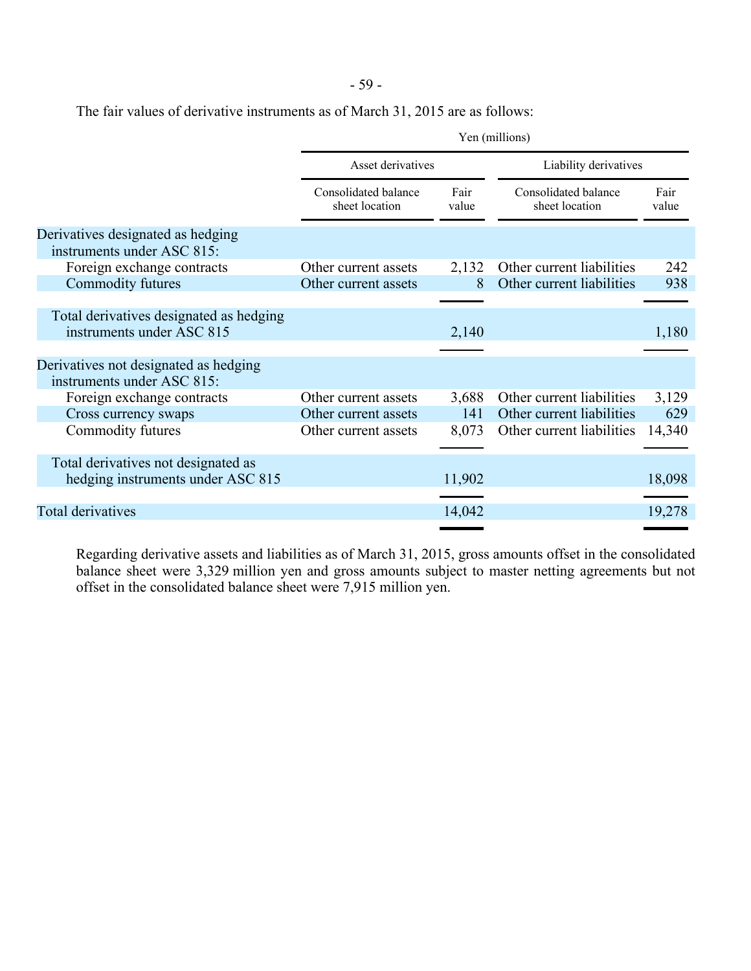- 59 -

The fair values of derivative instruments as of March 31, 2015 are as follows:

|                                                                          | Yen (millions)                             |               |                                        |               |
|--------------------------------------------------------------------------|--------------------------------------------|---------------|----------------------------------------|---------------|
|                                                                          | Asset derivatives<br>Liability derivatives |               |                                        |               |
|                                                                          | Consolidated balance<br>sheet location     | Fair<br>value | Consolidated balance<br>sheet location | Fair<br>value |
| Derivatives designated as hedging<br>instruments under ASC 815:          |                                            |               |                                        |               |
| Foreign exchange contracts                                               | Other current assets                       | 2,132         | Other current liabilities              | 242           |
| Commodity futures                                                        | Other current assets                       | 8             | Other current liabilities              | 938           |
|                                                                          |                                            |               |                                        |               |
| Total derivatives designated as hedging<br>instruments under ASC 815     |                                            | 2,140         |                                        | 1,180         |
|                                                                          |                                            |               |                                        |               |
| Derivatives not designated as hedging<br>instruments under ASC 815:      |                                            |               |                                        |               |
| Foreign exchange contracts                                               | Other current assets                       | 3,688         | Other current liabilities              | 3,129         |
| Cross currency swaps                                                     | Other current assets                       | 141           | Other current liabilities              | 629           |
| Commodity futures                                                        | Other current assets                       | 8,073         | Other current liabilities              | 14,340        |
|                                                                          |                                            |               |                                        |               |
| Total derivatives not designated as<br>hedging instruments under ASC 815 |                                            | 11,902        |                                        | 18,098        |
|                                                                          |                                            |               |                                        |               |
| <b>Total derivatives</b>                                                 |                                            | 14,042        |                                        | 19,278        |

Regarding derivative assets and liabilities as of March 31, 2015, gross amounts offset in the consolidated balance sheet were 3,329 million yen and gross amounts subject to master netting agreements but not offset in the consolidated balance sheet were 7,915 million yen.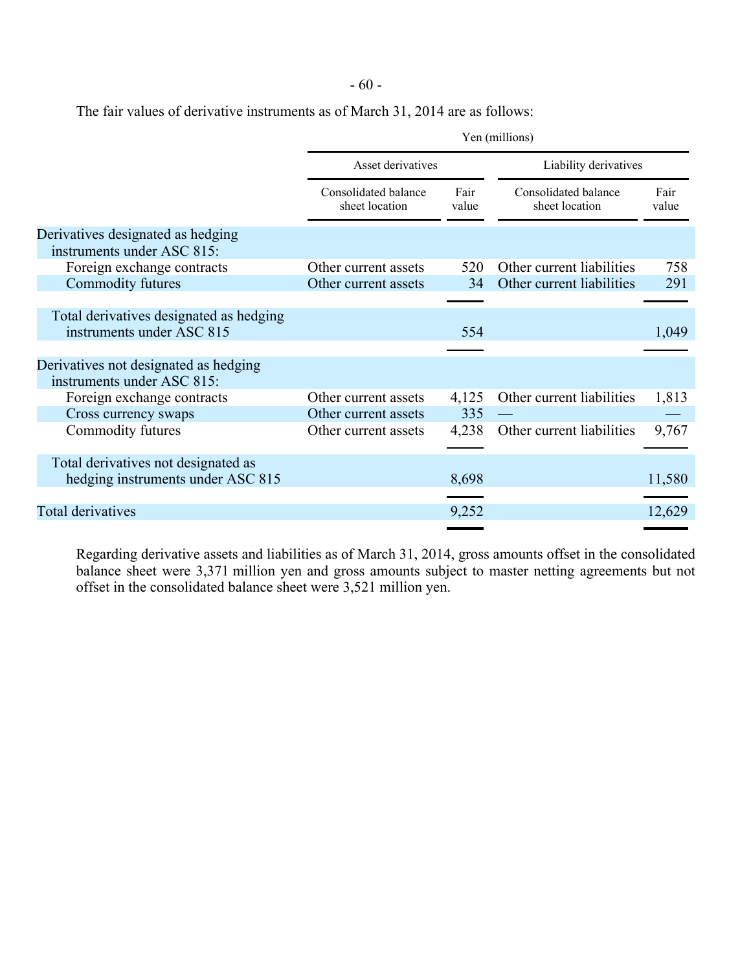- 60 -

The fair values of derivative instruments as of March 31, 2014 are as follows:

| Yen (millions)                         |               |                                        |               |
|----------------------------------------|---------------|----------------------------------------|---------------|
| Asset derivatives                      |               | Liability derivatives                  |               |
| Consolidated balance<br>sheet location | Fair<br>value | Consolidated balance<br>sheet location | Fair<br>value |
|                                        |               |                                        |               |
| Other current assets                   | 520           | Other current liabilities              | 758           |
| Other current assets                   | 34            | Other current liabilities              | 291           |
|                                        |               |                                        |               |
|                                        | 554           |                                        | 1,049         |
|                                        |               |                                        |               |
| Other current assets                   | 4,125         | Other current liabilities              | 1,813         |
| Other current assets                   | 335           |                                        |               |
| Other current assets                   | 4,238         | Other current liabilities              | 9,767         |
|                                        | 8,698         |                                        | 11,580        |
|                                        | 9,252         |                                        | 12,629        |
|                                        |               |                                        |               |

Regarding derivative assets and liabilities as of March 31, 2014, gross amounts offset in the consolidated balance sheet were 3,371 million yen and gross amounts subject to master netting agreements but not offset in the consolidated balance sheet were 3,521 million yen.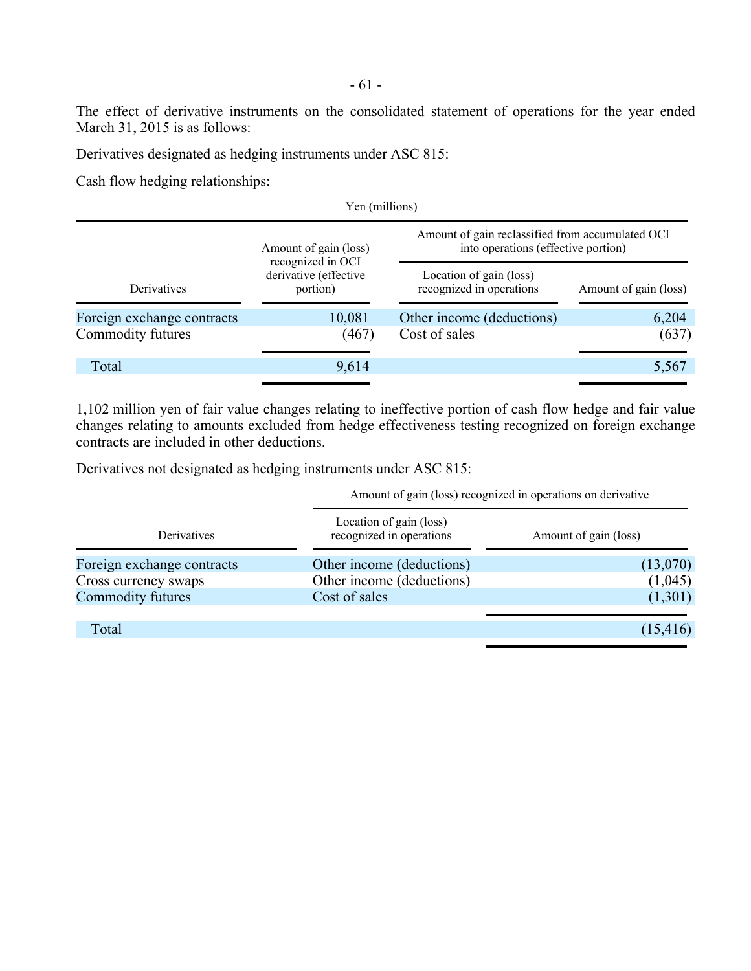The effect of derivative instruments on the consolidated statement of operations for the year ended March 31, 2015 is as follows:

Derivatives designated as hedging instruments under ASC 815:

Cash flow hedging relationships:

| Yen (millions)             |                                            |                                                                                         |                       |  |
|----------------------------|--------------------------------------------|-----------------------------------------------------------------------------------------|-----------------------|--|
|                            | Amount of gain (loss)<br>recognized in OCI | Amount of gain reclassified from accumulated OCI<br>into operations (effective portion) |                       |  |
| Derivatives                | derivative (effective<br>portion)          | Location of gain (loss)<br>recognized in operations                                     | Amount of gain (loss) |  |
| Foreign exchange contracts | 10,081                                     | Other income (deductions)                                                               | 6,204                 |  |
| Commodity futures          | (467)                                      | Cost of sales                                                                           | (637)                 |  |
| Total                      | 9,614                                      |                                                                                         | 5,567                 |  |
|                            |                                            |                                                                                         |                       |  |

1,102 million yen of fair value changes relating to ineffective portion of cash flow hedge and fair value changes relating to amounts excluded from hedge effectiveness testing recognized on foreign exchange contracts are included in other deductions.

Derivatives not designated as hedging instruments under ASC 815:

Amount of gain (loss) recognized in operations on derivative

| Derivatives                | Location of gain (loss)<br>recognized in operations | Amount of gain (loss) |
|----------------------------|-----------------------------------------------------|-----------------------|
| Foreign exchange contracts | Other income (deductions)                           | (13,070)              |
| Cross currency swaps       | Other income (deductions)                           | (1,045)               |
| <b>Commodity futures</b>   | Cost of sales                                       | (1,301)               |
| Total                      |                                                     | (15, 416)             |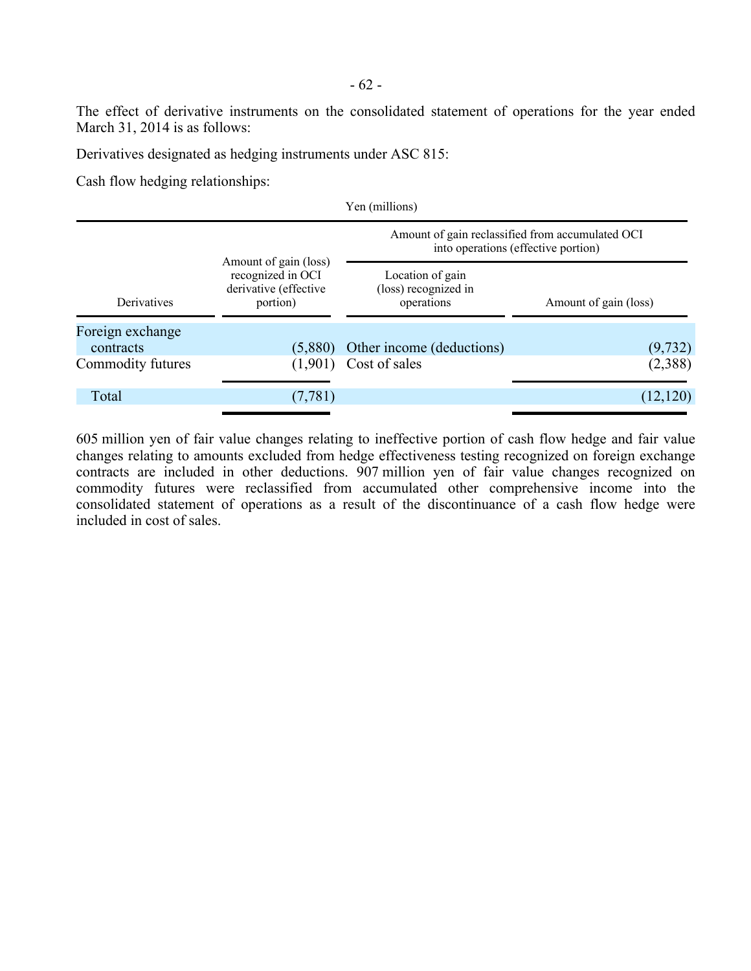The effect of derivative instruments on the consolidated statement of operations for the year ended March 31, 2014 is as follows:

Derivatives designated as hedging instruments under ASC 815:

Cash flow hedging relationships:

|                               |                                                                                 | Yen (millions)                                                                          |                       |  |
|-------------------------------|---------------------------------------------------------------------------------|-----------------------------------------------------------------------------------------|-----------------------|--|
|                               |                                                                                 | Amount of gain reclassified from accumulated OCI<br>into operations (effective portion) |                       |  |
| Derivatives                   | Amount of gain (loss)<br>recognized in OCI<br>derivative (effective<br>portion) | Location of gain<br>(loss) recognized in<br>operations                                  | Amount of gain (loss) |  |
| Foreign exchange<br>contracts | (5,880)                                                                         | Other income (deductions)                                                               | (9, 732)              |  |
| Commodity futures             | (1,901)                                                                         | Cost of sales                                                                           | (2,388)               |  |
| Total                         | (7, 781)                                                                        |                                                                                         | (12, 120)             |  |

605 million yen of fair value changes relating to ineffective portion of cash flow hedge and fair value changes relating to amounts excluded from hedge effectiveness testing recognized on foreign exchange contracts are included in other deductions. 907 million yen of fair value changes recognized on commodity futures were reclassified from accumulated other comprehensive income into the consolidated statement of operations as a result of the discontinuance of a cash flow hedge were included in cost of sales.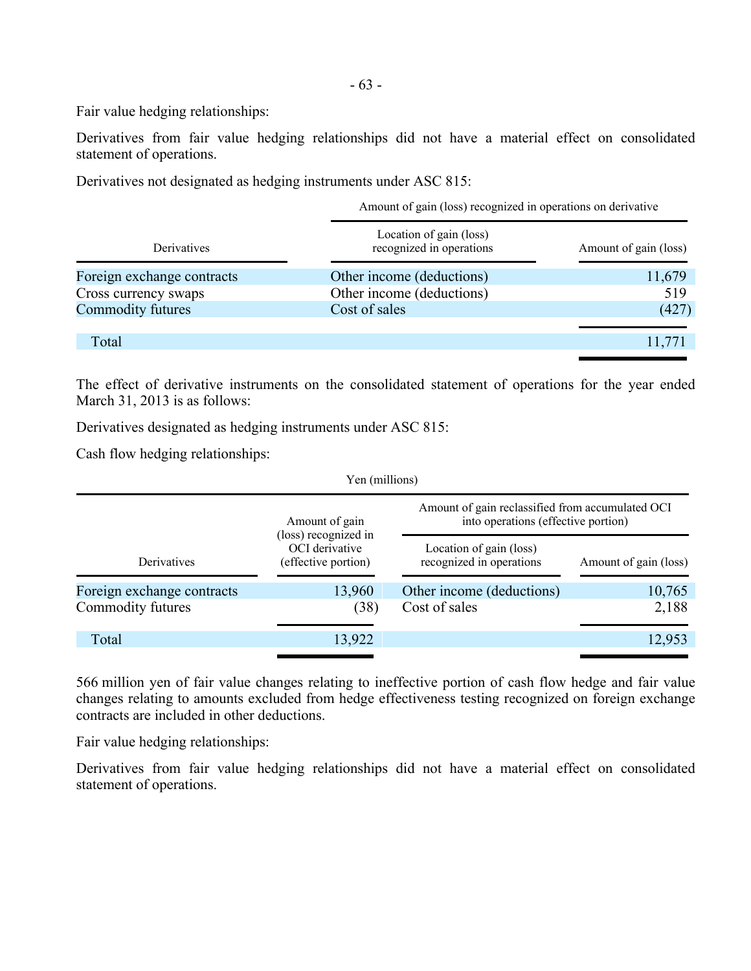Fair value hedging relationships:

Derivatives from fair value hedging relationships did not have a material effect on consolidated statement of operations.

Derivatives not designated as hedging instruments under ASC 815:

|                            | Amount of gain (loss) recognized in operations on derivative |                       |  |
|----------------------------|--------------------------------------------------------------|-----------------------|--|
| <b>Derivatives</b>         | Location of gain (loss)<br>recognized in operations          | Amount of gain (loss) |  |
| Foreign exchange contracts | Other income (deductions)                                    | 11,679                |  |
| Cross currency swaps       | Other income (deductions)                                    | 519                   |  |
| Commodity futures          | Cost of sales                                                | (427)                 |  |
|                            |                                                              |                       |  |
| Total                      |                                                              | 11,771                |  |

The effect of derivative instruments on the consolidated statement of operations for the year ended March 31, 2013 is as follows:

Derivatives designated as hedging instruments under ASC 815:

Cash flow hedging relationships:

| Amount of gain                                       | Amount of gain reclassified from accumulated OCI<br>into operations (effective portion) |                                                                       |  |
|------------------------------------------------------|-----------------------------------------------------------------------------------------|-----------------------------------------------------------------------|--|
| OCI derivative<br>(effective portion)<br>Derivatives |                                                                                         | Amount of gain (loss)                                                 |  |
| 13,960                                               | Other income (deductions)                                                               | 10,765                                                                |  |
| (38)                                                 | Cost of sales                                                                           | 2,188                                                                 |  |
| 13,922                                               |                                                                                         | 12,953                                                                |  |
|                                                      | (loss) recognized in                                                                    | Yen (millions)<br>Location of gain (loss)<br>recognized in operations |  |

566 million yen of fair value changes relating to ineffective portion of cash flow hedge and fair value changes relating to amounts excluded from hedge effectiveness testing recognized on foreign exchange contracts are included in other deductions.

Fair value hedging relationships:

Derivatives from fair value hedging relationships did not have a material effect on consolidated statement of operations.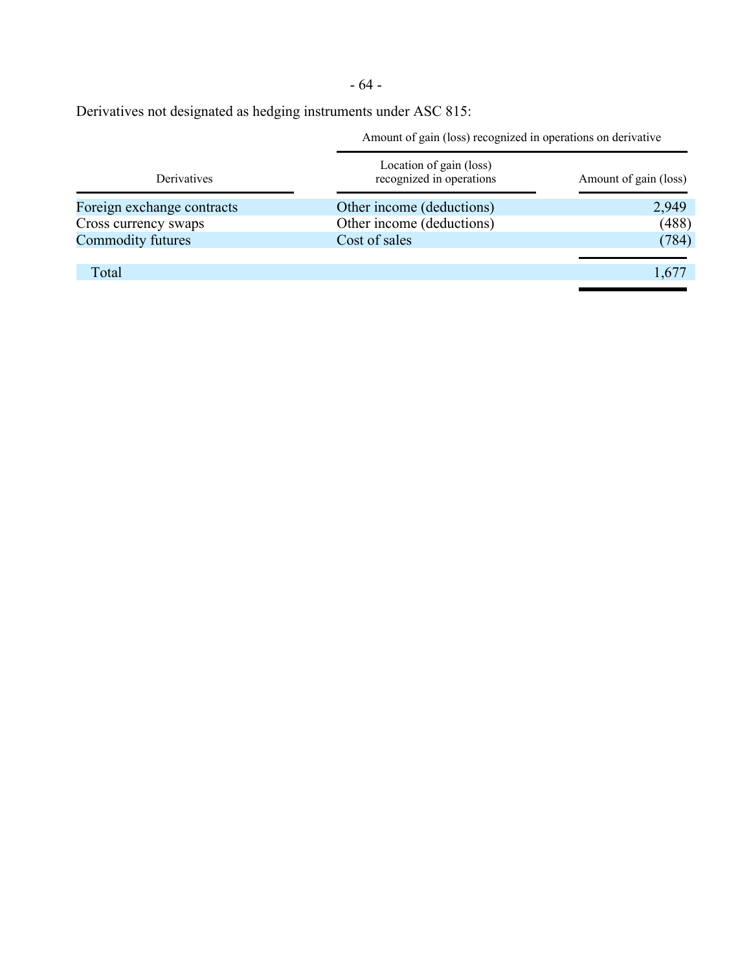- 64 -

Derivatives not designated as hedging instruments under ASC 815:

Amount of gain (loss) recognized in operations on derivative

| Derivatives                | Location of gain (loss)<br>recognized in operations | Amount of gain (loss) |
|----------------------------|-----------------------------------------------------|-----------------------|
| Foreign exchange contracts | Other income (deductions)                           | 2,949                 |
| Cross currency swaps       | Other income (deductions)                           | (488)                 |
| <b>Commodity futures</b>   | Cost of sales                                       | (784)                 |
|                            |                                                     |                       |
| Total                      |                                                     | 1,677                 |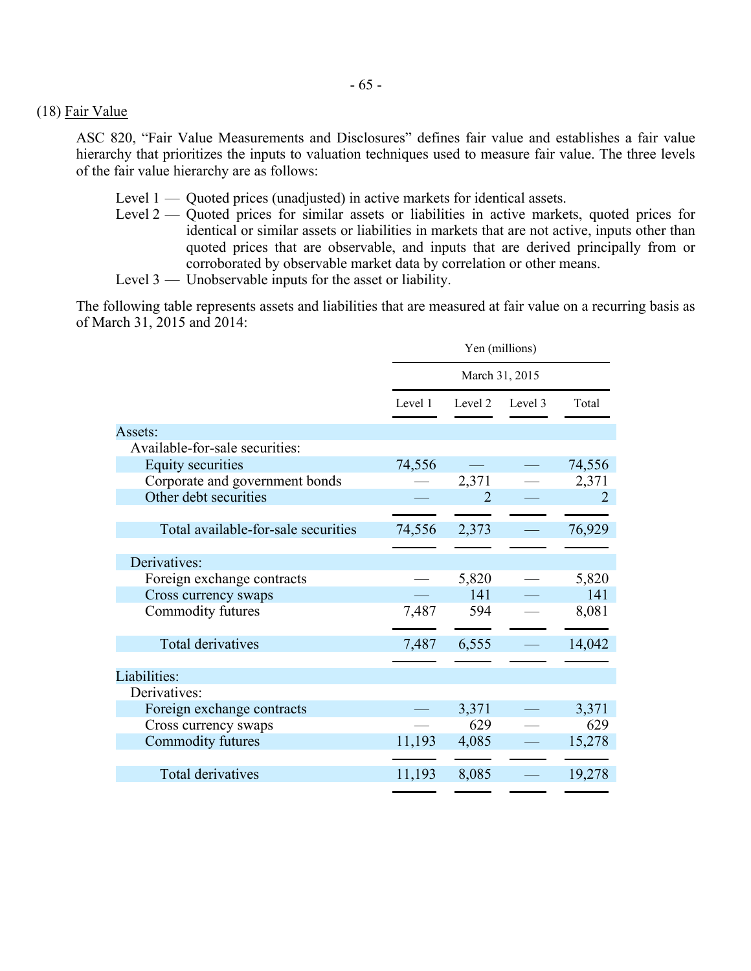#### (18) Fair Value

ASC 820, "Fair Value Measurements and Disclosures" defines fair value and establishes a fair value hierarchy that prioritizes the inputs to valuation techniques used to measure fair value. The three levels of the fair value hierarchy are as follows:

- Level 1 Quoted prices (unadjusted) in active markets for identical assets.
- Level 2 Quoted prices for similar assets or liabilities in active markets, quoted prices for identical or similar assets or liabilities in markets that are not active, inputs other than quoted prices that are observable, and inputs that are derived principally from or corroborated by observable market data by correlation or other means.
- Level 3 Unobservable inputs for the asset or liability.

The following table represents assets and liabilities that are measured at fair value on a recurring basis as of March 31, 2015 and 2014:

|                                     | Yen (millions) |                |         |        |  |
|-------------------------------------|----------------|----------------|---------|--------|--|
|                                     | March 31, 2015 |                |         |        |  |
|                                     | Level 1        | Level 2        | Level 3 | Total  |  |
| Assets:                             |                |                |         |        |  |
| Available-for-sale securities:      |                |                |         |        |  |
| <b>Equity securities</b>            | 74,556         |                |         | 74,556 |  |
| Corporate and government bonds      |                | 2,371          |         | 2,371  |  |
| Other debt securities               |                | $\overline{2}$ |         |        |  |
|                                     |                |                |         |        |  |
| Total available-for-sale securities | 74,556         | 2,373          |         | 76,929 |  |
|                                     |                |                |         |        |  |
| Derivatives:                        |                |                |         |        |  |
| Foreign exchange contracts          |                | 5,820          |         | 5,820  |  |
| Cross currency swaps                |                | 141            |         | 141    |  |
| Commodity futures                   | 7,487          | 594            |         | 8,081  |  |
| <b>Total derivatives</b>            | 7,487          | 6,555          |         | 14,042 |  |
|                                     |                |                |         |        |  |
| Liabilities:                        |                |                |         |        |  |
| Derivatives:                        |                |                |         |        |  |
| Foreign exchange contracts          |                | 3,371          |         | 3,371  |  |
| Cross currency swaps                |                | 629            |         | 629    |  |
| Commodity futures                   | 11,193         | 4,085          |         | 15,278 |  |
|                                     |                |                |         |        |  |
| <b>Total derivatives</b>            | 11,193         | 8,085          |         | 19,278 |  |
|                                     |                |                |         |        |  |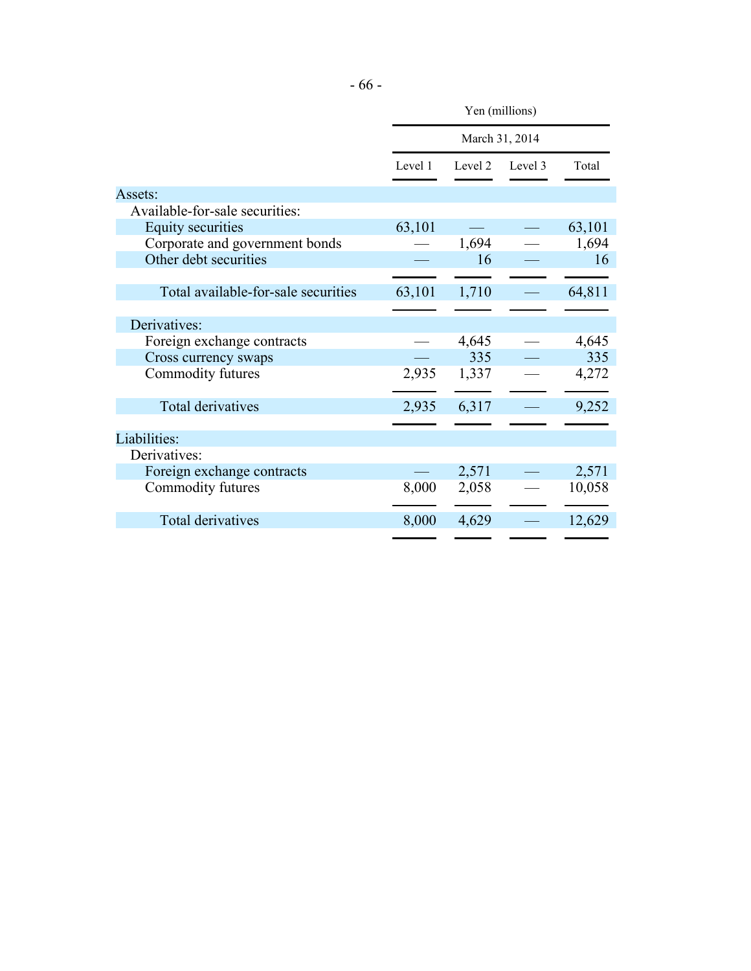|                                     | Yen (millions) |         |         |        |  |
|-------------------------------------|----------------|---------|---------|--------|--|
|                                     | March 31, 2014 |         |         |        |  |
|                                     | Level 1        | Level 2 | Level 3 | Total  |  |
| Assets:                             |                |         |         |        |  |
| Available-for-sale securities:      |                |         |         |        |  |
| <b>Equity securities</b>            | 63,101         |         |         | 63,101 |  |
| Corporate and government bonds      |                | 1,694   |         | 1,694  |  |
| Other debt securities               |                | 16      |         | 16     |  |
|                                     |                |         |         |        |  |
| Total available-for-sale securities | 63,101         | 1,710   |         | 64,811 |  |
|                                     |                |         |         |        |  |
| Derivatives:                        |                |         |         |        |  |
| Foreign exchange contracts          |                | 4,645   |         | 4,645  |  |
| Cross currency swaps                |                | 335     |         | 335    |  |
| Commodity futures                   | 2,935          | 1,337   |         | 4,272  |  |
| Total derivatives                   | 2,935          | 6,317   |         | 9,252  |  |
|                                     |                |         |         |        |  |
| Liabilities:                        |                |         |         |        |  |
| Derivatives:                        |                |         |         |        |  |
| Foreign exchange contracts          |                | 2,571   |         | 2,571  |  |
| Commodity futures                   | 8,000          | 2,058   |         | 10,058 |  |
| Total derivatives                   | 8,000          | 4,629   |         | 12,629 |  |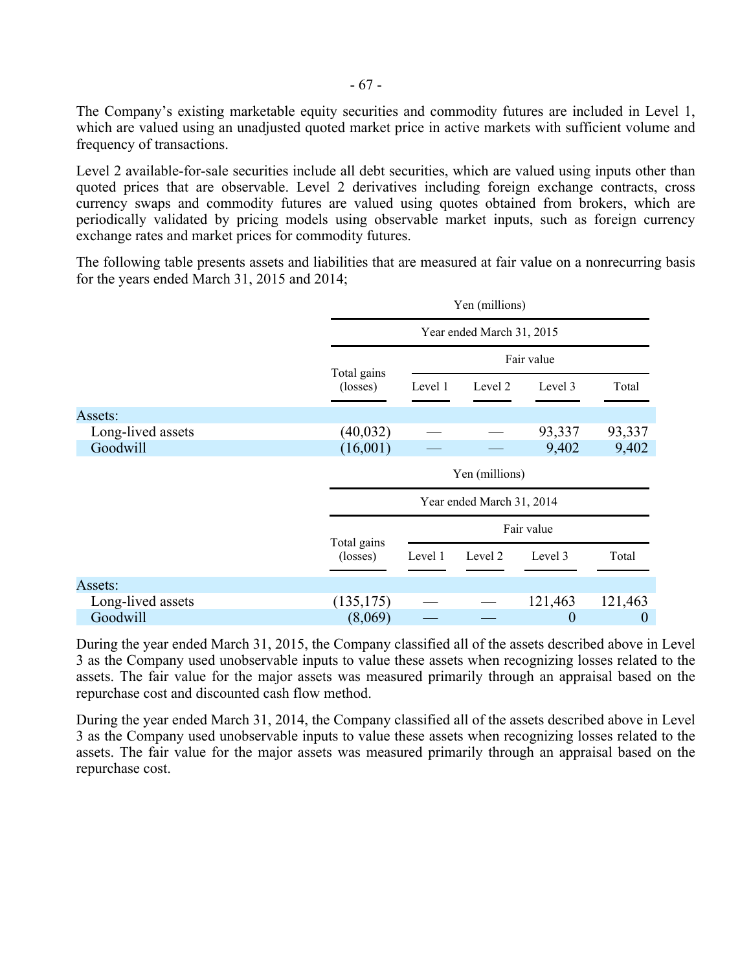The Company's existing marketable equity securities and commodity futures are included in Level 1, which are valued using an unadjusted quoted market price in active markets with sufficient volume and frequency of transactions.

Level 2 available-for-sale securities include all debt securities, which are valued using inputs other than quoted prices that are observable. Level 2 derivatives including foreign exchange contracts, cross currency swaps and commodity futures are valued using quotes obtained from brokers, which are periodically validated by pricing models using observable market inputs, such as foreign currency exchange rates and market prices for commodity futures.

The following table presents assets and liabilities that are measured at fair value on a nonrecurring basis for the years ended March 31, 2015 and 2014;

|                   |                           | Yen (millions) |                           |            |                  |  |  |
|-------------------|---------------------------|----------------|---------------------------|------------|------------------|--|--|
|                   |                           |                | Year ended March 31, 2015 |            |                  |  |  |
|                   |                           | Fair value     |                           |            |                  |  |  |
|                   | Total gains<br>(losses)   | Level 1        | Level 2                   | Level 3    | Total            |  |  |
| Assets:           |                           |                |                           |            |                  |  |  |
| Long-lived assets | (40, 032)                 |                |                           | 93,337     | 93,337           |  |  |
| Goodwill          | (16,001)                  |                |                           | 9,402      | 9,402            |  |  |
|                   |                           | Yen (millions) |                           |            |                  |  |  |
|                   | Year ended March 31, 2014 |                |                           |            |                  |  |  |
|                   |                           |                |                           | Fair value |                  |  |  |
|                   | Total gains<br>(losses)   | Level 1        | Level 2                   | Level 3    | Total            |  |  |
| Assets:           |                           |                |                           |            |                  |  |  |
| Long-lived assets | (135, 175)                |                |                           | 121,463    | 121,463          |  |  |
| Goodwill          | (8,069)                   |                |                           | 0          | $\boldsymbol{0}$ |  |  |

During the year ended March 31, 2015, the Company classified all of the assets described above in Level 3 as the Company used unobservable inputs to value these assets when recognizing losses related to the assets. The fair value for the major assets was measured primarily through an appraisal based on the repurchase cost and discounted cash flow method.

During the year ended March 31, 2014, the Company classified all of the assets described above in Level 3 as the Company used unobservable inputs to value these assets when recognizing losses related to the assets. The fair value for the major assets was measured primarily through an appraisal based on the repurchase cost.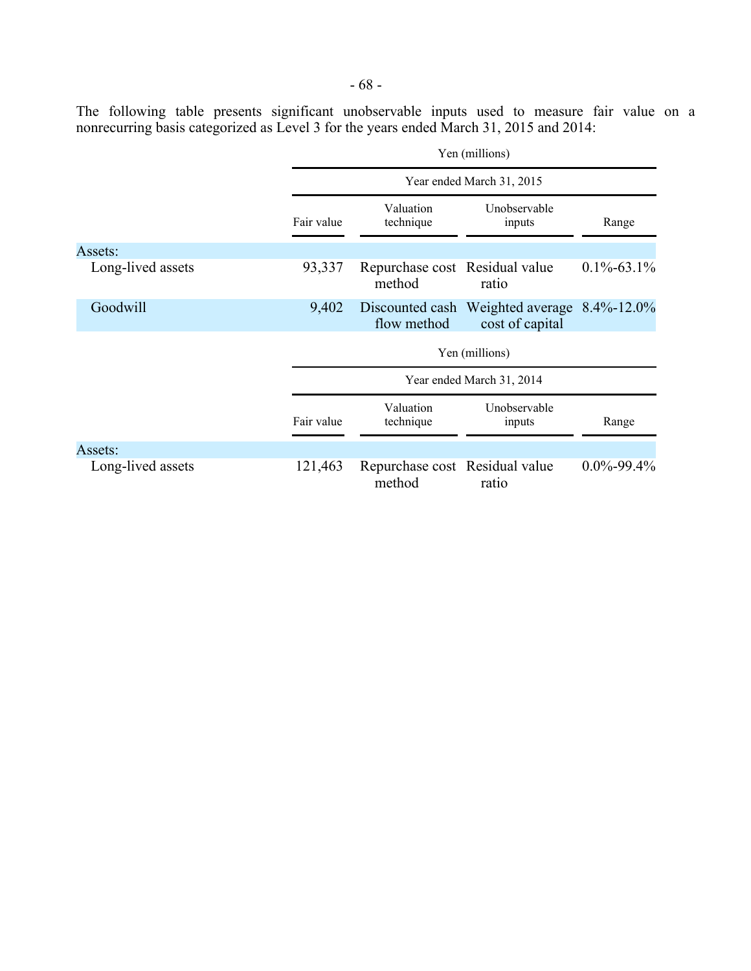The following table presents significant unobservable inputs used to measure fair value on a nonrecurring basis categorized as Level 3 for the years ended March 31, 2015 and 2014:

|                   |            | Yen (millions)                           |                                                    |                  |  |  |
|-------------------|------------|------------------------------------------|----------------------------------------------------|------------------|--|--|
|                   |            | Year ended March 31, 2015                |                                                    |                  |  |  |
|                   | Fair value | Valuation<br>technique                   | Unobservable<br>inputs                             | Range            |  |  |
| Assets:           |            |                                          |                                                    |                  |  |  |
| Long-lived assets | 93,337     | Repurchase cost Residual value<br>method | ratio                                              | $0.1\% - 63.1\%$ |  |  |
| Goodwill          | 9,402      | Discounted cash<br>flow method           | Weighted average $8.4\%$ -12.0%<br>cost of capital |                  |  |  |
|                   |            |                                          | Yen (millions)                                     |                  |  |  |
|                   |            |                                          | Year ended March 31, 2014                          |                  |  |  |
|                   | Fair value | Valuation<br>technique                   | Unobservable<br>inputs                             | Range            |  |  |
| Assets:           |            |                                          |                                                    |                  |  |  |
| Long-lived assets | 121,463    | Repurchase cost Residual value<br>method | ratio                                              | $0.0\% - 99.4\%$ |  |  |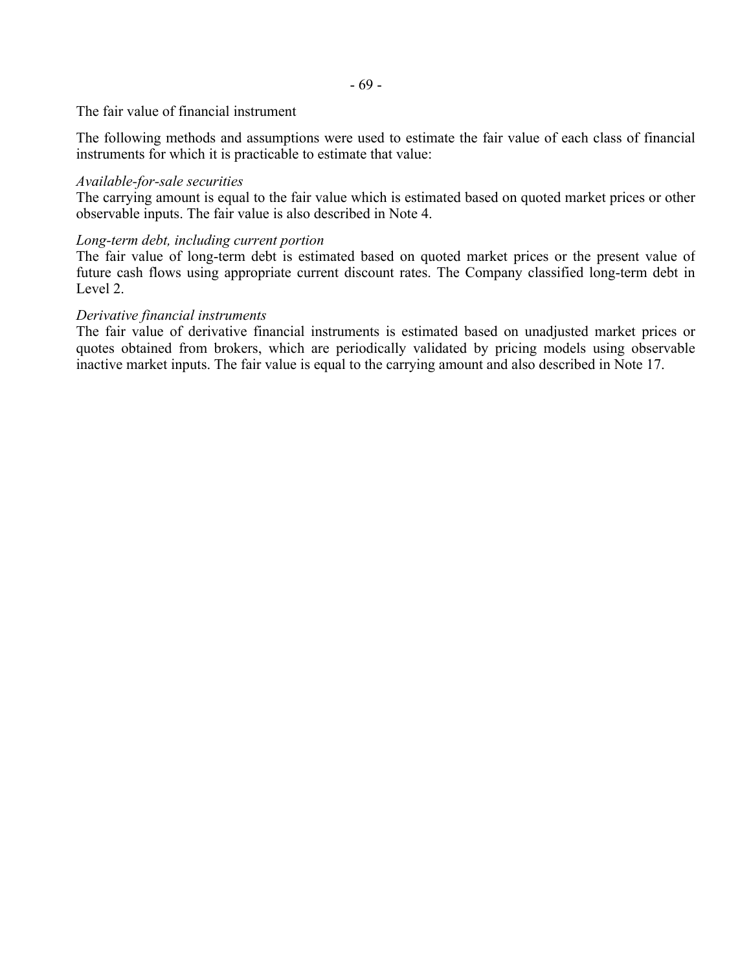The fair value of financial instrument

The following methods and assumptions were used to estimate the fair value of each class of financial instruments for which it is practicable to estimate that value:

## *Available-for-sale securities*

The carrying amount is equal to the fair value which is estimated based on quoted market prices or other observable inputs. The fair value is also described in Note 4.

## *Long-term debt, including current portion*

The fair value of long-term debt is estimated based on quoted market prices or the present value of future cash flows using appropriate current discount rates. The Company classified long-term debt in Level 2.

## *Derivative financial instruments*

The fair value of derivative financial instruments is estimated based on unadjusted market prices or quotes obtained from brokers, which are periodically validated by pricing models using observable inactive market inputs. The fair value is equal to the carrying amount and also described in Note 17.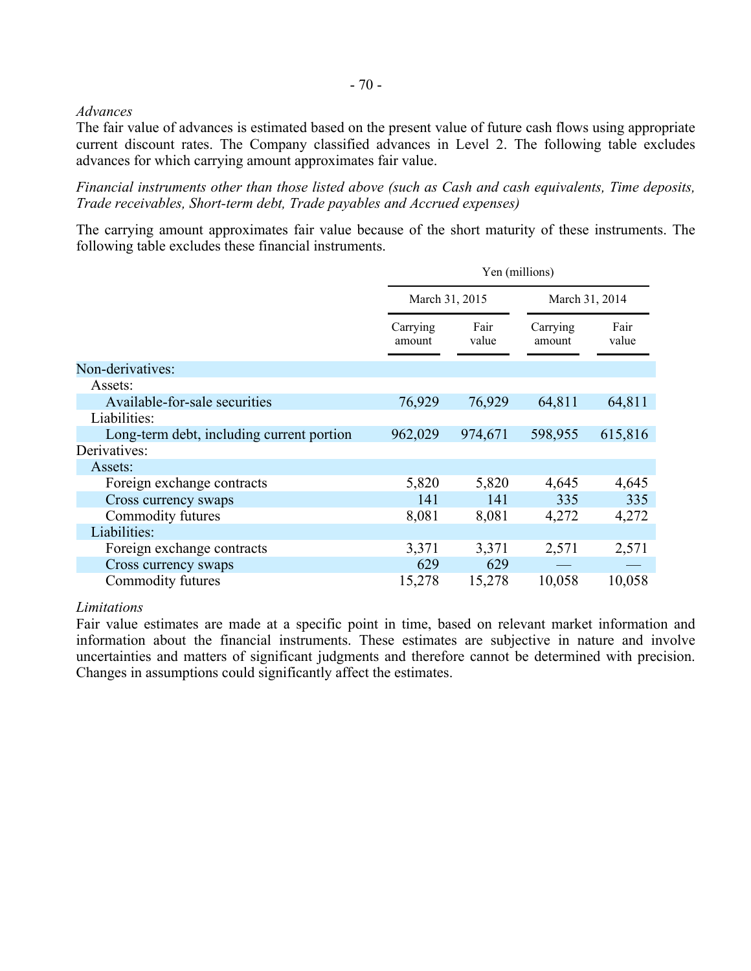#### *Advances*

The fair value of advances is estimated based on the present value of future cash flows using appropriate current discount rates. The Company classified advances in Level 2. The following table excludes advances for which carrying amount approximates fair value.

*Financial instruments other than those listed above (such as Cash and cash equivalents, Time deposits, Trade receivables, Short-term debt, Trade payables and Accrued expenses)* 

The carrying amount approximates fair value because of the short maturity of these instruments. The following table excludes these financial instruments.

|                                           | Yen (millions)     |                |                    |                |
|-------------------------------------------|--------------------|----------------|--------------------|----------------|
|                                           |                    | March 31, 2015 |                    | March 31, 2014 |
|                                           | Carrying<br>amount | Fair<br>value  | Carrying<br>amount | Fair<br>value  |
| Non-derivatives:                          |                    |                |                    |                |
| Assets:                                   |                    |                |                    |                |
| Available-for-sale securities             | 76,929             | 76,929         | 64,811             | 64,811         |
| Liabilities:                              |                    |                |                    |                |
| Long-term debt, including current portion | 962,029            | 974,671        | 598,955            | 615,816        |
| Derivatives:                              |                    |                |                    |                |
| Assets:                                   |                    |                |                    |                |
| Foreign exchange contracts                | 5,820              | 5,820          | 4,645              | 4,645          |
| Cross currency swaps                      | 141                | 141            | 335                | 335            |
| Commodity futures                         | 8,081              | 8,081          | 4,272              | 4,272          |
| Liabilities:                              |                    |                |                    |                |
| Foreign exchange contracts                | 3,371              | 3,371          | 2,571              | 2,571          |
| Cross currency swaps                      | 629                | 629            |                    |                |
| Commodity futures                         | 15,278             | 15,278         | 10,058             | 10,058         |

*Limitations* 

Fair value estimates are made at a specific point in time, based on relevant market information and information about the financial instruments. These estimates are subjective in nature and involve uncertainties and matters of significant judgments and therefore cannot be determined with precision. Changes in assumptions could significantly affect the estimates.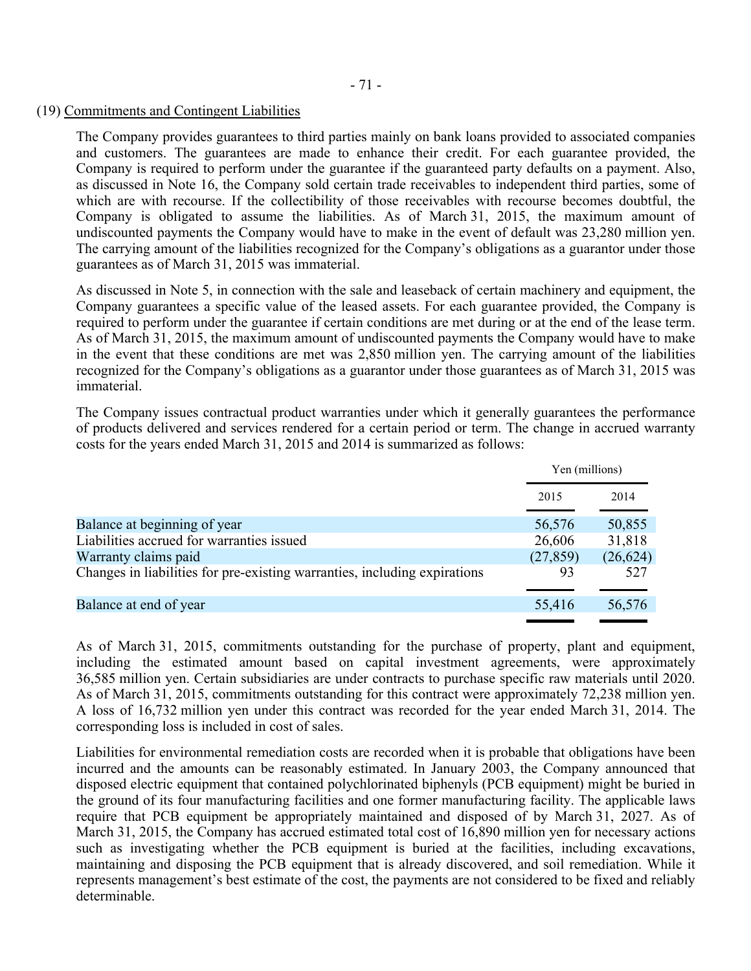- 71 -

#### (19) Commitments and Contingent Liabilities

The Company provides guarantees to third parties mainly on bank loans provided to associated companies and customers. The guarantees are made to enhance their credit. For each guarantee provided, the Company is required to perform under the guarantee if the guaranteed party defaults on a payment. Also, as discussed in Note 16, the Company sold certain trade receivables to independent third parties, some of which are with recourse. If the collectibility of those receivables with recourse becomes doubtful, the Company is obligated to assume the liabilities. As of March 31, 2015, the maximum amount of undiscounted payments the Company would have to make in the event of default was 23,280 million yen. The carrying amount of the liabilities recognized for the Company's obligations as a guarantor under those guarantees as of March 31, 2015 was immaterial.

As discussed in Note 5, in connection with the sale and leaseback of certain machinery and equipment, the Company guarantees a specific value of the leased assets. For each guarantee provided, the Company is required to perform under the guarantee if certain conditions are met during or at the end of the lease term. As of March 31, 2015, the maximum amount of undiscounted payments the Company would have to make in the event that these conditions are met was 2,850 million yen. The carrying amount of the liabilities recognized for the Company's obligations as a guarantor under those guarantees as of March 31, 2015 was immaterial.

The Company issues contractual product warranties under which it generally guarantees the performance of products delivered and services rendered for a certain period or term. The change in accrued warranty costs for the years ended March 31, 2015 and 2014 is summarized as follows:

|                                                                           | Yen (millions) |           |
|---------------------------------------------------------------------------|----------------|-----------|
|                                                                           | 2015           | 2014      |
| Balance at beginning of year                                              | 56,576         | 50,855    |
| Liabilities accrued for warranties issued                                 | 26,606         | 31,818    |
| Warranty claims paid                                                      | (27, 859)      | (26, 624) |
| Changes in liabilities for pre-existing warranties, including expirations | 93             | 527       |
| Balance at end of year                                                    | 55,416         | 56,576    |

As of March 31, 2015, commitments outstanding for the purchase of property, plant and equipment, including the estimated amount based on capital investment agreements, were approximately 36,585 million yen. Certain subsidiaries are under contracts to purchase specific raw materials until 2020. As of March 31, 2015, commitments outstanding for this contract were approximately 72,238 million yen. A loss of 16,732 million yen under this contract was recorded for the year ended March 31, 2014. The corresponding loss is included in cost of sales.

Liabilities for environmental remediation costs are recorded when it is probable that obligations have been incurred and the amounts can be reasonably estimated. In January 2003, the Company announced that disposed electric equipment that contained polychlorinated biphenyls (PCB equipment) might be buried in the ground of its four manufacturing facilities and one former manufacturing facility. The applicable laws require that PCB equipment be appropriately maintained and disposed of by March 31, 2027. As of March 31, 2015, the Company has accrued estimated total cost of 16,890 million yen for necessary actions such as investigating whether the PCB equipment is buried at the facilities, including excavations, maintaining and disposing the PCB equipment that is already discovered, and soil remediation. While it represents management's best estimate of the cost, the payments are not considered to be fixed and reliably determinable.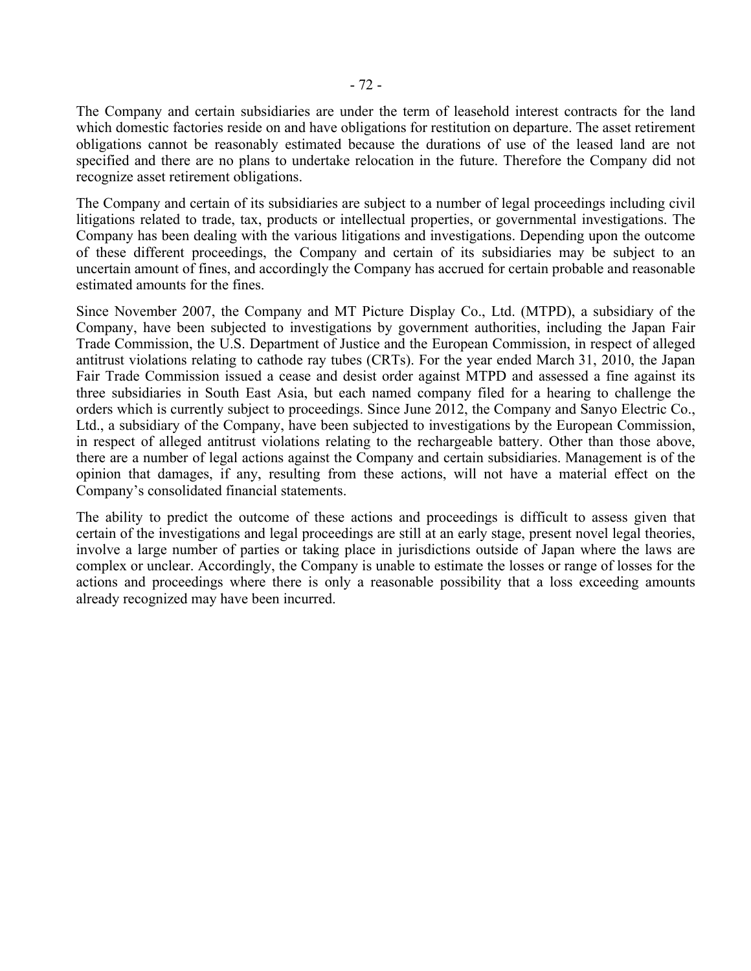The Company and certain subsidiaries are under the term of leasehold interest contracts for the land which domestic factories reside on and have obligations for restitution on departure. The asset retirement obligations cannot be reasonably estimated because the durations of use of the leased land are not specified and there are no plans to undertake relocation in the future. Therefore the Company did not recognize asset retirement obligations.

The Company and certain of its subsidiaries are subject to a number of legal proceedings including civil litigations related to trade, tax, products or intellectual properties, or governmental investigations. The Company has been dealing with the various litigations and investigations. Depending upon the outcome of these different proceedings, the Company and certain of its subsidiaries may be subject to an uncertain amount of fines, and accordingly the Company has accrued for certain probable and reasonable estimated amounts for the fines.

Since November 2007, the Company and MT Picture Display Co., Ltd. (MTPD), a subsidiary of the Company, have been subjected to investigations by government authorities, including the Japan Fair Trade Commission, the U.S. Department of Justice and the European Commission, in respect of alleged antitrust violations relating to cathode ray tubes (CRTs). For the year ended March 31, 2010, the Japan Fair Trade Commission issued a cease and desist order against MTPD and assessed a fine against its three subsidiaries in South East Asia, but each named company filed for a hearing to challenge the orders which is currently subject to proceedings. Since June 2012, the Company and Sanyo Electric Co., Ltd., a subsidiary of the Company, have been subjected to investigations by the European Commission, in respect of alleged antitrust violations relating to the rechargeable battery. Other than those above, there are a number of legal actions against the Company and certain subsidiaries. Management is of the opinion that damages, if any, resulting from these actions, will not have a material effect on the Company's consolidated financial statements.

The ability to predict the outcome of these actions and proceedings is difficult to assess given that certain of the investigations and legal proceedings are still at an early stage, present novel legal theories, involve a large number of parties or taking place in jurisdictions outside of Japan where the laws are complex or unclear. Accordingly, the Company is unable to estimate the losses or range of losses for the actions and proceedings where there is only a reasonable possibility that a loss exceeding amounts already recognized may have been incurred.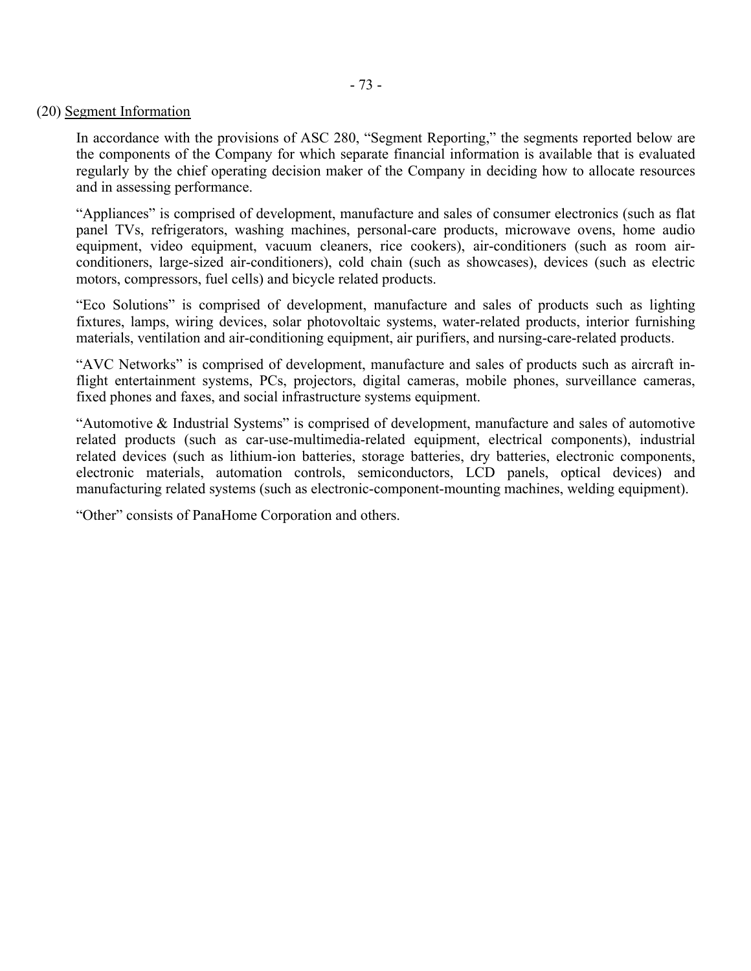#### (20) Segment Information

In accordance with the provisions of ASC 280, "Segment Reporting," the segments reported below are the components of the Company for which separate financial information is available that is evaluated regularly by the chief operating decision maker of the Company in deciding how to allocate resources and in assessing performance.

"Appliances" is comprised of development, manufacture and sales of consumer electronics (such as flat panel TVs, refrigerators, washing machines, personal-care products, microwave ovens, home audio equipment, video equipment, vacuum cleaners, rice cookers), air-conditioners (such as room airconditioners, large-sized air-conditioners), cold chain (such as showcases), devices (such as electric motors, compressors, fuel cells) and bicycle related products.

"Eco Solutions" is comprised of development, manufacture and sales of products such as lighting fixtures, lamps, wiring devices, solar photovoltaic systems, water-related products, interior furnishing materials, ventilation and air-conditioning equipment, air purifiers, and nursing-care-related products.

"AVC Networks" is comprised of development, manufacture and sales of products such as aircraft inflight entertainment systems, PCs, projectors, digital cameras, mobile phones, surveillance cameras, fixed phones and faxes, and social infrastructure systems equipment.

"Automotive & Industrial Systems" is comprised of development, manufacture and sales of automotive related products (such as car-use-multimedia-related equipment, electrical components), industrial related devices (such as lithium-ion batteries, storage batteries, dry batteries, electronic components, electronic materials, automation controls, semiconductors, LCD panels, optical devices) and manufacturing related systems (such as electronic-component-mounting machines, welding equipment).

"Other" consists of PanaHome Corporation and others.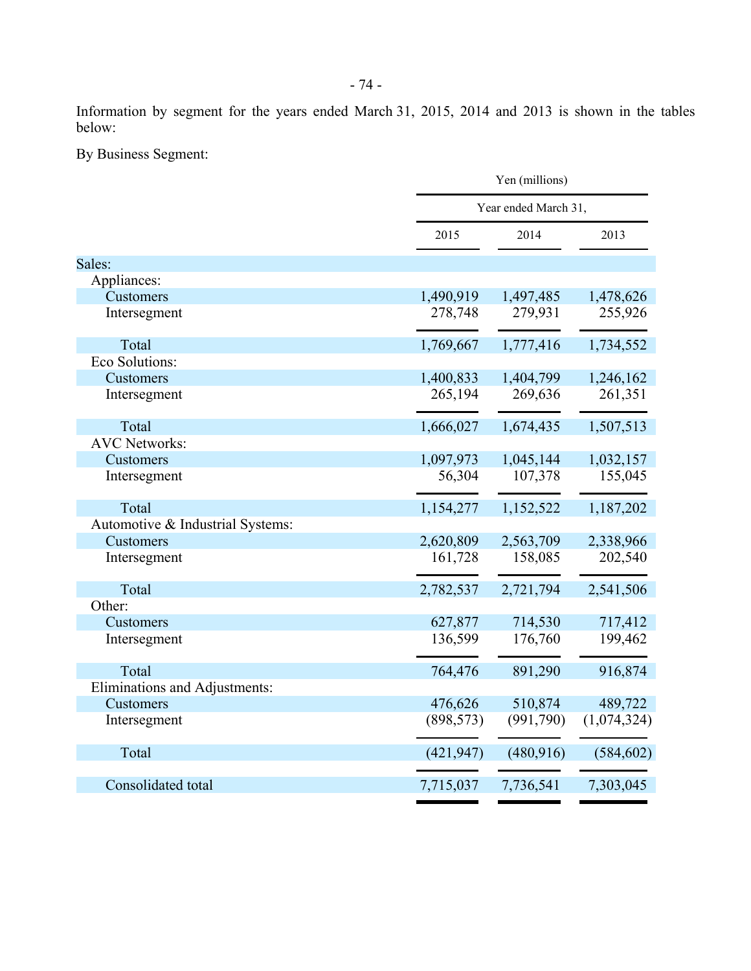Information by segment for the years ended March 31, 2015, 2014 and 2013 is shown in the tables below:

By Business Segment:

|                                  |            | Yen (millions)       |             |  |  |
|----------------------------------|------------|----------------------|-------------|--|--|
|                                  |            | Year ended March 31, |             |  |  |
|                                  | 2015       | 2014                 | 2013        |  |  |
| Sales:                           |            |                      |             |  |  |
| Appliances:                      |            |                      |             |  |  |
| Customers                        | 1,490,919  | 1,497,485            | 1,478,626   |  |  |
| Intersegment                     | 278,748    | 279,931              | 255,926     |  |  |
| Total                            | 1,769,667  | 1,777,416            | 1,734,552   |  |  |
| Eco Solutions:                   |            |                      |             |  |  |
| Customers                        | 1,400,833  | 1,404,799            | 1,246,162   |  |  |
| Intersegment                     | 265,194    | 269,636              | 261,351     |  |  |
| Total                            | 1,666,027  | 1,674,435            | 1,507,513   |  |  |
| <b>AVC</b> Networks:             |            |                      |             |  |  |
| Customers                        | 1,097,973  | 1,045,144            | 1,032,157   |  |  |
| Intersegment                     | 56,304     | 107,378              | 155,045     |  |  |
| Total                            | 1,154,277  | 1,152,522            | 1,187,202   |  |  |
| Automotive & Industrial Systems: |            |                      |             |  |  |
| Customers                        | 2,620,809  | 2,563,709            | 2,338,966   |  |  |
| Intersegment                     | 161,728    | 158,085              | 202,540     |  |  |
| Total                            | 2,782,537  | 2,721,794            | 2,541,506   |  |  |
| Other:                           |            |                      |             |  |  |
| Customers                        | 627,877    | 714,530              | 717,412     |  |  |
| Intersegment                     | 136,599    | 176,760              | 199,462     |  |  |
| Total                            | 764,476    | 891,290              | 916,874     |  |  |
| Eliminations and Adjustments:    |            |                      |             |  |  |
| Customers                        | 476,626    | 510,874              | 489,722     |  |  |
| Intersegment                     | (898, 573) | (991,790)            | (1,074,324) |  |  |
| Total                            | (421, 947) | (480, 916)           | (584, 602)  |  |  |
| Consolidated total               | 7,715,037  | 7,736,541            | 7,303,045   |  |  |
|                                  |            |                      |             |  |  |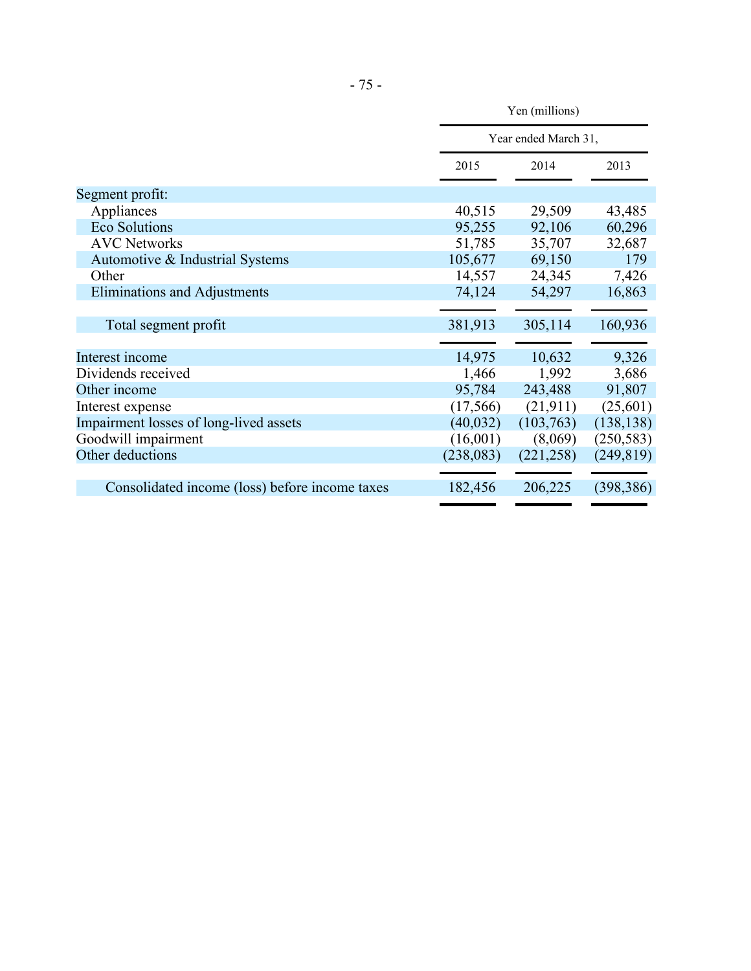|                                                | Yen (millions)       |            |            |  |
|------------------------------------------------|----------------------|------------|------------|--|
|                                                | Year ended March 31, |            |            |  |
|                                                | 2015                 | 2014       | 2013       |  |
| Segment profit:                                |                      |            |            |  |
| Appliances                                     | 40,515               | 29,509     | 43,485     |  |
| <b>Eco Solutions</b>                           | 95,255               | 92,106     | 60,296     |  |
| <b>AVC Networks</b>                            | 51,785               | 35,707     | 32,687     |  |
| Automotive & Industrial Systems                | 105,677              | 69,150     | 179        |  |
| Other                                          | 14,557               | 24,345     | 7,426      |  |
| Eliminations and Adjustments                   | 74,124               | 54,297     | 16,863     |  |
|                                                |                      |            |            |  |
| Total segment profit                           | 381,913              | 305,114    | 160,936    |  |
|                                                |                      |            |            |  |
| Interest income                                | 14,975               | 10,632     | 9,326      |  |
| Dividends received                             | 1,466                | 1,992      | 3,686      |  |
| Other income                                   | 95,784               | 243,488    | 91,807     |  |
| Interest expense                               | (17, 566)            | (21, 911)  | (25,601)   |  |
| Impairment losses of long-lived assets         | (40, 032)            | (103,763)  | (138, 138) |  |
| Goodwill impairment                            | (16,001)             | (8,069)    | (250, 583) |  |
| Other deductions                               | (238, 083)           | (221, 258) | (249, 819) |  |
|                                                |                      |            |            |  |
| Consolidated income (loss) before income taxes | 182,456              | 206,225    | (398, 386) |  |
|                                                |                      |            |            |  |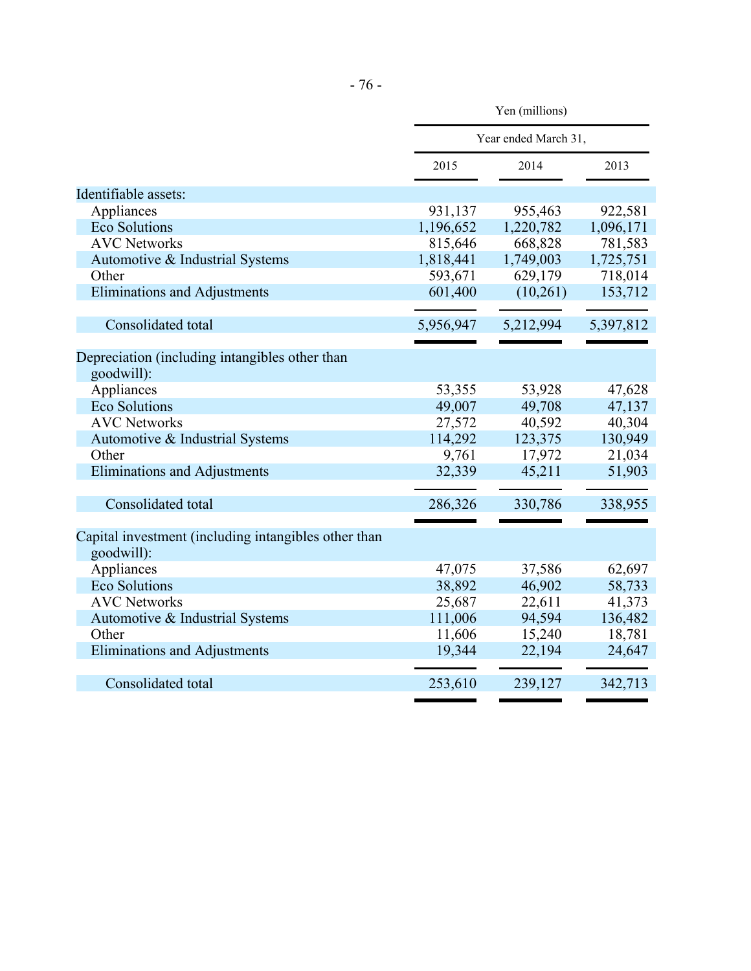|                                                              | Yen (millions) |                      |           |  |  |
|--------------------------------------------------------------|----------------|----------------------|-----------|--|--|
|                                                              |                | Year ended March 31, |           |  |  |
|                                                              | 2015           | 2014                 | 2013      |  |  |
| Identifiable assets:                                         |                |                      |           |  |  |
| Appliances                                                   | 931,137        | 955,463              | 922,581   |  |  |
| <b>Eco Solutions</b>                                         | 1,196,652      | 1,220,782            | 1,096,171 |  |  |
| <b>AVC Networks</b>                                          | 815,646        | 668,828              | 781,583   |  |  |
| Automotive & Industrial Systems                              | 1,818,441      | 1,749,003            | 1,725,751 |  |  |
| Other                                                        | 593,671        | 629,179              | 718,014   |  |  |
| <b>Eliminations and Adjustments</b>                          | 601,400        | (10,261)             | 153,712   |  |  |
| Consolidated total                                           | 5,956,947      | 5,212,994            | 5,397,812 |  |  |
|                                                              |                |                      |           |  |  |
| Depreciation (including intangibles other than<br>goodwill): |                |                      |           |  |  |
| Appliances                                                   | 53,355         | 53,928               | 47,628    |  |  |
| <b>Eco Solutions</b>                                         | 49,007         | 49,708               | 47,137    |  |  |
| <b>AVC Networks</b>                                          | 27,572         | 40,592               | 40,304    |  |  |
| Automotive & Industrial Systems                              | 114,292        | 123,375              | 130,949   |  |  |
| Other                                                        | 9,761          | 17,972               | 21,034    |  |  |
| <b>Eliminations and Adjustments</b>                          | 32,339         | 45,211               | 51,903    |  |  |
|                                                              |                |                      |           |  |  |
| Consolidated total                                           | 286,326        | 330,786              | 338,955   |  |  |
| Capital investment (including intangibles other than         |                |                      |           |  |  |
| goodwill):<br>Appliances                                     | 47,075         |                      | 62,697    |  |  |
| <b>Eco Solutions</b>                                         | 38,892         | 37,586<br>46,902     | 58,733    |  |  |
| <b>AVC Networks</b>                                          |                |                      |           |  |  |
|                                                              | 25,687         | 22,611               | 41,373    |  |  |
| Automotive & Industrial Systems                              | 111,006        | 94,594               | 136,482   |  |  |
| Other                                                        | 11,606         | 15,240               | 18,781    |  |  |
| <b>Eliminations and Adjustments</b>                          | 19,344         | 22,194               | 24,647    |  |  |
| Consolidated total                                           | 253,610        | 239,127              | 342,713   |  |  |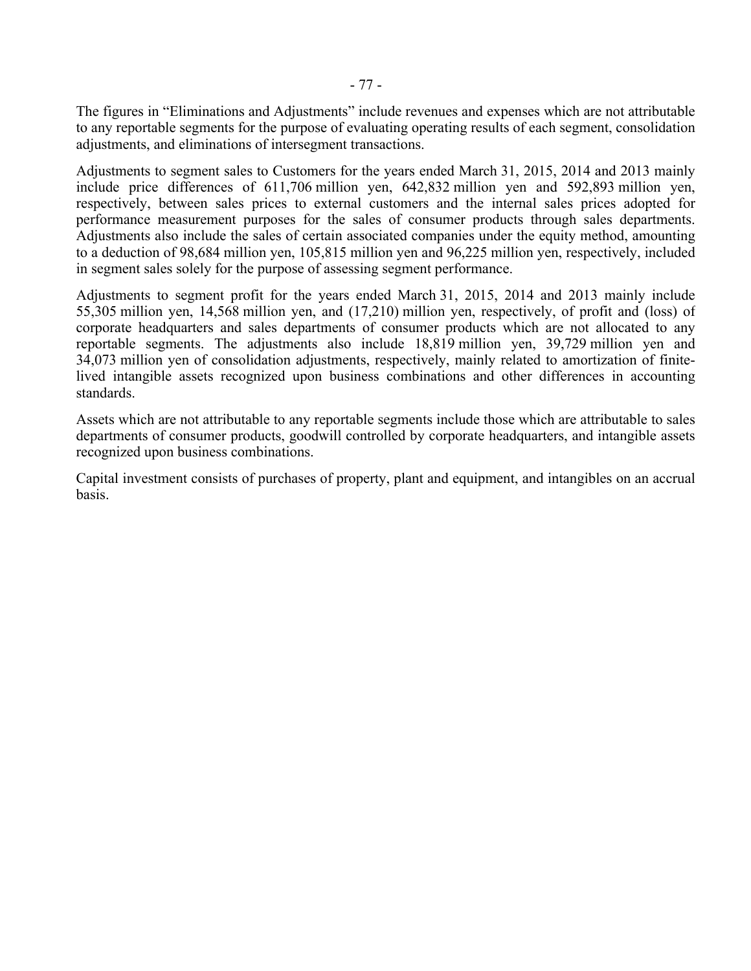The figures in "Eliminations and Adjustments" include revenues and expenses which are not attributable to any reportable segments for the purpose of evaluating operating results of each segment, consolidation adjustments, and eliminations of intersegment transactions.

Adjustments to segment sales to Customers for the years ended March 31, 2015, 2014 and 2013 mainly include price differences of 611,706 million yen, 642,832 million yen and 592,893 million yen, respectively, between sales prices to external customers and the internal sales prices adopted for performance measurement purposes for the sales of consumer products through sales departments. Adjustments also include the sales of certain associated companies under the equity method, amounting to a deduction of 98,684 million yen, 105,815 million yen and 96,225 million yen, respectively, included in segment sales solely for the purpose of assessing segment performance.

Adjustments to segment profit for the years ended March 31, 2015, 2014 and 2013 mainly include 55,305 million yen, 14,568 million yen, and (17,210) million yen, respectively, of profit and (loss) of corporate headquarters and sales departments of consumer products which are not allocated to any reportable segments. The adjustments also include 18,819 million yen, 39,729 million yen and 34,073 million yen of consolidation adjustments, respectively, mainly related to amortization of finitelived intangible assets recognized upon business combinations and other differences in accounting standards.

Assets which are not attributable to any reportable segments include those which are attributable to sales departments of consumer products, goodwill controlled by corporate headquarters, and intangible assets recognized upon business combinations.

Capital investment consists of purchases of property, plant and equipment, and intangibles on an accrual basis.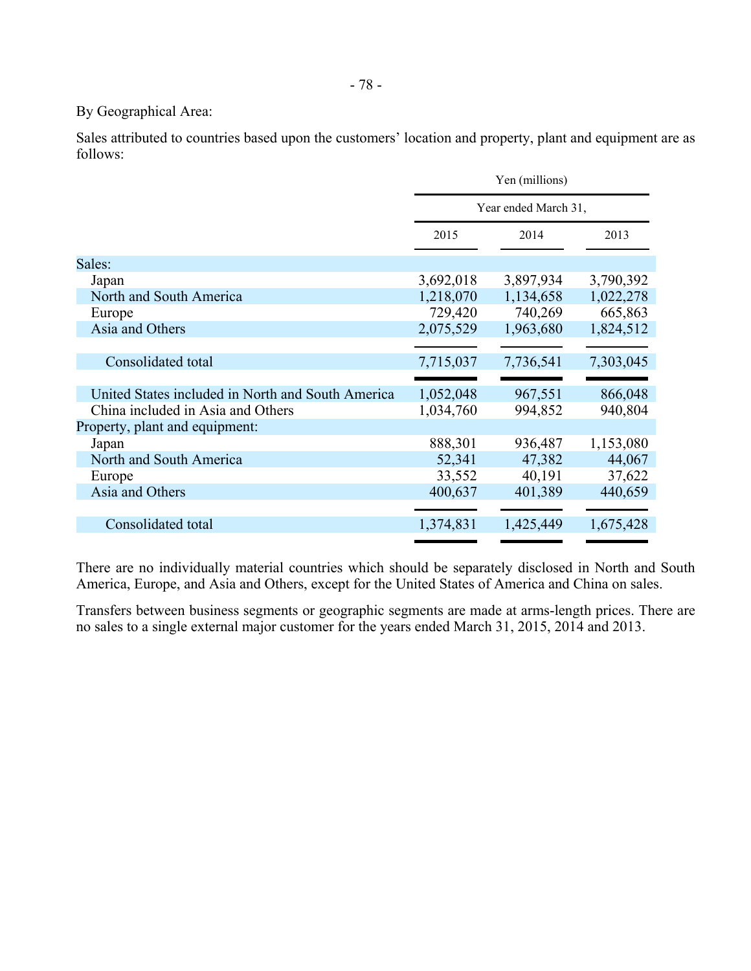# By Geographical Area:

Sales attributed to countries based upon the customers' location and property, plant and equipment are as follows:

|                                                   | Yen (millions)       |           |           |  |
|---------------------------------------------------|----------------------|-----------|-----------|--|
|                                                   | Year ended March 31, |           |           |  |
|                                                   | 2015                 | 2014      | 2013      |  |
| Sales:                                            |                      |           |           |  |
| Japan                                             | 3,692,018            | 3,897,934 | 3,790,392 |  |
| North and South America                           | 1,218,070            | 1,134,658 | 1,022,278 |  |
| Europe                                            | 729,420              | 740,269   | 665,863   |  |
| Asia and Others                                   | 2,075,529            | 1,963,680 | 1,824,512 |  |
|                                                   |                      |           |           |  |
| Consolidated total                                | 7,715,037            | 7,736,541 | 7,303,045 |  |
|                                                   |                      |           |           |  |
| United States included in North and South America | 1,052,048            | 967,551   | 866,048   |  |
| China included in Asia and Others                 | 1,034,760            | 994,852   | 940,804   |  |
| Property, plant and equipment:                    |                      |           |           |  |
| Japan                                             | 888,301              | 936,487   | 1,153,080 |  |
| North and South America                           | 52,341               | 47,382    | 44,067    |  |
| Europe                                            | 33,552               | 40,191    | 37,622    |  |
| Asia and Others                                   | 400,637              | 401,389   | 440,659   |  |
|                                                   |                      |           |           |  |
| Consolidated total                                | 1,374,831            | 1,425,449 | 1,675,428 |  |
|                                                   |                      |           |           |  |

There are no individually material countries which should be separately disclosed in North and South America, Europe, and Asia and Others, except for the United States of America and China on sales.

Transfers between business segments or geographic segments are made at arms-length prices. There are no sales to a single external major customer for the years ended March 31, 2015, 2014 and 2013.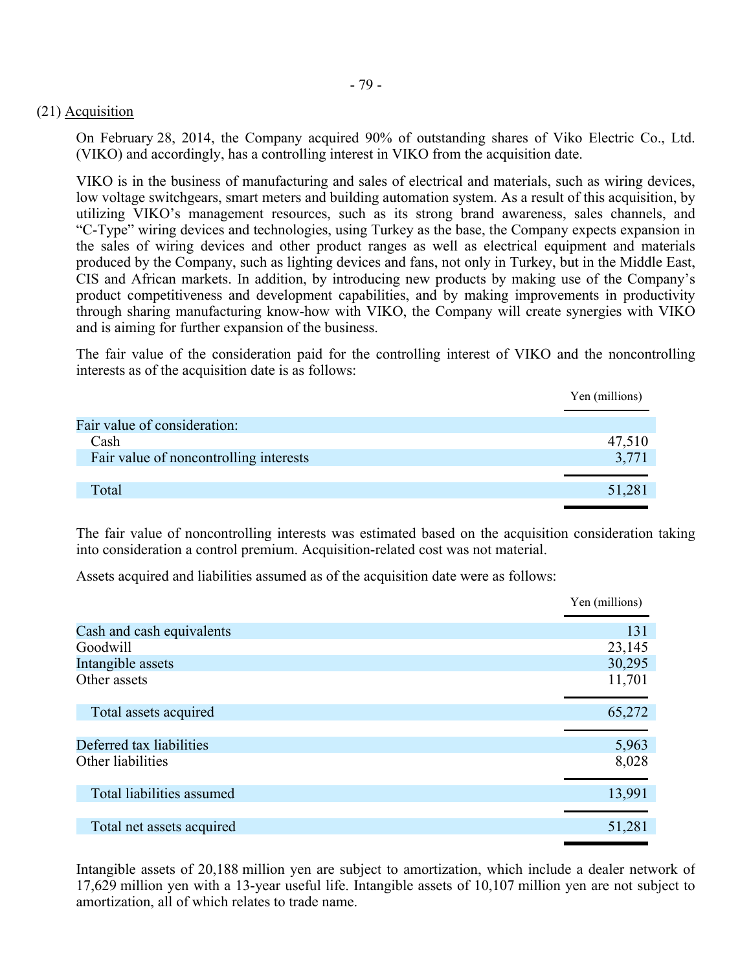## (21) Acquisition

On February 28, 2014, the Company acquired 90% of outstanding shares of Viko Electric Co., Ltd. (VIKO) and accordingly, has a controlling interest in VIKO from the acquisition date.

VIKO is in the business of manufacturing and sales of electrical and materials, such as wiring devices, low voltage switchgears, smart meters and building automation system. As a result of this acquisition, by utilizing VIKO's management resources, such as its strong brand awareness, sales channels, and "C-Type" wiring devices and technologies, using Turkey as the base, the Company expects expansion in the sales of wiring devices and other product ranges as well as electrical equipment and materials produced by the Company, such as lighting devices and fans, not only in Turkey, but in the Middle East, CIS and African markets. In addition, by introducing new products by making use of the Company's product competitiveness and development capabilities, and by making improvements in productivity through sharing manufacturing know-how with VIKO, the Company will create synergies with VIKO and is aiming for further expansion of the business.

The fair value of the consideration paid for the controlling interest of VIKO and the noncontrolling interests as of the acquisition date is as follows:

|                                        | Yen (millions) |
|----------------------------------------|----------------|
| Fair value of consideration:           |                |
| Cash                                   | 47,510         |
| Fair value of noncontrolling interests | 3,771          |
|                                        |                |
| Total                                  | 51,281         |
|                                        |                |

The fair value of noncontrolling interests was estimated based on the acquisition consideration taking into consideration a control premium. Acquisition-related cost was not material.

Assets acquired and liabilities assumed as of the acquisition date were as follows:

|                           | Yen (millions) |
|---------------------------|----------------|
| Cash and cash equivalents | 131            |
| Goodwill                  | 23,145         |
| Intangible assets         | 30,295         |
| Other assets              | 11,701         |
| Total assets acquired     | 65,272         |
|                           |                |
| Deferred tax liabilities  | 5,963          |
| Other liabilities         | 8,028          |
| Total liabilities assumed | 13,991         |
|                           |                |
| Total net assets acquired | 51,281         |
|                           |                |

Intangible assets of 20,188 million yen are subject to amortization, which include a dealer network of 17,629 million yen with a 13-year useful life. Intangible assets of 10,107 million yen are not subject to amortization, all of which relates to trade name.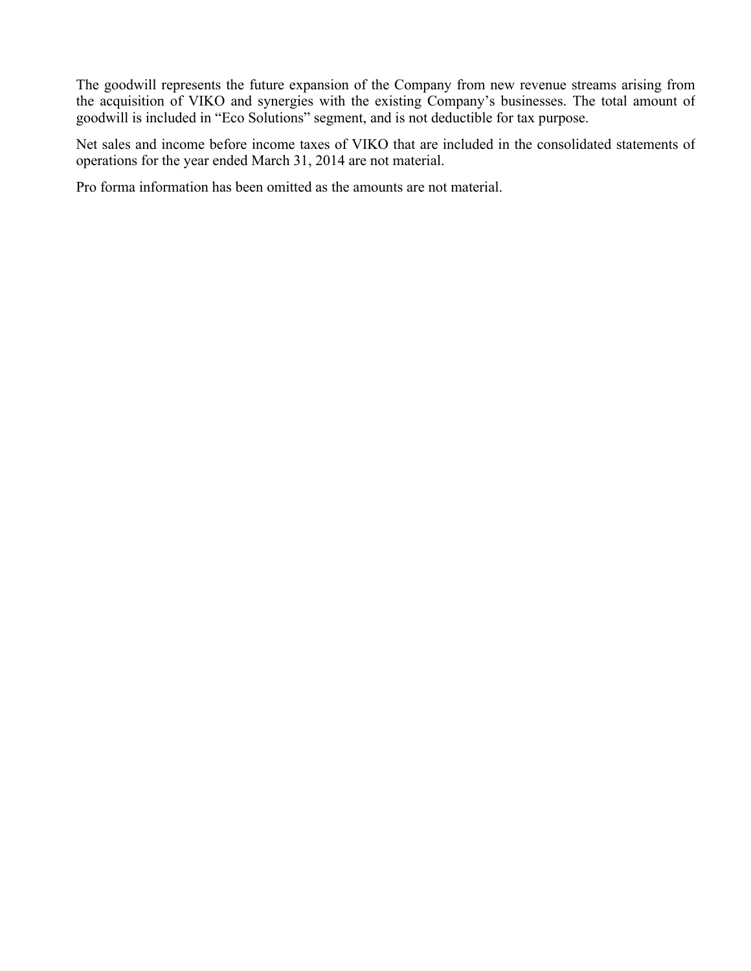The goodwill represents the future expansion of the Company from new revenue streams arising from the acquisition of VIKO and synergies with the existing Company's businesses. The total amount of goodwill is included in "Eco Solutions" segment, and is not deductible for tax purpose.

Net sales and income before income taxes of VIKO that are included in the consolidated statements of operations for the year ended March 31, 2014 are not material.

Pro forma information has been omitted as the amounts are not material.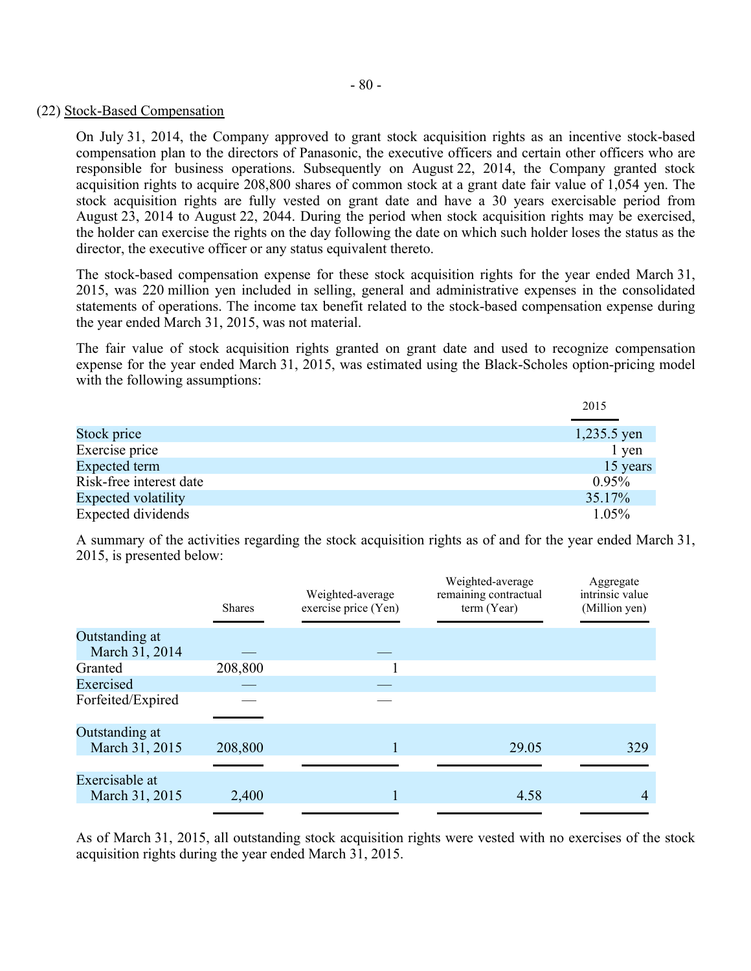#### (22) Stock-Based Compensation

On July 31, 2014, the Company approved to grant stock acquisition rights as an incentive stock-based compensation plan to the directors of Panasonic, the executive officers and certain other officers who are responsible for business operations. Subsequently on August 22, 2014, the Company granted stock acquisition rights to acquire 208,800 shares of common stock at a grant date fair value of 1,054 yen. The stock acquisition rights are fully vested on grant date and have a 30 years exercisable period from August 23, 2014 to August 22, 2044. During the period when stock acquisition rights may be exercised, the holder can exercise the rights on the day following the date on which such holder loses the status as the director, the executive officer or any status equivalent thereto.

The stock-based compensation expense for these stock acquisition rights for the year ended March 31, 2015, was 220 million yen included in selling, general and administrative expenses in the consolidated statements of operations. The income tax benefit related to the stock-based compensation expense during the year ended March 31, 2015, was not material.

The fair value of stock acquisition rights granted on grant date and used to recognize compensation expense for the year ended March 31, 2015, was estimated using the Black-Scholes option-pricing model with the following assumptions:

|                            | 2015        |
|----------------------------|-------------|
|                            |             |
| Stock price                | 1,235.5 yen |
| Exercise price             | 1 yen       |
| Expected term              | 15 years    |
| Risk-free interest date    | 0.95%       |
| <b>Expected volatility</b> | 35.17%      |
| Expected dividends         | 1.05%       |

A summary of the activities regarding the stock acquisition rights as of and for the year ended March 31, 2015, is presented below:

|                                  | <b>Shares</b> | Weighted-average<br>exercise price (Yen) | Weighted-average<br>remaining contractual<br>term (Year) | Aggregate<br>intrinsic value<br>(Million yen) |
|----------------------------------|---------------|------------------------------------------|----------------------------------------------------------|-----------------------------------------------|
| Outstanding at<br>March 31, 2014 |               |                                          |                                                          |                                               |
| Granted                          | 208,800       |                                          |                                                          |                                               |
| Exercised                        |               |                                          |                                                          |                                               |
| Forfeited/Expired                |               |                                          |                                                          |                                               |
| Outstanding at<br>March 31, 2015 | 208,800       |                                          | 29.05                                                    | 329                                           |
|                                  |               |                                          |                                                          |                                               |
| Exercisable at<br>March 31, 2015 | 2,400         |                                          | 4.58                                                     | 4                                             |

As of March 31, 2015, all outstanding stock acquisition rights were vested with no exercises of the stock acquisition rights during the year ended March 31, 2015.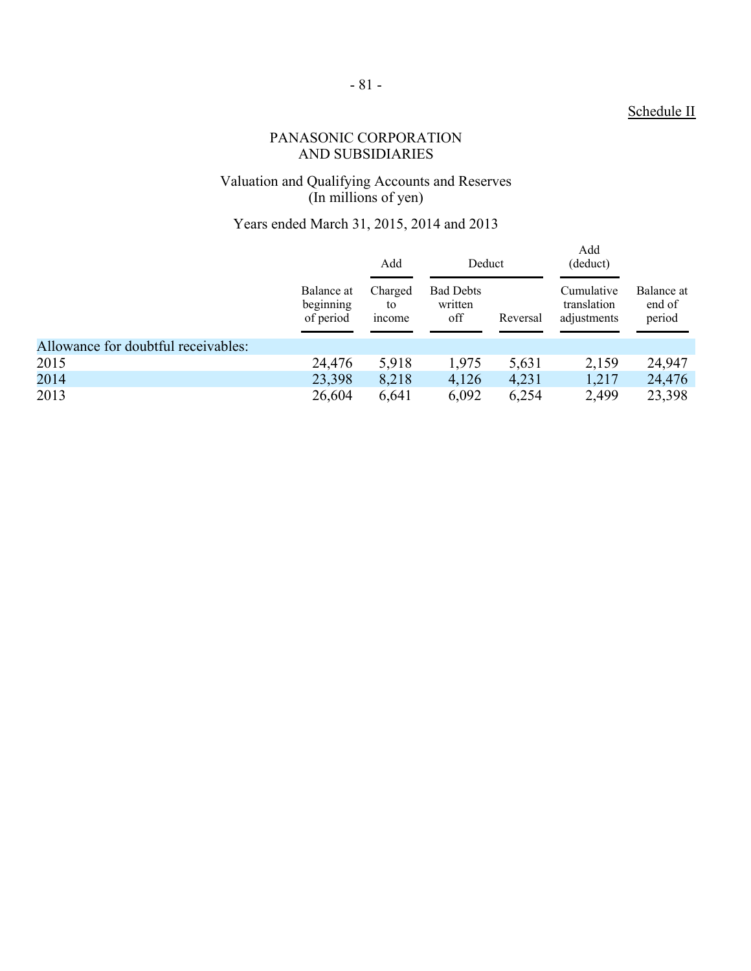# Schedule II

# PANASONIC CORPORATION AND SUBSIDIARIES

#### Valuation and Qualifying Accounts and Reserves (In millions of yen)

# Years ended March 31, 2015, 2014 and 2013

|                                     |                                      | Add<br>Charged<br>to<br><i>n</i> come | Deduct                             |          | Add<br>(deduct)                          |                                |
|-------------------------------------|--------------------------------------|---------------------------------------|------------------------------------|----------|------------------------------------------|--------------------------------|
|                                     | Balance at<br>beginning<br>of period |                                       | <b>Bad Debts</b><br>written<br>off | Reversal | Cumulative<br>translation<br>adjustments | Balance at<br>end of<br>period |
| Allowance for doubtful receivables: |                                      |                                       |                                    |          |                                          |                                |
| 2015                                | 24,476                               | 5,918                                 | 1,975                              | 5,631    | 2,159                                    | 24,947                         |
| 2014                                | 23,398                               | 8,218                                 | 4,126                              | 4,231    | 1,217                                    | 24,476                         |
| 2013                                | 26,604                               | 6,641                                 | 6,092                              | 6,254    | 2,499                                    | 23,398                         |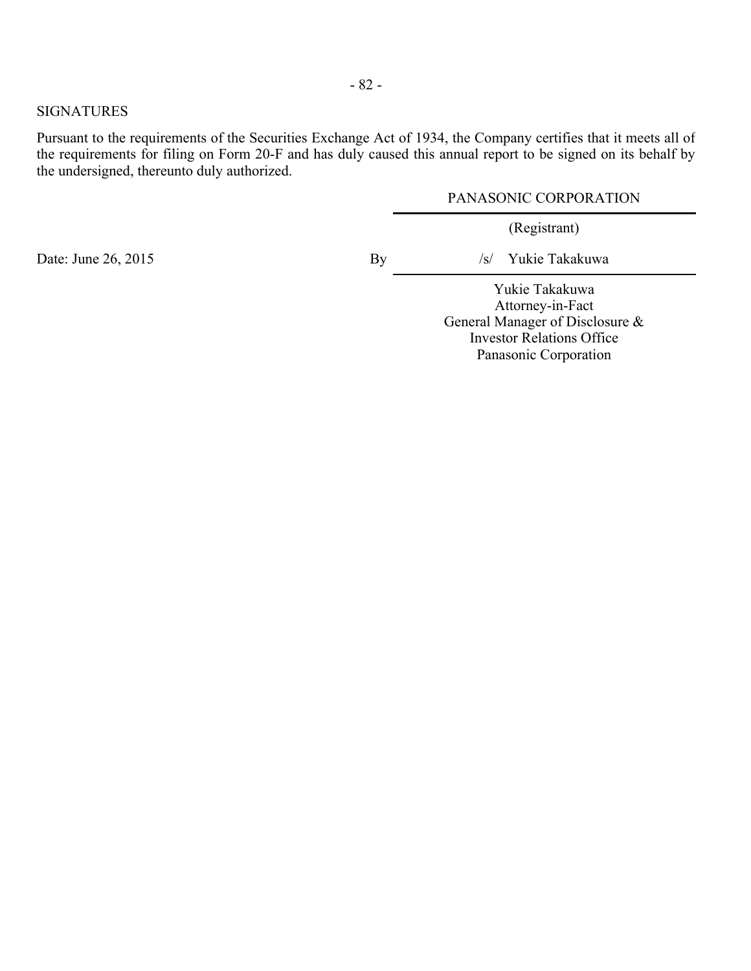#### SIGNATURES

Pursuant to the requirements of the Securities Exchange Act of 1934, the Company certifies that it meets all of the requirements for filing on Form 20-F and has duly caused this annual report to be signed on its behalf by the undersigned, thereunto duly authorized.

#### PANASONIC CORPORATION

(Registrant)

Date: June 26, 2015 By /s/ Yukie Takakuwa

Yukie Takakuwa Attorney-in-Fact General Manager of Disclosure & Investor Relations Office Panasonic Corporation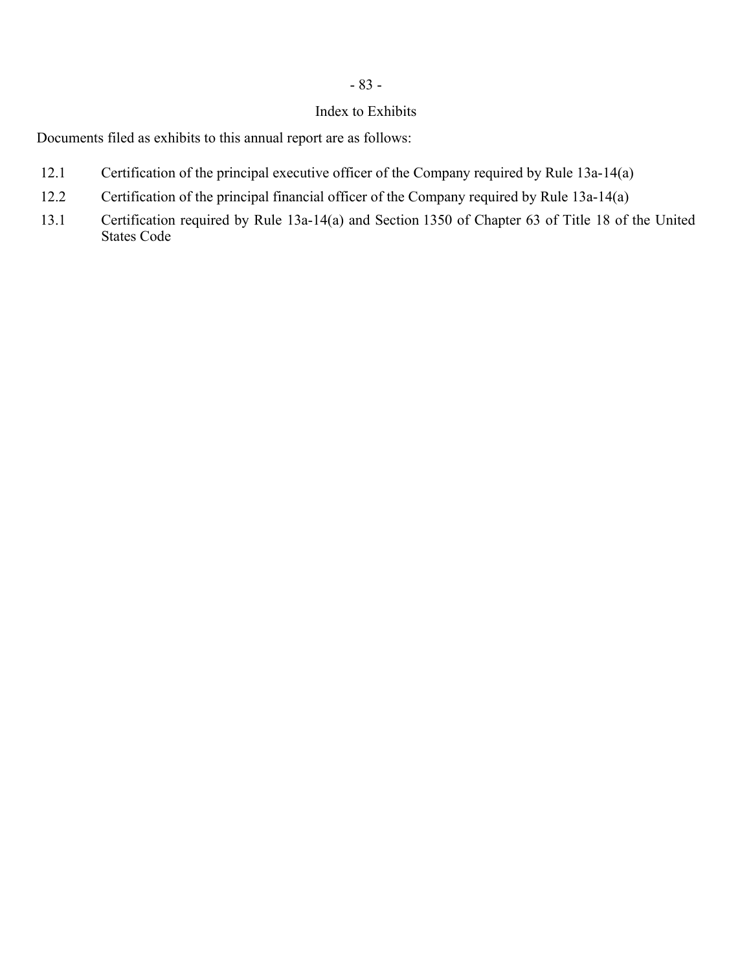# - 83 -

## Index to Exhibits

Documents filed as exhibits to this annual report are as follows:

- 12.1 Certification of the principal executive officer of the Company required by Rule 13a-14(a)
- 12.2 Certification of the principal financial officer of the Company required by Rule 13a-14(a)
- 13.1 Certification required by Rule 13a-14(a) and Section 1350 of Chapter 63 of Title 18 of the United States Code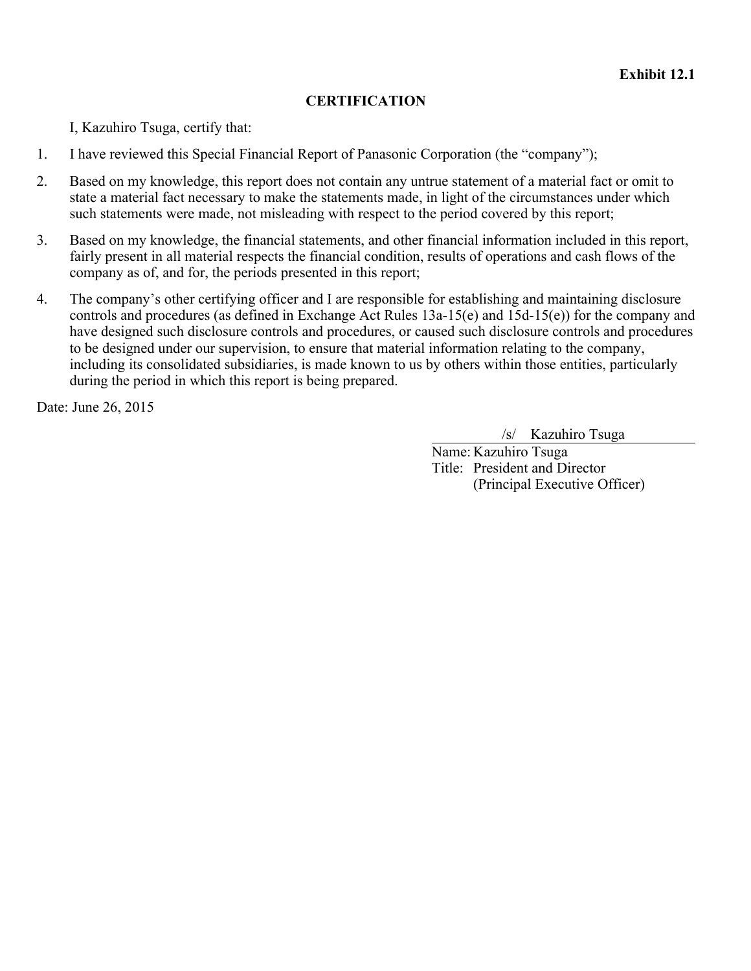## **CERTIFICATION**

I, Kazuhiro Tsuga, certify that:

- 1. I have reviewed this Special Financial Report of Panasonic Corporation (the "company");
- 2. Based on my knowledge, this report does not contain any untrue statement of a material fact or omit to state a material fact necessary to make the statements made, in light of the circumstances under which such statements were made, not misleading with respect to the period covered by this report;
- 3. Based on my knowledge, the financial statements, and other financial information included in this report, fairly present in all material respects the financial condition, results of operations and cash flows of the company as of, and for, the periods presented in this report;
- 4. The company's other certifying officer and I are responsible for establishing and maintaining disclosure controls and procedures (as defined in Exchange Act Rules 13a-15(e) and 15d-15(e)) for the company and have designed such disclosure controls and procedures, or caused such disclosure controls and procedures to be designed under our supervision, to ensure that material information relating to the company, including its consolidated subsidiaries, is made known to us by others within those entities, particularly during the period in which this report is being prepared.

Date: June 26, 2015

/s/ Kazuhiro Tsuga

Name: Kazuhiro Tsuga Title: President and Director (Principal Executive Officer)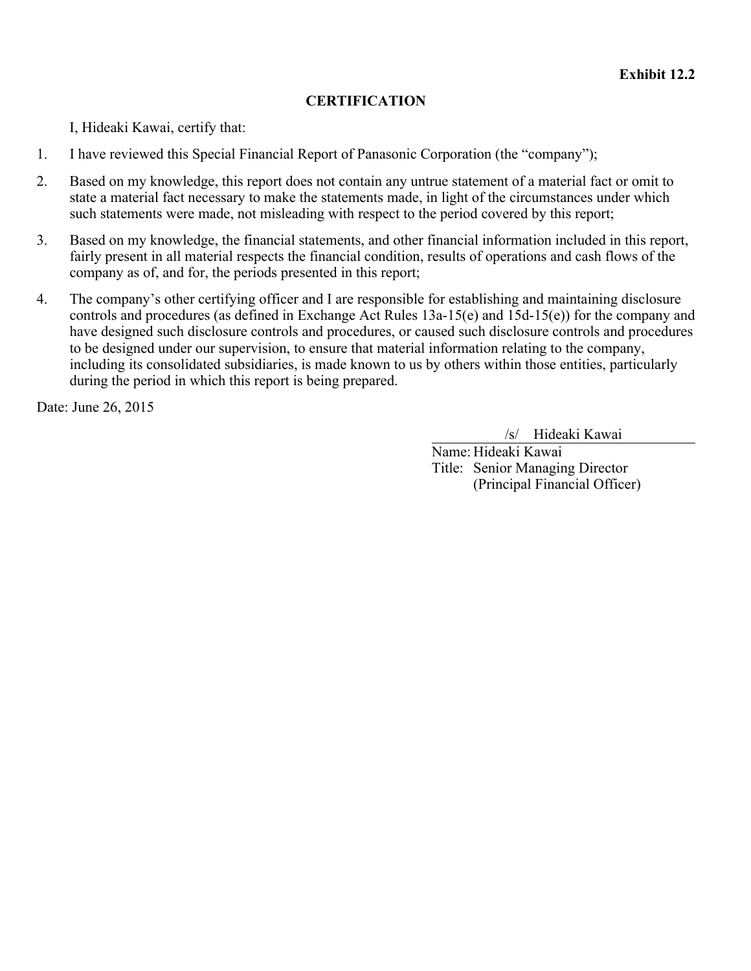# **CERTIFICATION**

I, Hideaki Kawai, certify that:

- 1. I have reviewed this Special Financial Report of Panasonic Corporation (the "company");
- 2. Based on my knowledge, this report does not contain any untrue statement of a material fact or omit to state a material fact necessary to make the statements made, in light of the circumstances under which such statements were made, not misleading with respect to the period covered by this report;
- 3. Based on my knowledge, the financial statements, and other financial information included in this report, fairly present in all material respects the financial condition, results of operations and cash flows of the company as of, and for, the periods presented in this report;
- 4. The company's other certifying officer and I are responsible for establishing and maintaining disclosure controls and procedures (as defined in Exchange Act Rules 13a-15(e) and 15d-15(e)) for the company and have designed such disclosure controls and procedures, or caused such disclosure controls and procedures to be designed under our supervision, to ensure that material information relating to the company, including its consolidated subsidiaries, is made known to us by others within those entities, particularly during the period in which this report is being prepared.

Date: June 26, 2015

/s/ Hideaki Kawai

Name: Hideaki Kawai Title: Senior Managing Director (Principal Financial Officer)